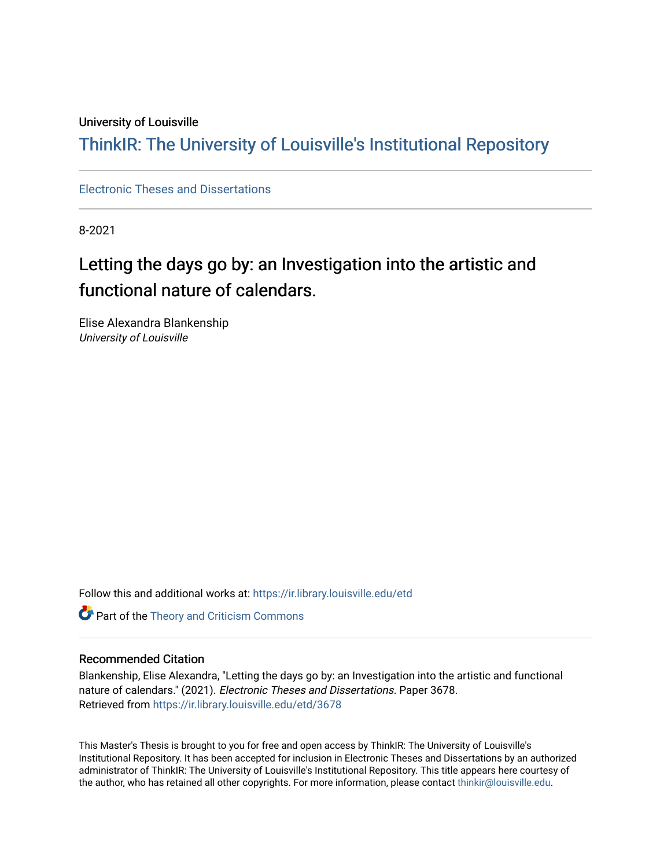#### University of Louisville

## ThinkIR: The Univ[ersity of Louisville's Institutional Reposit](https://ir.library.louisville.edu/)ory

[Electronic Theses and Dissertations](https://ir.library.louisville.edu/etd)

8-2021

# Letting the days go by: an Investigation into the artistic and functional nature of calendars.

Elise Alexandra Blankenship University of Louisville

Follow this and additional works at: [https://ir.library.louisville.edu/etd](https://ir.library.louisville.edu/etd?utm_source=ir.library.louisville.edu%2Fetd%2F3678&utm_medium=PDF&utm_campaign=PDFCoverPages) 

Part of the [Theory and Criticism Commons](https://network.bepress.com/hgg/discipline/516?utm_source=ir.library.louisville.edu%2Fetd%2F3678&utm_medium=PDF&utm_campaign=PDFCoverPages) 

#### Recommended Citation

Blankenship, Elise Alexandra, "Letting the days go by: an Investigation into the artistic and functional nature of calendars." (2021). Electronic Theses and Dissertations. Paper 3678. Retrieved from [https://ir.library.louisville.edu/etd/3678](https://ir.library.louisville.edu/etd/3678?utm_source=ir.library.louisville.edu%2Fetd%2F3678&utm_medium=PDF&utm_campaign=PDFCoverPages) 

This Master's Thesis is brought to you for free and open access by ThinkIR: The University of Louisville's Institutional Repository. It has been accepted for inclusion in Electronic Theses and Dissertations by an authorized administrator of ThinkIR: The University of Louisville's Institutional Repository. This title appears here courtesy of the author, who has retained all other copyrights. For more information, please contact [thinkir@louisville.edu.](mailto:thinkir@louisville.edu)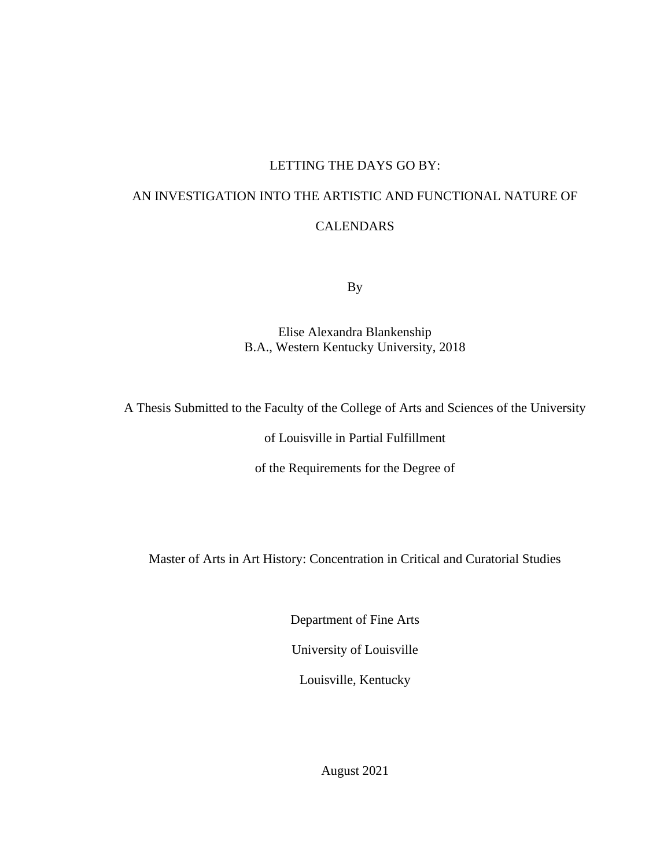#### LETTING THE DAYS GO BY:

# AN INVESTIGATION INTO THE ARTISTIC AND FUNCTIONAL NATURE OF CALENDARS

By

Elise Alexandra Blankenship B.A., Western Kentucky University, 2018

A Thesis Submitted to the Faculty of the College of Arts and Sciences of the University

of Louisville in Partial Fulfillment

of the Requirements for the Degree of

Master of Arts in Art History: Concentration in Critical and Curatorial Studies

Department of Fine Arts

University of Louisville

Louisville, Kentucky

August 2021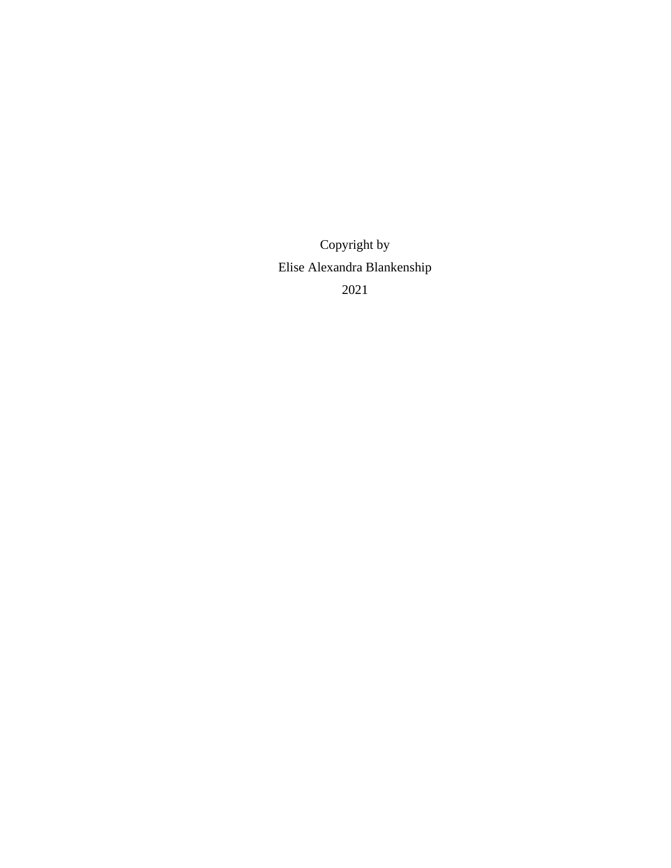Copyright by Elise Alexandra Blankenship 2021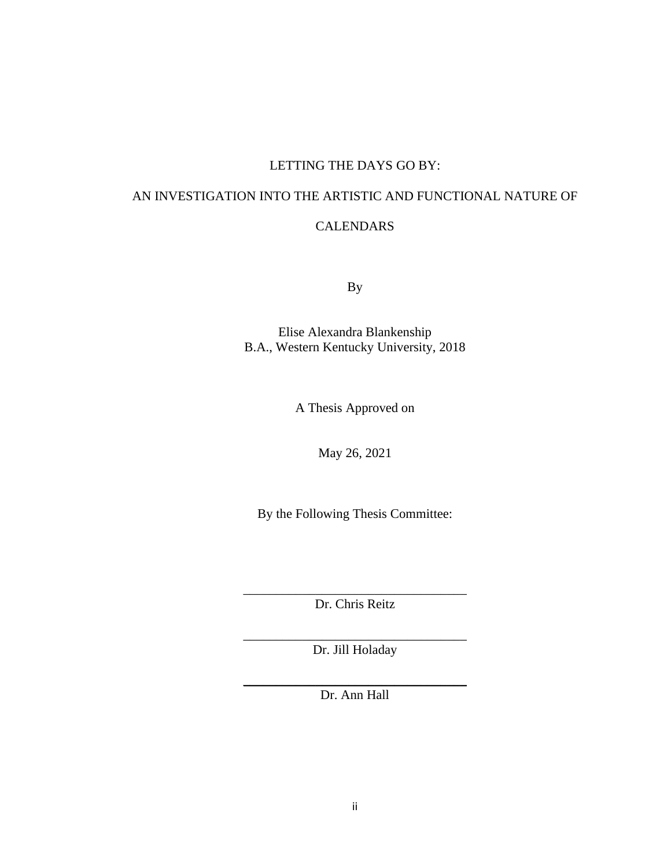#### LETTING THE DAYS GO BY:

# AN INVESTIGATION INTO THE ARTISTIC AND FUNCTIONAL NATURE OF

#### CALENDARS

By

Elise Alexandra Blankenship B.A., Western Kentucky University, 2018

A Thesis Approved on

May 26, 2021

By the Following Thesis Committee:

\_\_\_\_\_\_\_\_\_\_\_\_\_\_\_\_\_\_\_\_\_\_\_\_\_\_\_\_\_\_\_\_\_\_ Dr. Chris Reitz

\_\_\_\_\_\_\_\_\_\_\_\_\_\_\_\_\_\_\_\_\_\_\_\_\_\_\_\_\_\_\_\_\_\_ Dr. Jill Holaday

\_\_\_\_\_\_\_\_\_\_\_\_\_\_\_\_\_\_\_\_\_\_\_\_\_\_\_\_\_\_\_\_\_\_ Dr. Ann Hall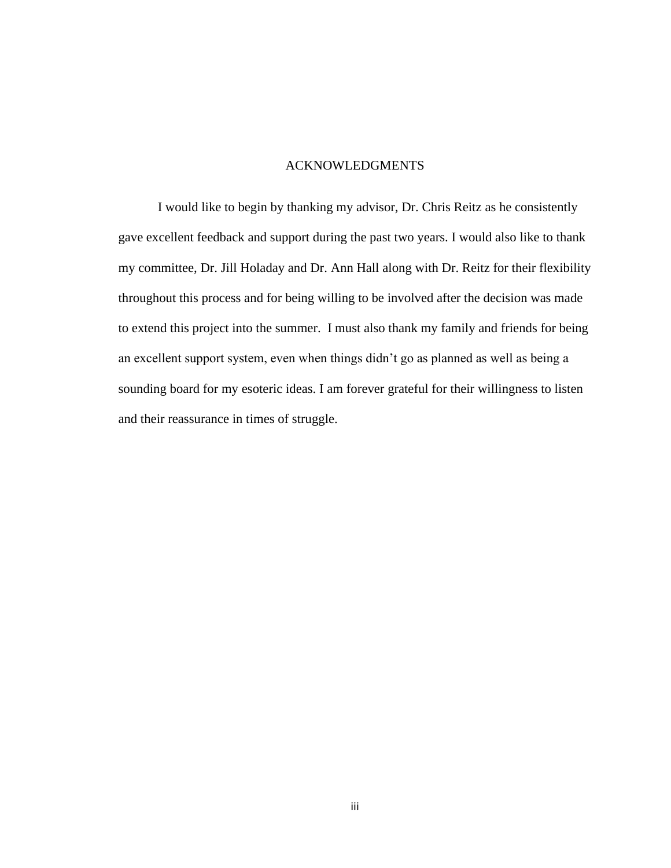#### ACKNOWLEDGMENTS

<span id="page-5-0"></span>I would like to begin by thanking my advisor, Dr. Chris Reitz as he consistently gave excellent feedback and support during the past two years. I would also like to thank my committee, Dr. Jill Holaday and Dr. Ann Hall along with Dr. Reitz for their flexibility throughout this process and for being willing to be involved after the decision was made to extend this project into the summer. I must also thank my family and friends for being an excellent support system, even when things didn't go as planned as well as being a sounding board for my esoteric ideas. I am forever grateful for their willingness to listen and their reassurance in times of struggle.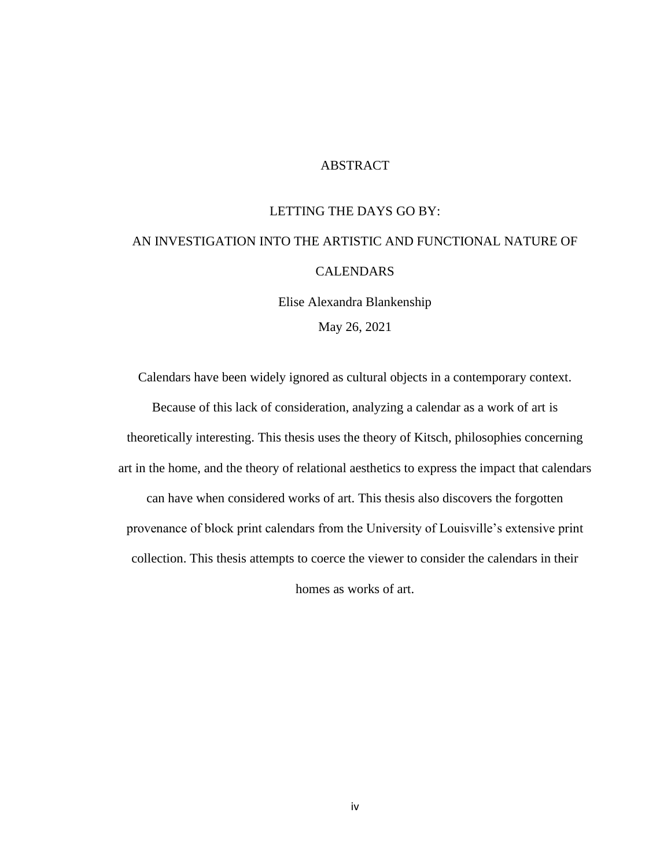#### ABSTRACT

#### LETTING THE DAYS GO BY:

## <span id="page-6-0"></span>AN INVESTIGATION INTO THE ARTISTIC AND FUNCTIONAL NATURE OF CALENDARS

Elise Alexandra Blankenship May 26, 2021

Calendars have been widely ignored as cultural objects in a contemporary context. Because of this lack of consideration, analyzing a calendar as a work of art is theoretically interesting. This thesis uses the theory of Kitsch, philosophies concerning art in the home, and the theory of relational aesthetics to express the impact that calendars can have when considered works of art. This thesis also discovers the forgotten provenance of block print calendars from the University of Louisville's extensive print collection. This thesis attempts to coerce the viewer to consider the calendars in their

homes as works of art.

iv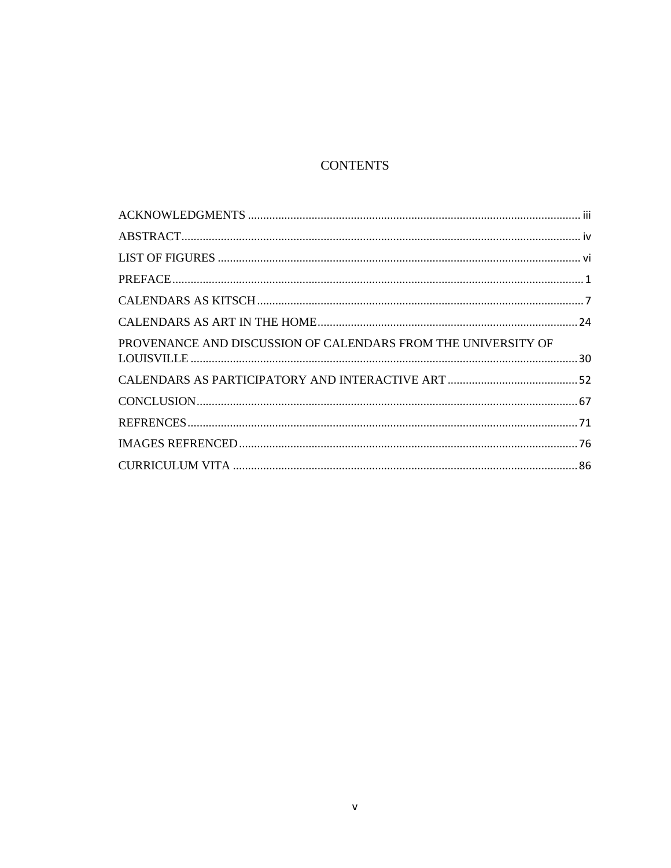## **CONTENTS**

| PROVENANCE AND DISCUSSION OF CALENDARS FROM THE UNIVERSITY OF |  |
|---------------------------------------------------------------|--|
|                                                               |  |
|                                                               |  |
|                                                               |  |
|                                                               |  |
|                                                               |  |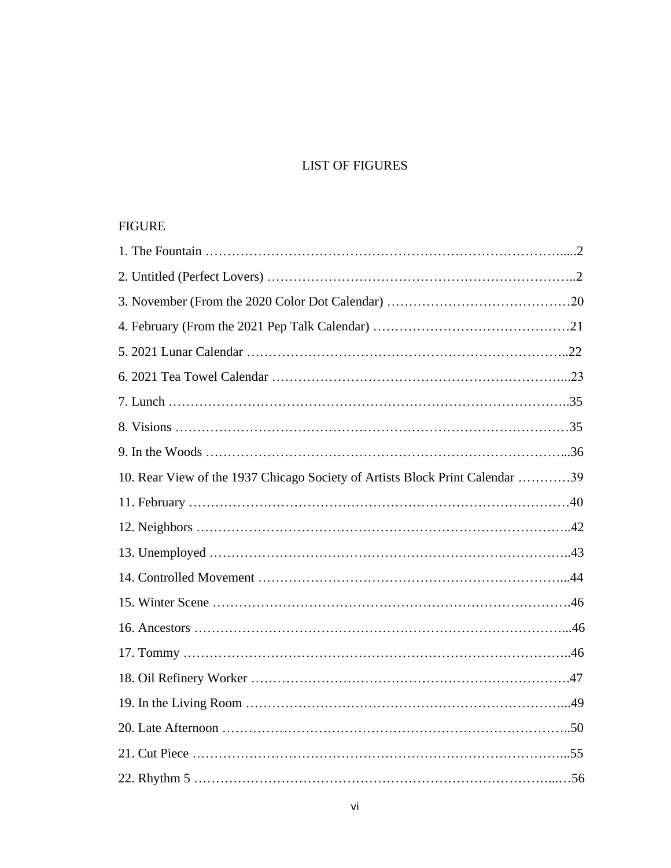## LIST OF FIGURES

### <span id="page-8-0"></span>FIGURE

| 10. Rear View of the 1937 Chicago Society of Artists Block Print Calendar 39 |  |
|------------------------------------------------------------------------------|--|
|                                                                              |  |
|                                                                              |  |
|                                                                              |  |
|                                                                              |  |
|                                                                              |  |
|                                                                              |  |
|                                                                              |  |
|                                                                              |  |
|                                                                              |  |
|                                                                              |  |
|                                                                              |  |
|                                                                              |  |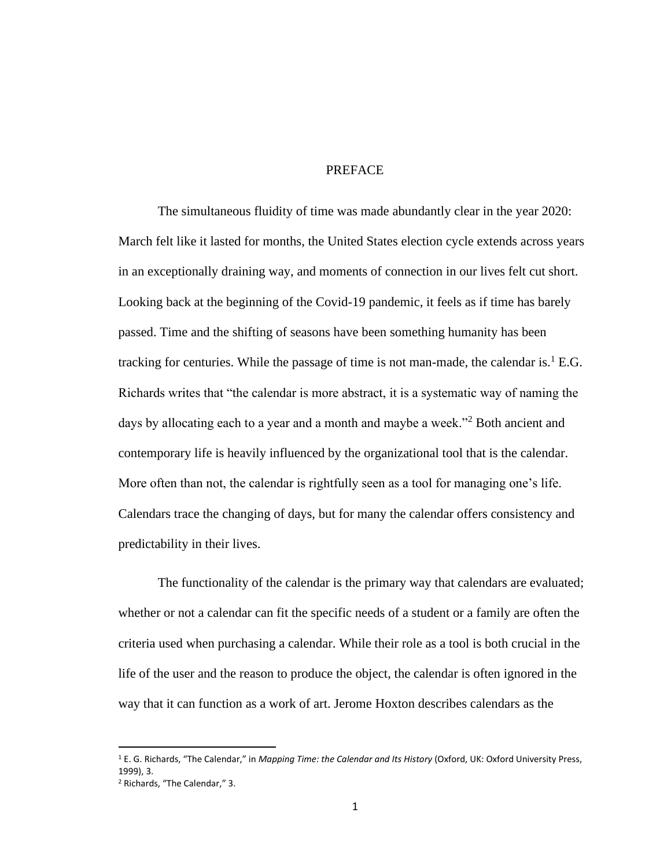#### PREFACE

<span id="page-10-0"></span>The simultaneous fluidity of time was made abundantly clear in the year 2020: March felt like it lasted for months, the United States election cycle extends across years in an exceptionally draining way, and moments of connection in our lives felt cut short. Looking back at the beginning of the Covid-19 pandemic, it feels as if time has barely passed. Time and the shifting of seasons have been something humanity has been tracking for centuries. While the passage of time is not man-made, the calendar is.<sup>1</sup> E.G. Richards writes that "the calendar is more abstract, it is a systematic way of naming the days by allocating each to a year and a month and maybe a week."<sup>2</sup> Both ancient and contemporary life is heavily influenced by the organizational tool that is the calendar. More often than not, the calendar is rightfully seen as a tool for managing one's life. Calendars trace the changing of days, but for many the calendar offers consistency and predictability in their lives.

The functionality of the calendar is the primary way that calendars are evaluated; whether or not a calendar can fit the specific needs of a student or a family are often the criteria used when purchasing a calendar. While their role as a tool is both crucial in the life of the user and the reason to produce the object, the calendar is often ignored in the way that it can function as a work of art. Jerome Hoxton describes calendars as the

<sup>1</sup> E. G. Richards, "The Calendar," in *Mapping Time: the Calendar and Its History* (Oxford, UK: Oxford University Press, 1999), 3.

<sup>2</sup> Richards, "The Calendar," 3.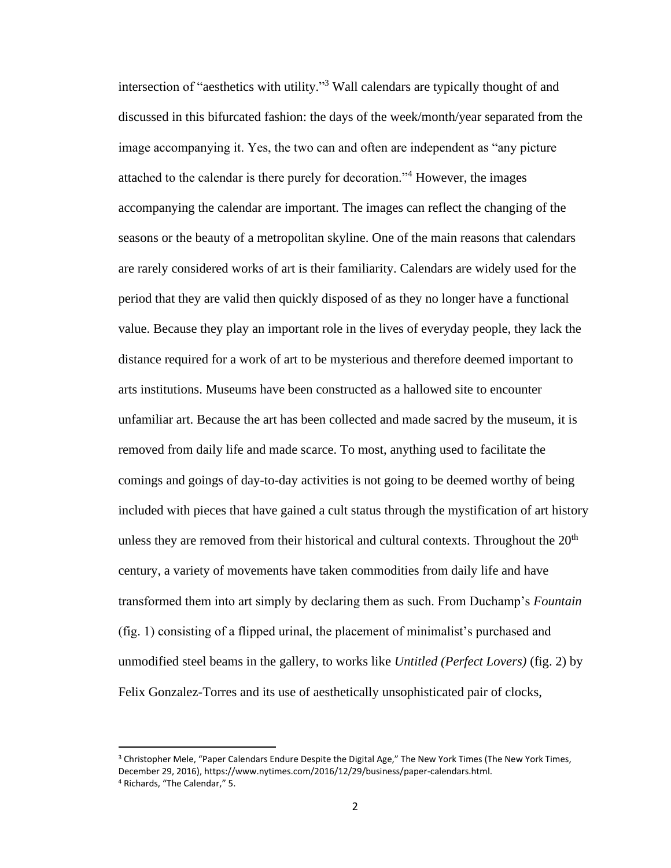intersection of "aesthetics with utility." <sup>3</sup> Wall calendars are typically thought of and discussed in this bifurcated fashion: the days of the week/month/year separated from the image accompanying it. Yes, the two can and often are independent as "any picture attached to the calendar is there purely for decoration."<sup>4</sup> However, the images accompanying the calendar are important. The images can reflect the changing of the seasons or the beauty of a metropolitan skyline. One of the main reasons that calendars are rarely considered works of art is their familiarity. Calendars are widely used for the period that they are valid then quickly disposed of as they no longer have a functional value. Because they play an important role in the lives of everyday people, they lack the distance required for a work of art to be mysterious and therefore deemed important to arts institutions. Museums have been constructed as a hallowed site to encounter unfamiliar art. Because the art has been collected and made sacred by the museum, it is removed from daily life and made scarce. To most, anything used to facilitate the comings and goings of day-to-day activities is not going to be deemed worthy of being included with pieces that have gained a cult status through the mystification of art history unless they are removed from their historical and cultural contexts. Throughout the  $20<sup>th</sup>$ century, a variety of movements have taken commodities from daily life and have transformed them into art simply by declaring them as such. From Duchamp's *Fountain*  (fig. 1) consisting of a flipped urinal, the placement of minimalist's purchased and unmodified steel beams in the gallery, to works like *Untitled (Perfect Lovers)* (fig. 2) by Felix Gonzalez-Torres and its use of aesthetically unsophisticated pair of clocks,

<sup>&</sup>lt;sup>3</sup> Christopher Mele, "Paper Calendars Endure Despite the Digital Age," The New York Times (The New York Times, December 29, 2016), https://www.nytimes.com/2016/12/29/business/paper-calendars.html. <sup>4</sup> Richards, "The Calendar," 5.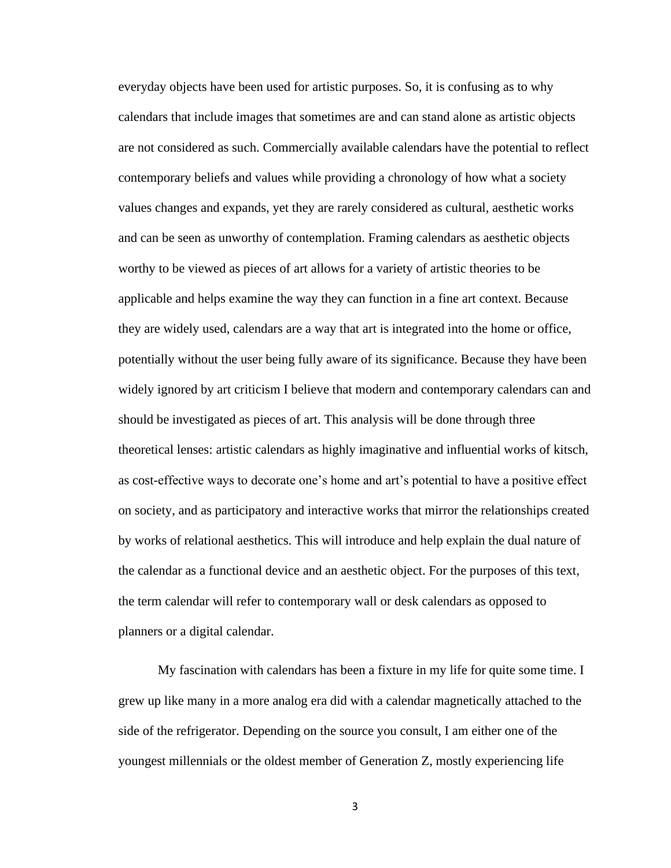everyday objects have been used for artistic purposes. So, it is confusing as to why calendars that include images that sometimes are and can stand alone as artistic objects are not considered as such. Commercially available calendars have the potential to reflect contemporary beliefs and values while providing a chronology of how what a society values changes and expands, yet they are rarely considered as cultural, aesthetic works and can be seen as unworthy of contemplation. Framing calendars as aesthetic objects worthy to be viewed as pieces of art allows for a variety of artistic theories to be applicable and helps examine the way they can function in a fine art context. Because they are widely used, calendars are a way that art is integrated into the home or office, potentially without the user being fully aware of its significance. Because they have been widely ignored by art criticism I believe that modern and contemporary calendars can and should be investigated as pieces of art. This analysis will be done through three theoretical lenses: artistic calendars as highly imaginative and influential works of kitsch, as cost-effective ways to decorate one's home and art's potential to have a positive effect on society, and as participatory and interactive works that mirror the relationships created by works of relational aesthetics. This will introduce and help explain the dual nature of the calendar as a functional device and an aesthetic object. For the purposes of this text, the term calendar will refer to contemporary wall or desk calendars as opposed to planners or a digital calendar.

My fascination with calendars has been a fixture in my life for quite some time. I grew up like many in a more analog era did with a calendar magnetically attached to the side of the refrigerator. Depending on the source you consult, I am either one of the youngest millennials or the oldest member of Generation Z, mostly experiencing life

3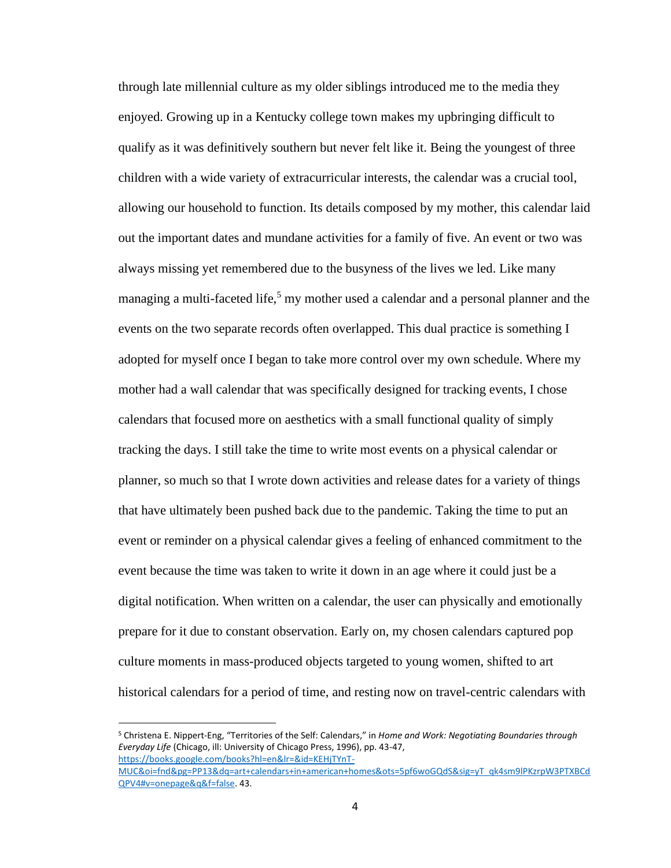through late millennial culture as my older siblings introduced me to the media they enjoyed. Growing up in a Kentucky college town makes my upbringing difficult to qualify as it was definitively southern but never felt like it. Being the youngest of three children with a wide variety of extracurricular interests, the calendar was a crucial tool, allowing our household to function. Its details composed by my mother, this calendar laid out the important dates and mundane activities for a family of five. An event or two was always missing yet remembered due to the busyness of the lives we led. Like many managing a multi-faceted life,<sup>5</sup> my mother used a calendar and a personal planner and the events on the two separate records often overlapped. This dual practice is something I adopted for myself once I began to take more control over my own schedule. Where my mother had a wall calendar that was specifically designed for tracking events, I chose calendars that focused more on aesthetics with a small functional quality of simply tracking the days. I still take the time to write most events on a physical calendar or planner, so much so that I wrote down activities and release dates for a variety of things that have ultimately been pushed back due to the pandemic. Taking the time to put an event or reminder on a physical calendar gives a feeling of enhanced commitment to the event because the time was taken to write it down in an age where it could just be a digital notification. When written on a calendar, the user can physically and emotionally prepare for it due to constant observation. Early on, my chosen calendars captured pop culture moments in mass-produced objects targeted to young women, shifted to art historical calendars for a period of time, and resting now on travel-centric calendars with

<sup>5</sup> Christena E. Nippert-Eng, "Territories of the Self: Calendars," in *Home and Work: Negotiating Boundaries through Everyday Life* (Chicago, ill: University of Chicago Press, 1996), pp. 43-47, [https://books.google.com/books?hl=en&lr=&id=KEHjTYnT-](https://books.google.com/books?hl=en&lr=&id=KEHjTYnT-MUC&oi=fnd&pg=PP13&dq=art+calendars+in+american+homes&ots=5pf6woGQdS&sig=yT_qk4sm9lPKzrpW3PTXBCdQPV4#v=onepage&q&f=false)

[MUC&oi=fnd&pg=PP13&dq=art+calendars+in+american+homes&ots=5pf6woGQdS&sig=yT\\_qk4sm9lPKzrpW3PTXBCd](https://books.google.com/books?hl=en&lr=&id=KEHjTYnT-MUC&oi=fnd&pg=PP13&dq=art+calendars+in+american+homes&ots=5pf6woGQdS&sig=yT_qk4sm9lPKzrpW3PTXBCdQPV4#v=onepage&q&f=false) [QPV4#v=onepage&q&f=false.](https://books.google.com/books?hl=en&lr=&id=KEHjTYnT-MUC&oi=fnd&pg=PP13&dq=art+calendars+in+american+homes&ots=5pf6woGQdS&sig=yT_qk4sm9lPKzrpW3PTXBCdQPV4#v=onepage&q&f=false) 43.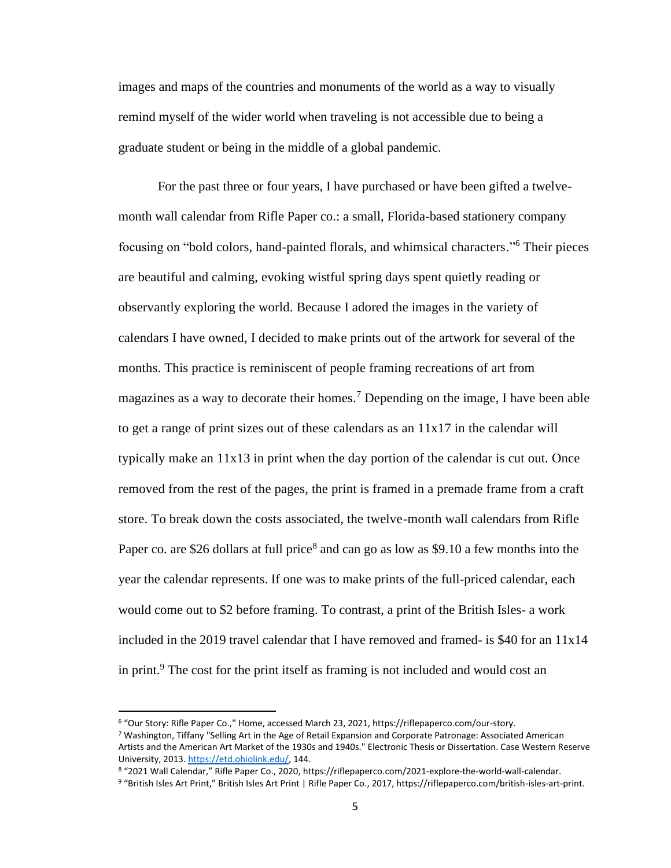images and maps of the countries and monuments of the world as a way to visually remind myself of the wider world when traveling is not accessible due to being a graduate student or being in the middle of a global pandemic.

For the past three or four years, I have purchased or have been gifted a twelvemonth wall calendar from Rifle Paper co.: a small, Florida-based stationery company focusing on "bold colors, hand-painted florals, and whimsical characters." <sup>6</sup> Their pieces are beautiful and calming, evoking wistful spring days spent quietly reading or observantly exploring the world. Because I adored the images in the variety of calendars I have owned, I decided to make prints out of the artwork for several of the months. This practice is reminiscent of people framing recreations of art from magazines as a way to decorate their homes.<sup>7</sup> Depending on the image, I have been able to get a range of print sizes out of these calendars as an 11x17 in the calendar will typically make an 11x13 in print when the day portion of the calendar is cut out. Once removed from the rest of the pages, the print is framed in a premade frame from a craft store. To break down the costs associated, the twelve-month wall calendars from Rifle Paper co. are \$26 dollars at full price<sup>8</sup> and can go as low as \$9.10 a few months into the year the calendar represents. If one was to make prints of the full-priced calendar, each would come out to \$2 before framing. To contrast, a print of the British Isles- a work included in the 2019 travel calendar that I have removed and framed- is \$40 for an 11x14 in print.<sup>9</sup> The cost for the print itself as framing is not included and would cost an

<sup>6</sup> "Our Story: Rifle Paper Co.," Home, accessed March 23, 2021, https://riflepaperco.com/our-story.

<sup>7</sup> Washington, Tiffany "Selling Art in the Age of Retail Expansion and Corporate Patronage: Associated American Artists and the American Art Market of the 1930s and 1940s." Electronic Thesis or Dissertation. Case Western Reserve University, 2013. [https://etd.ohiolink.edu/,](https://etd.ohiolink.edu/) 144.

<sup>8</sup> "2021 Wall Calendar," Rifle Paper Co., 2020, https://riflepaperco.com/2021-explore-the-world-wall-calendar.

<sup>9</sup> "British Isles Art Print," British Isles Art Print | Rifle Paper Co., 2017, https://riflepaperco.com/british-isles-art-print.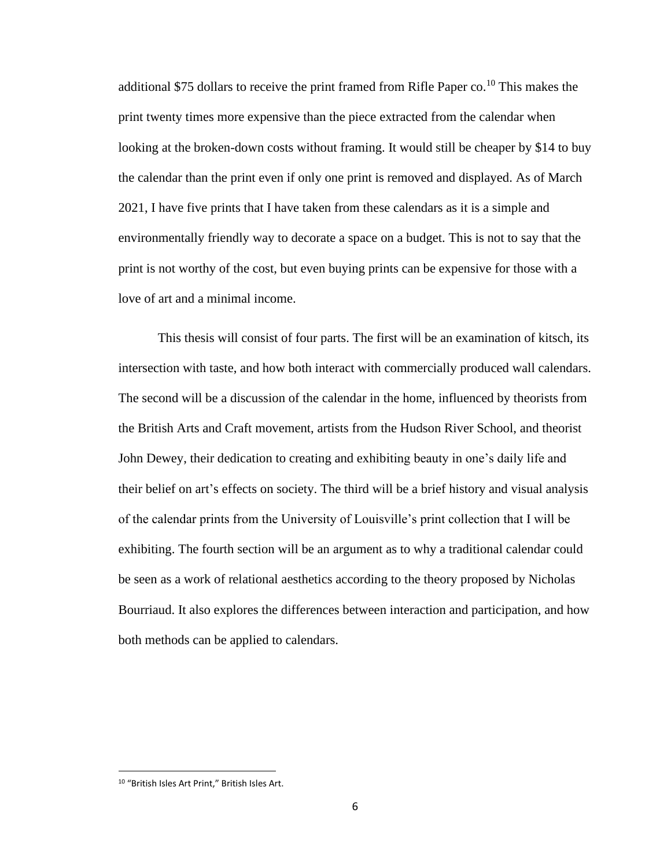additional \$75 dollars to receive the print framed from Rifle Paper  $\rm co$ .<sup>10</sup> This makes the print twenty times more expensive than the piece extracted from the calendar when looking at the broken-down costs without framing. It would still be cheaper by \$14 to buy the calendar than the print even if only one print is removed and displayed. As of March 2021, I have five prints that I have taken from these calendars as it is a simple and environmentally friendly way to decorate a space on a budget. This is not to say that the print is not worthy of the cost, but even buying prints can be expensive for those with a love of art and a minimal income.

This thesis will consist of four parts. The first will be an examination of kitsch, its intersection with taste, and how both interact with commercially produced wall calendars. The second will be a discussion of the calendar in the home, influenced by theorists from the British Arts and Craft movement, artists from the Hudson River School, and theorist John Dewey, their dedication to creating and exhibiting beauty in one's daily life and their belief on art's effects on society. The third will be a brief history and visual analysis of the calendar prints from the University of Louisville's print collection that I will be exhibiting. The fourth section will be an argument as to why a traditional calendar could be seen as a work of relational aesthetics according to the theory proposed by Nicholas Bourriaud. It also explores the differences between interaction and participation, and how both methods can be applied to calendars.

<sup>10</sup> "British Isles Art Print," British Isles Art.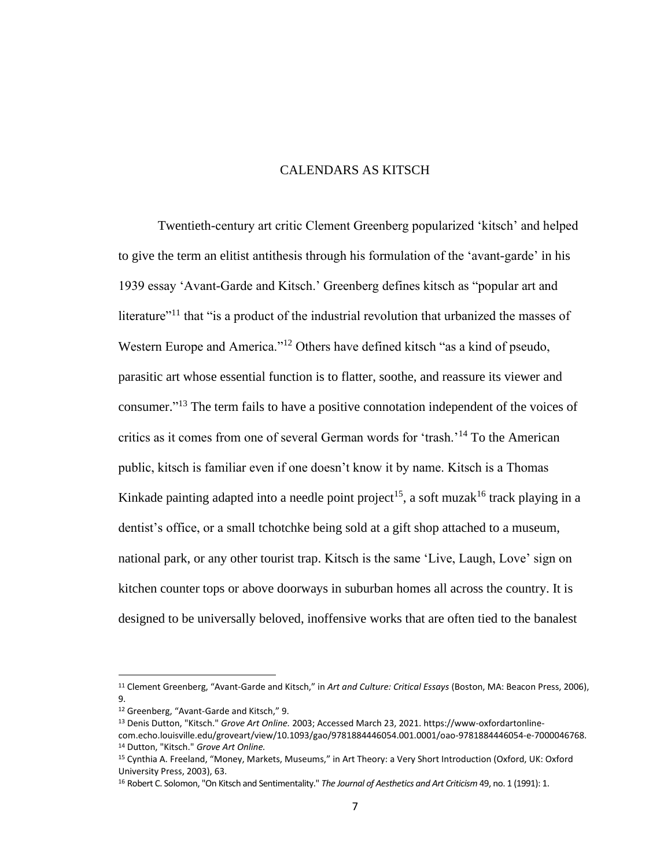#### CALENDARS AS KITSCH

<span id="page-16-0"></span>Twentieth-century art critic Clement Greenberg popularized 'kitsch' and helped to give the term an elitist antithesis through his formulation of the 'avant-garde' in his 1939 essay 'Avant-Garde and Kitsch.' Greenberg defines kitsch as "popular art and literature<sup>"11</sup> that "is a product of the industrial revolution that urbanized the masses of Western Europe and America."<sup>12</sup> Others have defined kitsch "as a kind of pseudo, parasitic art whose essential function is to flatter, soothe, and reassure its viewer and consumer." <sup>13</sup> The term fails to have a positive connotation independent of the voices of critics as it comes from one of several German words for 'trash.'<sup>14</sup> To the American public, kitsch is familiar even if one doesn't know it by name. Kitsch is a Thomas Kinkade painting adapted into a needle point project<sup>15</sup>, a soft muzak<sup>16</sup> track playing in a dentist's office, or a small tchotchke being sold at a gift shop attached to a museum, national park, or any other tourist trap. Kitsch is the same 'Live, Laugh, Love' sign on kitchen counter tops or above doorways in suburban homes all across the country. It is designed to be universally beloved, inoffensive works that are often tied to the banalest

<sup>11</sup> Clement Greenberg, "Avant-Garde and Kitsch," in *Art and Culture: Critical Essays* (Boston, MA: Beacon Press, 2006), 9.

<sup>12</sup> Greenberg, "Avant-Garde and Kitsch," 9.

<sup>13</sup> Denis Dutton, "Kitsch." *Grove Art Online.* 2003; Accessed March 23, 2021. https://www-oxfordartonlinecom.echo.louisville.edu/groveart/view/10.1093/gao/9781884446054.001.0001/oao-9781884446054-e-7000046768. <sup>14</sup> Dutton, "Kitsch." *Grove Art Online.*

<sup>15</sup> Cynthia A. Freeland, "Money, Markets, Museums," in Art Theory: a Very Short Introduction (Oxford, UK: Oxford University Press, 2003), 63.

<sup>16</sup> Robert C. Solomon, "On Kitsch and Sentimentality." *The Journal of Aesthetics and Art Criticism* 49, no. 1 (1991): 1.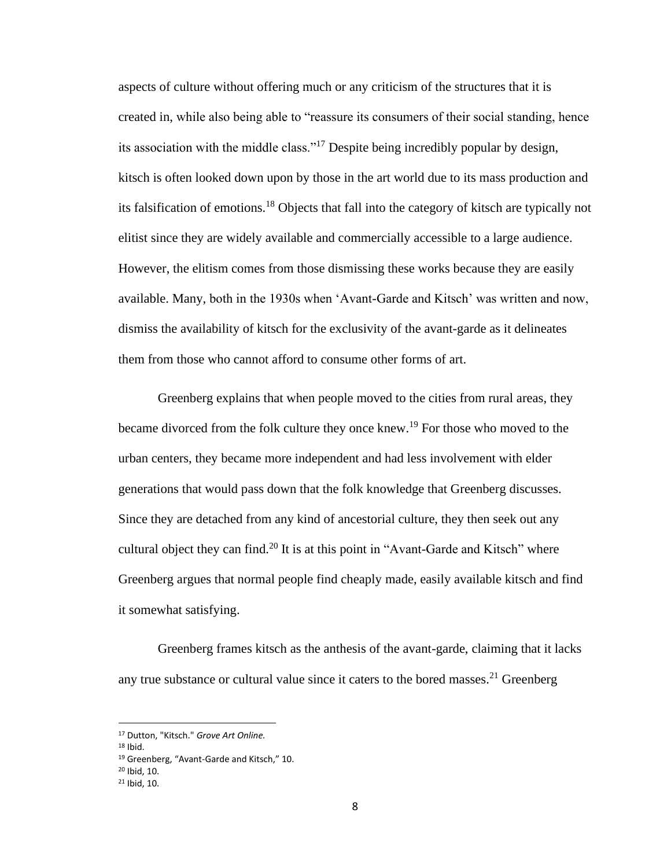aspects of culture without offering much or any criticism of the structures that it is created in, while also being able to "reassure its consumers of their social standing, hence its association with the middle class."<sup>17</sup> Despite being incredibly popular by design, kitsch is often looked down upon by those in the art world due to its mass production and its falsification of emotions.<sup>18</sup> Objects that fall into the category of kitsch are typically not elitist since they are widely available and commercially accessible to a large audience. However, the elitism comes from those dismissing these works because they are easily available. Many, both in the 1930s when 'Avant-Garde and Kitsch' was written and now, dismiss the availability of kitsch for the exclusivity of the avant-garde as it delineates them from those who cannot afford to consume other forms of art.

Greenberg explains that when people moved to the cities from rural areas, they became divorced from the folk culture they once knew.<sup>19</sup> For those who moved to the urban centers, they became more independent and had less involvement with elder generations that would pass down that the folk knowledge that Greenberg discusses. Since they are detached from any kind of ancestorial culture, they then seek out any cultural object they can find.<sup>20</sup> It is at this point in "Avant-Garde and Kitsch" where Greenberg argues that normal people find cheaply made, easily available kitsch and find it somewhat satisfying.

Greenberg frames kitsch as the anthesis of the avant-garde, claiming that it lacks any true substance or cultural value since it caters to the bored masses.<sup>21</sup> Greenberg

<sup>17</sup> Dutton, "Kitsch." *Grove Art Online.*

<sup>18</sup> Ibid.

<sup>19</sup> Greenberg, "Avant-Garde and Kitsch," 10.

<sup>20</sup> Ibid, 10.

<sup>21</sup> Ibid, 10.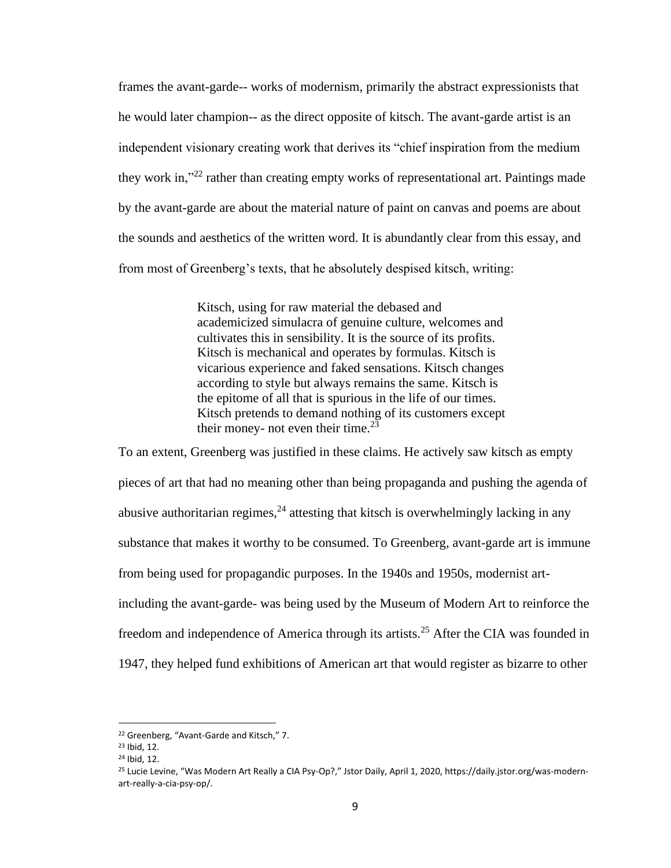frames the avant-garde-- works of modernism, primarily the abstract expressionists that he would later champion-- as the direct opposite of kitsch. The avant-garde artist is an independent visionary creating work that derives its "chief inspiration from the medium they work in,<sup>"22</sup> rather than creating empty works of representational art. Paintings made by the avant-garde are about the material nature of paint on canvas and poems are about the sounds and aesthetics of the written word. It is abundantly clear from this essay, and from most of Greenberg's texts, that he absolutely despised kitsch, writing:

> Kitsch, using for raw material the debased and academicized simulacra of genuine culture, welcomes and cultivates this in sensibility. It is the source of its profits. Kitsch is mechanical and operates by formulas. Kitsch is vicarious experience and faked sensations. Kitsch changes according to style but always remains the same. Kitsch is the epitome of all that is spurious in the life of our times. Kitsch pretends to demand nothing of its customers except their money- not even their time. $2\overline{3}$

To an extent, Greenberg was justified in these claims. He actively saw kitsch as empty pieces of art that had no meaning other than being propaganda and pushing the agenda of abusive authoritarian regimes,  $24$  attesting that kitsch is overwhelmingly lacking in any substance that makes it worthy to be consumed. To Greenberg, avant-garde art is immune from being used for propagandic purposes. In the 1940s and 1950s, modernist artincluding the avant-garde- was being used by the Museum of Modern Art to reinforce the freedom and independence of America through its artists.<sup>25</sup> After the CIA was founded in 1947, they helped fund exhibitions of American art that would register as bizarre to other

<sup>22</sup> Greenberg, "Avant-Garde and Kitsch," 7.

<sup>23</sup> Ibid, 12.

<sup>24</sup> Ibid, 12.

<sup>25</sup> Lucie Levine, "Was Modern Art Really a CIA Psy-Op?," Jstor Daily, April 1, 2020, https://daily.jstor.org/was-modernart-really-a-cia-psy-op/.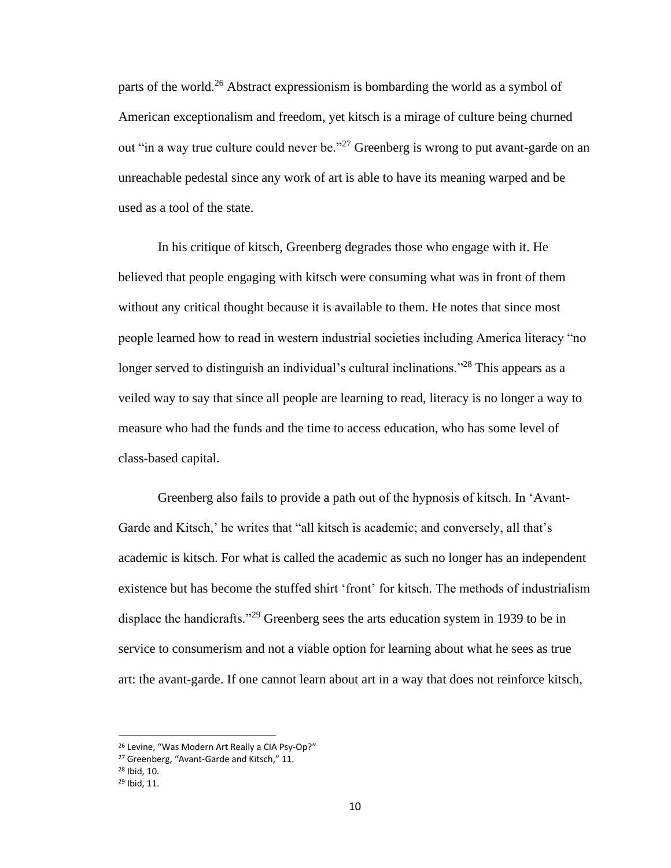parts of the world.<sup>26</sup> Abstract expressionism is bombarding the world as a symbol of American exceptionalism and freedom, yet kitsch is a mirage of culture being churned out "in a way true culture could never be."<sup>27</sup> Greenberg is wrong to put avant-garde on an unreachable pedestal since any work of art is able to have its meaning warped and be used as a tool of the state.

In his critique of kitsch, Greenberg degrades those who engage with it. He believed that people engaging with kitsch were consuming what was in front of them without any critical thought because it is available to them. He notes that since most people learned how to read in western industrial societies including America literacy "no longer served to distinguish an individual's cultural inclinations."<sup>28</sup> This appears as a veiled way to say that since all people are learning to read, literacy is no longer a way to measure who had the funds and the time to access education, who has some level of class-based capital.

Greenberg also fails to provide a path out of the hypnosis of kitsch. In 'Avant-Garde and Kitsch,' he writes that "all kitsch is academic; and conversely, all that's academic is kitsch. For what is called the academic as such no longer has an independent existence but has become the stuffed shirt 'front' for kitsch. The methods of industrialism displace the handicrafts.<sup>229</sup> Greenberg sees the arts education system in 1939 to be in service to consumerism and not a viable option for learning about what he sees as true art: the avant-garde. If one cannot learn about art in a way that does not reinforce kitsch,

<sup>26</sup> Levine, "Was Modern Art Really a CIA Psy-Op?"

<sup>27</sup> Greenberg, "Avant-Garde and Kitsch," 11.

<sup>28</sup> Ibid, 10.

<sup>29</sup> Ibid, 11.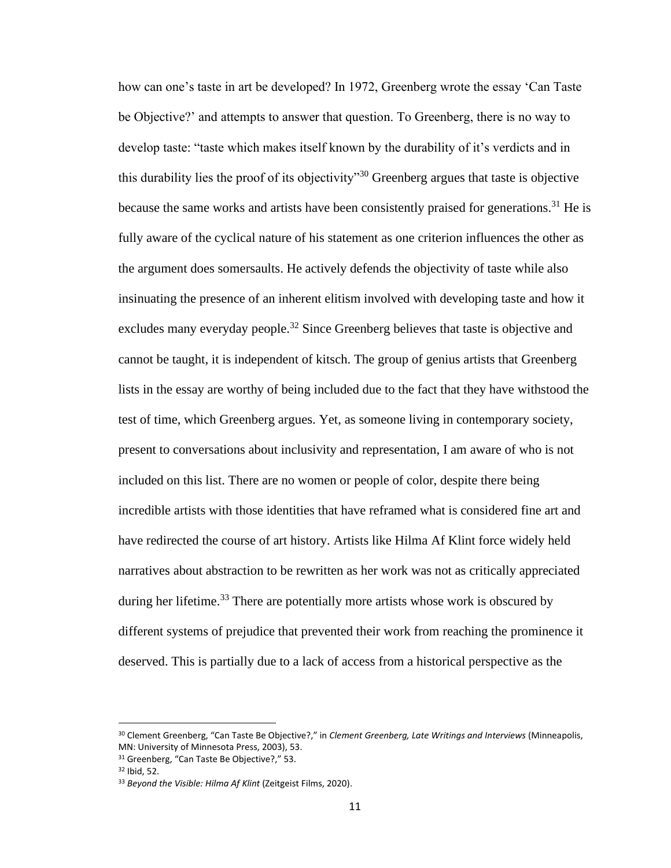how can one's taste in art be developed? In 1972, Greenberg wrote the essay 'Can Taste be Objective?' and attempts to answer that question. To Greenberg, there is no way to develop taste: "taste which makes itself known by the durability of it's verdicts and in this durability lies the proof of its objectivity<sup> $30$ </sup> Greenberg argues that taste is objective because the same works and artists have been consistently praised for generations.<sup>31</sup> He is fully aware of the cyclical nature of his statement as one criterion influences the other as the argument does somersaults. He actively defends the objectivity of taste while also insinuating the presence of an inherent elitism involved with developing taste and how it excludes many everyday people.<sup>32</sup> Since Greenberg believes that taste is objective and cannot be taught, it is independent of kitsch. The group of genius artists that Greenberg lists in the essay are worthy of being included due to the fact that they have withstood the test of time, which Greenberg argues. Yet, as someone living in contemporary society, present to conversations about inclusivity and representation, I am aware of who is not included on this list. There are no women or people of color, despite there being incredible artists with those identities that have reframed what is considered fine art and have redirected the course of art history. Artists like Hilma Af Klint force widely held narratives about abstraction to be rewritten as her work was not as critically appreciated during her lifetime.<sup>33</sup> There are potentially more artists whose work is obscured by different systems of prejudice that prevented their work from reaching the prominence it deserved. This is partially due to a lack of access from a historical perspective as the

<sup>30</sup> Clement Greenberg, "Can Taste Be Objective?," in *Clement Greenberg, Late Writings and Interviews* (Minneapolis, MN: University of Minnesota Press, 2003), 53.

<sup>31</sup> Greenberg, "Can Taste Be Objective?," 53.

<sup>32</sup> Ibid, 52.

<sup>33</sup> *Beyond the Visible: Hilma Af Klint* (Zeitgeist Films, 2020).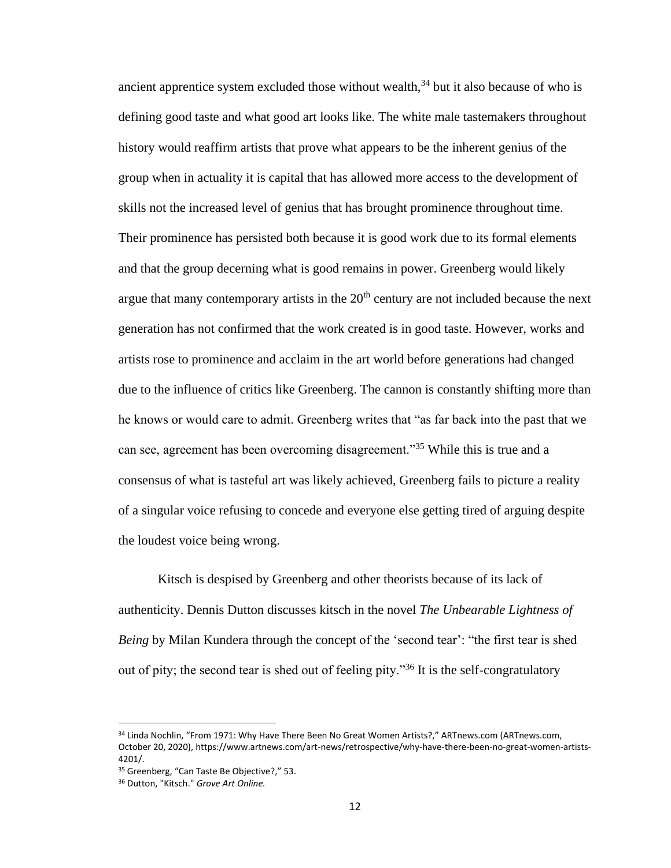ancient apprentice system excluded those without wealth, $34$  but it also because of who is defining good taste and what good art looks like. The white male tastemakers throughout history would reaffirm artists that prove what appears to be the inherent genius of the group when in actuality it is capital that has allowed more access to the development of skills not the increased level of genius that has brought prominence throughout time. Their prominence has persisted both because it is good work due to its formal elements and that the group decerning what is good remains in power. Greenberg would likely argue that many contemporary artists in the  $20<sup>th</sup>$  century are not included because the next generation has not confirmed that the work created is in good taste. However, works and artists rose to prominence and acclaim in the art world before generations had changed due to the influence of critics like Greenberg. The cannon is constantly shifting more than he knows or would care to admit. Greenberg writes that "as far back into the past that we can see, agreement has been overcoming disagreement."<sup>35</sup> While this is true and a consensus of what is tasteful art was likely achieved, Greenberg fails to picture a reality of a singular voice refusing to concede and everyone else getting tired of arguing despite the loudest voice being wrong.

Kitsch is despised by Greenberg and other theorists because of its lack of authenticity. Dennis Dutton discusses kitsch in the novel *The Unbearable Lightness of Being* by Milan Kundera through the concept of the 'second tear': "the first tear is shed out of pity; the second tear is shed out of feeling pity."<sup>36</sup> It is the self-congratulatory

<sup>34</sup> Linda Nochlin, "From 1971: Why Have There Been No Great Women Artists?," ARTnews.com (ARTnews.com, October 20, 2020), https://www.artnews.com/art-news/retrospective/why-have-there-been-no-great-women-artists-4201/.

<sup>35</sup> Greenberg, "Can Taste Be Objective?," 53.

<sup>36</sup> Dutton, "Kitsch." *Grove Art Online.*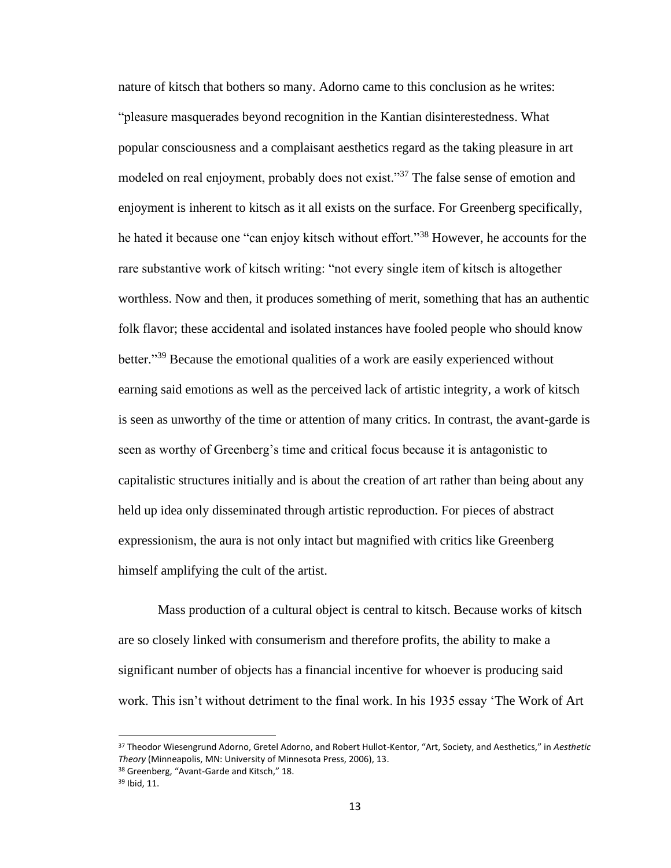nature of kitsch that bothers so many. Adorno came to this conclusion as he writes: "pleasure masquerades beyond recognition in the Kantian disinterestedness. What popular consciousness and a complaisant aesthetics regard as the taking pleasure in art modeled on real enjoyment, probably does not exist."<sup>37</sup> The false sense of emotion and enjoyment is inherent to kitsch as it all exists on the surface. For Greenberg specifically, he hated it because one "can enjoy kitsch without effort."<sup>38</sup> However, he accounts for the rare substantive work of kitsch writing: "not every single item of kitsch is altogether worthless. Now and then, it produces something of merit, something that has an authentic folk flavor; these accidental and isolated instances have fooled people who should know better."<sup>39</sup> Because the emotional qualities of a work are easily experienced without earning said emotions as well as the perceived lack of artistic integrity, a work of kitsch is seen as unworthy of the time or attention of many critics. In contrast, the avant-garde is seen as worthy of Greenberg's time and critical focus because it is antagonistic to capitalistic structures initially and is about the creation of art rather than being about any held up idea only disseminated through artistic reproduction. For pieces of abstract expressionism, the aura is not only intact but magnified with critics like Greenberg himself amplifying the cult of the artist.

Mass production of a cultural object is central to kitsch. Because works of kitsch are so closely linked with consumerism and therefore profits, the ability to make a significant number of objects has a financial incentive for whoever is producing said work. This isn't without detriment to the final work. In his 1935 essay 'The Work of Art

<sup>37</sup> Theodor Wiesengrund Adorno, Gretel Adorno, and Robert Hullot-Kentor, "Art, Society, and Aesthetics," in *Aesthetic Theory* (Minneapolis, MN: University of Minnesota Press, 2006), 13.

<sup>38</sup> Greenberg, "Avant-Garde and Kitsch," 18.

<sup>39</sup> Ibid, 11.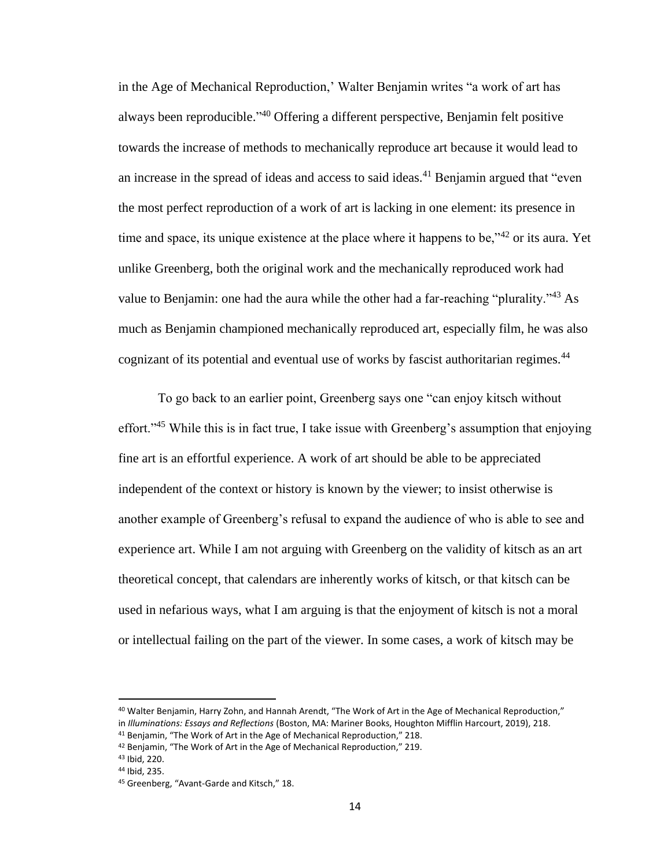in the Age of Mechanical Reproduction,' Walter Benjamin writes "a work of art has always been reproducible." <sup>40</sup> Offering a different perspective, Benjamin felt positive towards the increase of methods to mechanically reproduce art because it would lead to an increase in the spread of ideas and access to said ideas.<sup>41</sup> Benjamin argued that "even" the most perfect reproduction of a work of art is lacking in one element: its presence in time and space, its unique existence at the place where it happens to be,<sup> $342$ </sup> or its aura. Yet unlike Greenberg, both the original work and the mechanically reproduced work had value to Benjamin: one had the aura while the other had a far-reaching "plurality."<sup>43</sup> As much as Benjamin championed mechanically reproduced art, especially film, he was also cognizant of its potential and eventual use of works by fascist authoritarian regimes.<sup>44</sup>

To go back to an earlier point, Greenberg says one "can enjoy kitsch without effort."<sup>45</sup> While this is in fact true, I take issue with Greenberg's assumption that enjoying fine art is an effortful experience. A work of art should be able to be appreciated independent of the context or history is known by the viewer; to insist otherwise is another example of Greenberg's refusal to expand the audience of who is able to see and experience art. While I am not arguing with Greenberg on the validity of kitsch as an art theoretical concept, that calendars are inherently works of kitsch, or that kitsch can be used in nefarious ways, what I am arguing is that the enjoyment of kitsch is not a moral or intellectual failing on the part of the viewer. In some cases, a work of kitsch may be

<sup>40</sup> Walter Benjamin, Harry Zohn, and Hannah Arendt, "The Work of Art in the Age of Mechanical Reproduction," in *Illuminations: Essays and Reflections* (Boston, MA: Mariner Books, Houghton Mifflin Harcourt, 2019), 218. <sup>41</sup> Benjamin, "The Work of Art in the Age of Mechanical Reproduction," 218.

<sup>42</sup> Benjamin, "The Work of Art in the Age of Mechanical Reproduction," 219.

<sup>43</sup> Ibid, 220.

<sup>44</sup> Ibid, 235.

<sup>45</sup> Greenberg, "Avant-Garde and Kitsch," 18.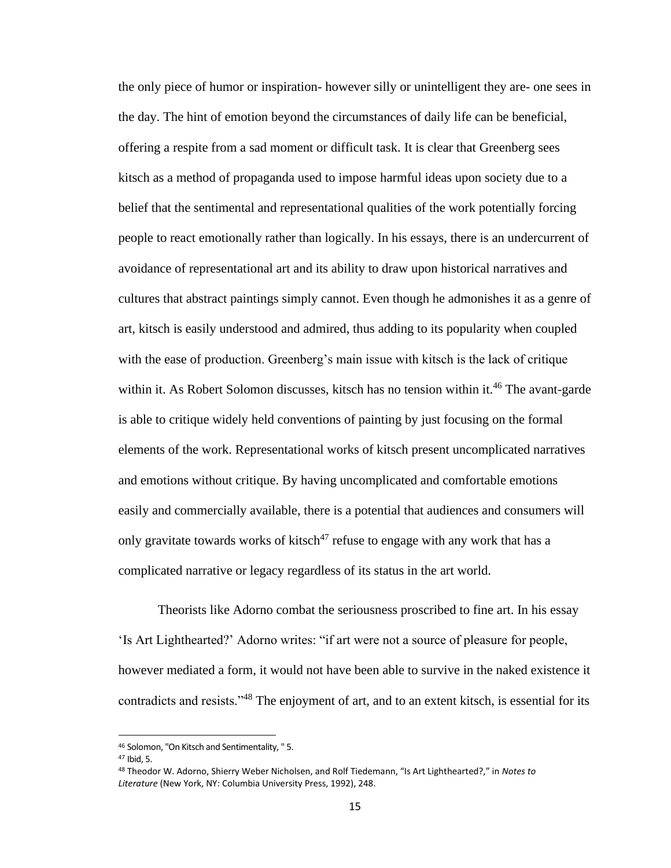the only piece of humor or inspiration- however silly or unintelligent they are- one sees in the day. The hint of emotion beyond the circumstances of daily life can be beneficial, offering a respite from a sad moment or difficult task. It is clear that Greenberg sees kitsch as a method of propaganda used to impose harmful ideas upon society due to a belief that the sentimental and representational qualities of the work potentially forcing people to react emotionally rather than logically. In his essays, there is an undercurrent of avoidance of representational art and its ability to draw upon historical narratives and cultures that abstract paintings simply cannot. Even though he admonishes it as a genre of art, kitsch is easily understood and admired, thus adding to its popularity when coupled with the ease of production. Greenberg's main issue with kitsch is the lack of critique within it. As Robert Solomon discusses, kitsch has no tension within it.<sup>46</sup> The avant-garde is able to critique widely held conventions of painting by just focusing on the formal elements of the work. Representational works of kitsch present uncomplicated narratives and emotions without critique. By having uncomplicated and comfortable emotions easily and commercially available, there is a potential that audiences and consumers will only gravitate towards works of kitsch<sup>47</sup> refuse to engage with any work that has a complicated narrative or legacy regardless of its status in the art world.

Theorists like Adorno combat the seriousness proscribed to fine art. In his essay 'Is Art Lighthearted?' Adorno writes: "if art were not a source of pleasure for people, however mediated a form, it would not have been able to survive in the naked existence it contradicts and resists."<sup>48</sup> The enjoyment of art, and to an extent kitsch, is essential for its

<sup>46</sup> Solomon, "On Kitsch and Sentimentality, " 5.

<sup>47</sup> Ibid, 5.

<sup>48</sup> Theodor W. Adorno, Shierry Weber Nicholsen, and Rolf Tiedemann, "Is Art Lighthearted?," in *Notes to Literature* (New York, NY: Columbia University Press, 1992), 248.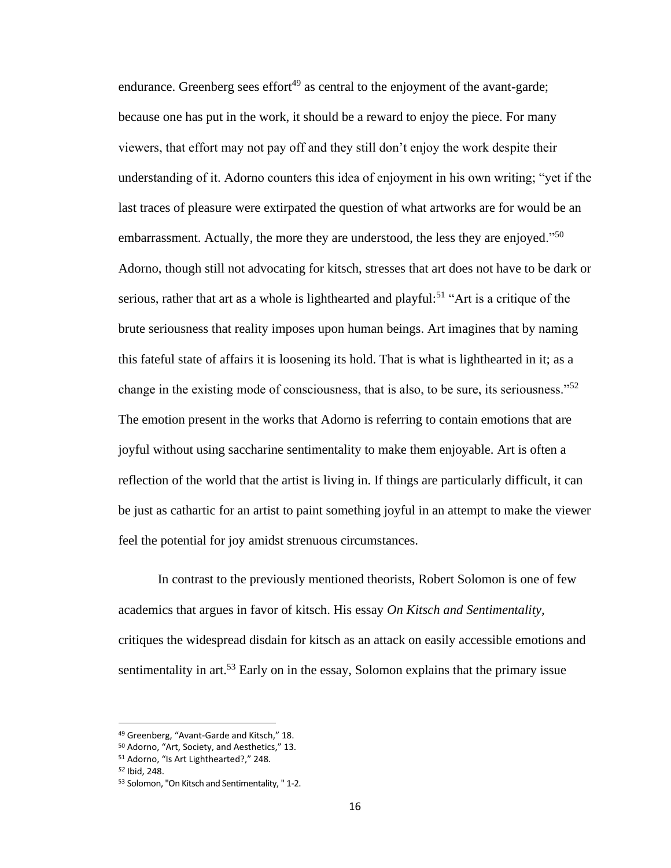endurance. Greenberg sees effort $49$  as central to the enjoyment of the avant-garde; because one has put in the work, it should be a reward to enjoy the piece. For many viewers, that effort may not pay off and they still don't enjoy the work despite their understanding of it. Adorno counters this idea of enjoyment in his own writing; "yet if the last traces of pleasure were extirpated the question of what artworks are for would be an embarrassment. Actually, the more they are understood, the less they are enjoyed. $^{50}$ Adorno, though still not advocating for kitsch, stresses that art does not have to be dark or serious, rather that art as a whole is lighthearted and playful:<sup>51</sup> "Art is a critique of the brute seriousness that reality imposes upon human beings. Art imagines that by naming this fateful state of affairs it is loosening its hold. That is what is lighthearted in it; as a change in the existing mode of consciousness, that is also, to be sure, its seriousness."<sup>52</sup> The emotion present in the works that Adorno is referring to contain emotions that are joyful without using saccharine sentimentality to make them enjoyable. Art is often a reflection of the world that the artist is living in. If things are particularly difficult, it can be just as cathartic for an artist to paint something joyful in an attempt to make the viewer feel the potential for joy amidst strenuous circumstances.

In contrast to the previously mentioned theorists, Robert Solomon is one of few academics that argues in favor of kitsch. His essay *On Kitsch and Sentimentality,*  critiques the widespread disdain for kitsch as an attack on easily accessible emotions and sentimentality in art.<sup>53</sup> Early on in the essay, Solomon explains that the primary issue

<sup>49</sup> Greenberg, "Avant-Garde and Kitsch," 18.

<sup>50</sup> Adorno, "Art, Society, and Aesthetics," 13.

<sup>51</sup> Adorno, "Is Art Lighthearted?," 248.

*<sup>52</sup>* Ibid, 248.

<sup>53</sup> Solomon, "On Kitsch and Sentimentality, " 1-2.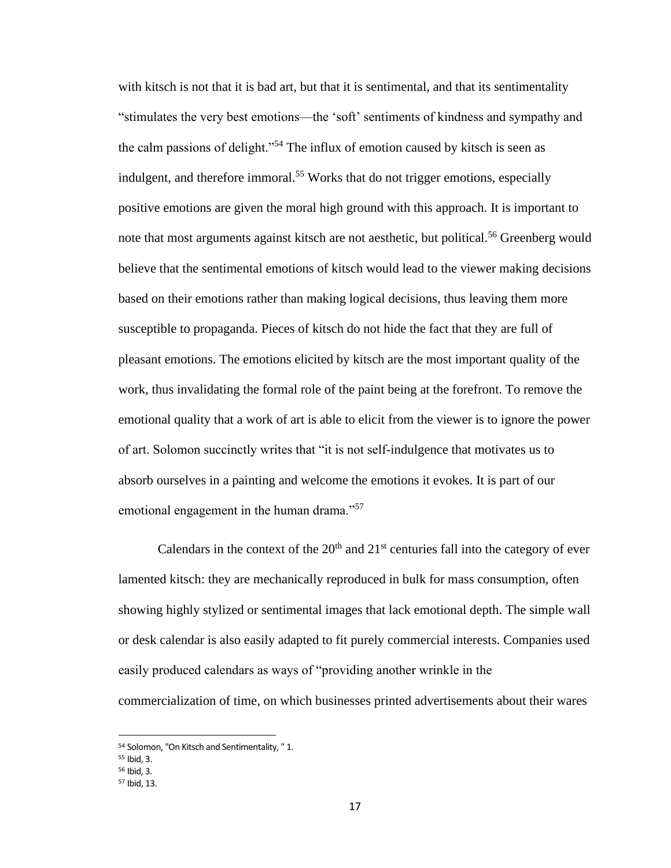with kitsch is not that it is bad art, but that it is sentimental, and that its sentimentality "stimulates the very best emotions—the 'soft' sentiments of kindness and sympathy and the calm passions of delight."<sup>54</sup> The influx of emotion caused by kitsch is seen as indulgent, and therefore immoral.<sup>55</sup> Works that do not trigger emotions, especially positive emotions are given the moral high ground with this approach. It is important to note that most arguments against kitsch are not aesthetic, but political.<sup>56</sup> Greenberg would believe that the sentimental emotions of kitsch would lead to the viewer making decisions based on their emotions rather than making logical decisions, thus leaving them more susceptible to propaganda. Pieces of kitsch do not hide the fact that they are full of pleasant emotions. The emotions elicited by kitsch are the most important quality of the work, thus invalidating the formal role of the paint being at the forefront. To remove the emotional quality that a work of art is able to elicit from the viewer is to ignore the power of art. Solomon succinctly writes that "it is not self-indulgence that motivates us to absorb ourselves in a painting and welcome the emotions it evokes. It is part of our emotional engagement in the human drama."<sup>57</sup>

Calendars in the context of the  $20<sup>th</sup>$  and  $21<sup>st</sup>$  centuries fall into the category of ever lamented kitsch: they are mechanically reproduced in bulk for mass consumption, often showing highly stylized or sentimental images that lack emotional depth. The simple wall or desk calendar is also easily adapted to fit purely commercial interests. Companies used easily produced calendars as ways of "providing another wrinkle in the commercialization of time, on which businesses printed advertisements about their wares

<sup>54</sup> Solomon, "On Kitsch and Sentimentality, " 1.

<sup>55</sup> Ibid, 3.

<sup>56</sup> Ibid, 3.

<sup>57</sup> Ibid, 13.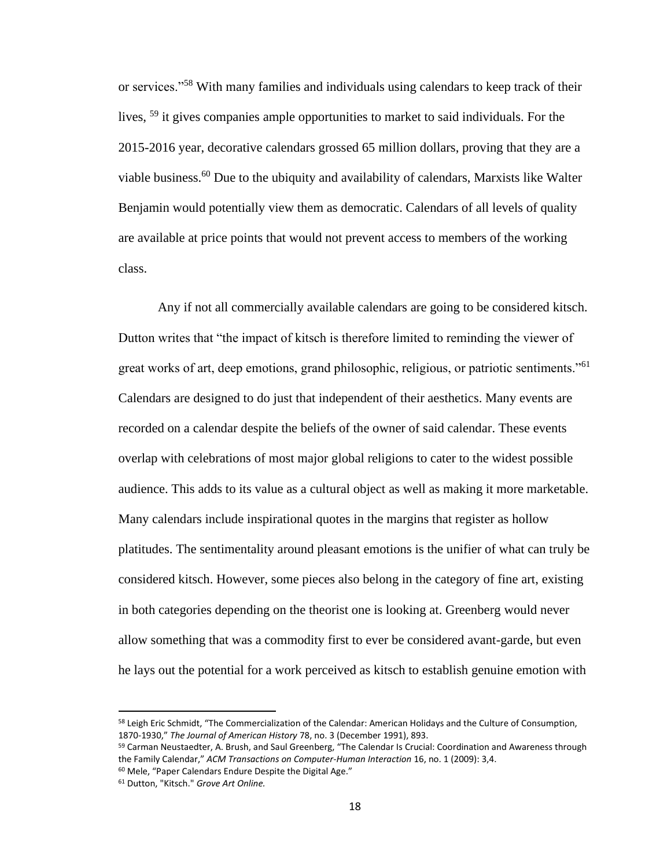or services."<sup>58</sup> With many families and individuals using calendars to keep track of their lives, <sup>59</sup> it gives companies ample opportunities to market to said individuals. For the 2015-2016 year, decorative calendars grossed 65 million dollars, proving that they are a viable business.<sup>60</sup> Due to the ubiquity and availability of calendars, Marxists like Walter Benjamin would potentially view them as democratic. Calendars of all levels of quality are available at price points that would not prevent access to members of the working class.

Any if not all commercially available calendars are going to be considered kitsch. Dutton writes that "the impact of kitsch is therefore limited to reminding the viewer of great works of art, deep emotions, grand philosophic, religious, or patriotic sentiments."<sup>61</sup> Calendars are designed to do just that independent of their aesthetics. Many events are recorded on a calendar despite the beliefs of the owner of said calendar. These events overlap with celebrations of most major global religions to cater to the widest possible audience. This adds to its value as a cultural object as well as making it more marketable. Many calendars include inspirational quotes in the margins that register as hollow platitudes. The sentimentality around pleasant emotions is the unifier of what can truly be considered kitsch. However, some pieces also belong in the category of fine art, existing in both categories depending on the theorist one is looking at. Greenberg would never allow something that was a commodity first to ever be considered avant-garde, but even he lays out the potential for a work perceived as kitsch to establish genuine emotion with

<sup>58</sup> Leigh Eric Schmidt, "The Commercialization of the Calendar: American Holidays and the Culture of Consumption, 1870-1930," *The Journal of American History* 78, no. 3 (December 1991), 893.

<sup>59</sup> Carman Neustaedter, A. Brush, and Saul Greenberg, "The Calendar Is Crucial: Coordination and Awareness through the Family Calendar," *ACM Transactions on Computer-Human Interaction* 16, no. 1 (2009): 3,4. <sup>60</sup> Mele, "Paper Calendars Endure Despite the Digital Age."

<sup>61</sup> Dutton, "Kitsch." *Grove Art Online.*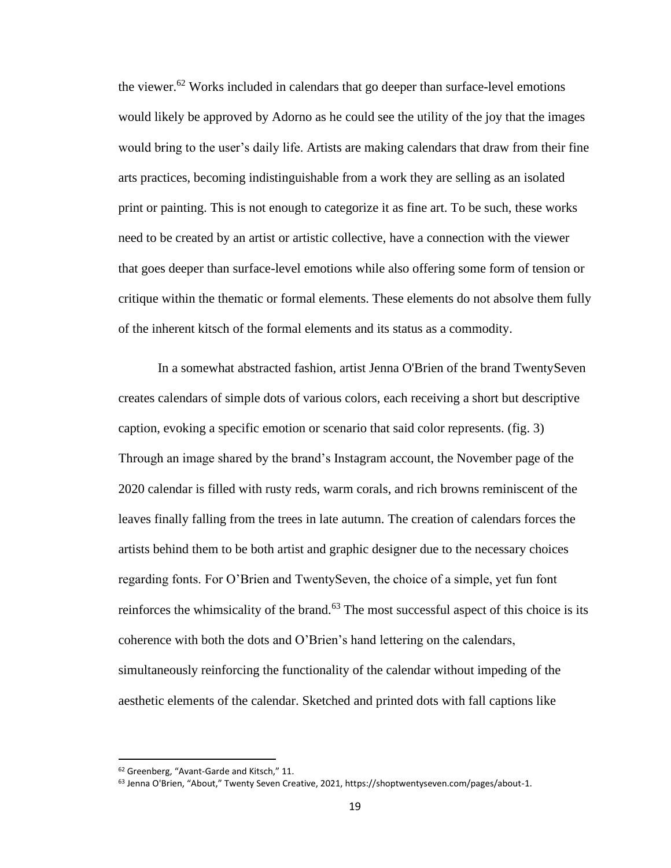the viewer.<sup>62</sup> Works included in calendars that go deeper than surface-level emotions would likely be approved by Adorno as he could see the utility of the joy that the images would bring to the user's daily life. Artists are making calendars that draw from their fine arts practices, becoming indistinguishable from a work they are selling as an isolated print or painting. This is not enough to categorize it as fine art. To be such, these works need to be created by an artist or artistic collective, have a connection with the viewer that goes deeper than surface-level emotions while also offering some form of tension or critique within the thematic or formal elements. These elements do not absolve them fully of the inherent kitsch of the formal elements and its status as a commodity.

In a somewhat abstracted fashion, artist Jenna O'Brien of the brand TwentySeven creates calendars of simple dots of various colors, each receiving a short but descriptive caption, evoking a specific emotion or scenario that said color represents. (fig. 3) Through an image shared by the brand's Instagram account, the November page of the 2020 calendar is filled with rusty reds, warm corals, and rich browns reminiscent of the leaves finally falling from the trees in late autumn. The creation of calendars forces the artists behind them to be both artist and graphic designer due to the necessary choices regarding fonts. For O'Brien and TwentySeven, the choice of a simple, yet fun font reinforces the whimsicality of the brand.<sup>63</sup> The most successful aspect of this choice is its coherence with both the dots and O'Brien's hand lettering on the calendars, simultaneously reinforcing the functionality of the calendar without impeding of the aesthetic elements of the calendar. Sketched and printed dots with fall captions like

<sup>62</sup> Greenberg, "Avant-Garde and Kitsch," 11.

<sup>&</sup>lt;sup>63</sup> Jenna O'Brien, "About," Twenty Seven Creative, 2021, https://shoptwentyseven.com/pages/about-1.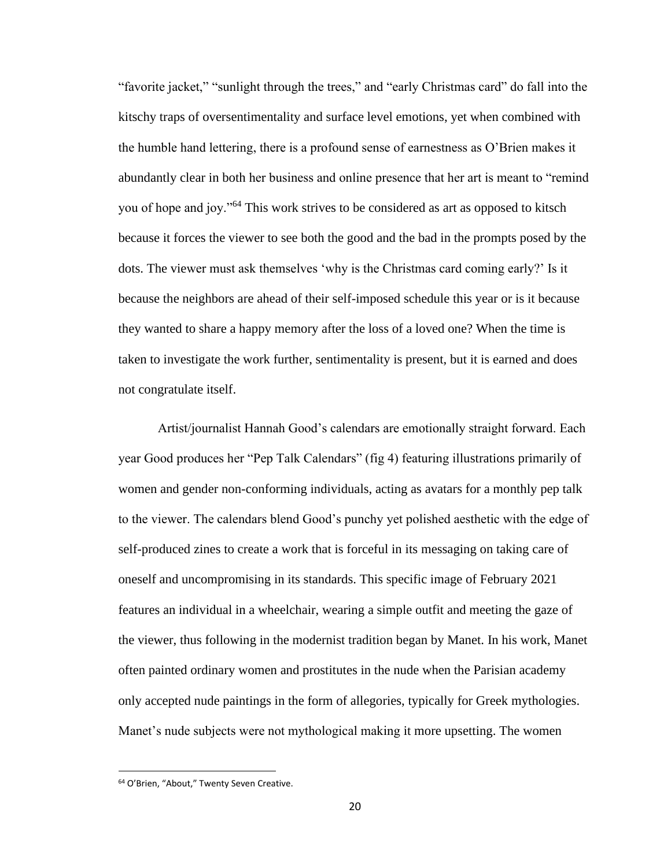"favorite jacket," "sunlight through the trees," and "early Christmas card" do fall into the kitschy traps of oversentimentality and surface level emotions, yet when combined with the humble hand lettering, there is a profound sense of earnestness as O'Brien makes it abundantly clear in both her business and online presence that her art is meant to "remind you of hope and joy."<sup>64</sup> This work strives to be considered as art as opposed to kitsch because it forces the viewer to see both the good and the bad in the prompts posed by the dots. The viewer must ask themselves 'why is the Christmas card coming early?' Is it because the neighbors are ahead of their self-imposed schedule this year or is it because they wanted to share a happy memory after the loss of a loved one? When the time is taken to investigate the work further, sentimentality is present, but it is earned and does not congratulate itself.

Artist/journalist Hannah Good's calendars are emotionally straight forward. Each year Good produces her "Pep Talk Calendars" (fig 4) featuring illustrations primarily of women and gender non-conforming individuals, acting as avatars for a monthly pep talk to the viewer. The calendars blend Good's punchy yet polished aesthetic with the edge of self-produced zines to create a work that is forceful in its messaging on taking care of oneself and uncompromising in its standards. This specific image of February 2021 features an individual in a wheelchair, wearing a simple outfit and meeting the gaze of the viewer, thus following in the modernist tradition began by Manet. In his work, Manet often painted ordinary women and prostitutes in the nude when the Parisian academy only accepted nude paintings in the form of allegories, typically for Greek mythologies. Manet's nude subjects were not mythological making it more upsetting. The women

<sup>64</sup> O'Brien, "About," Twenty Seven Creative.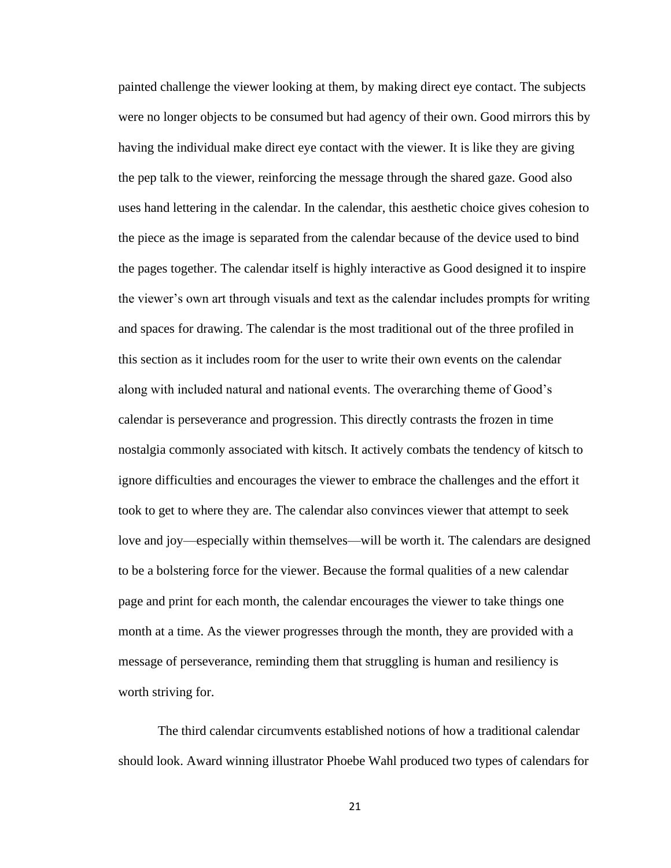painted challenge the viewer looking at them, by making direct eye contact. The subjects were no longer objects to be consumed but had agency of their own. Good mirrors this by having the individual make direct eye contact with the viewer. It is like they are giving the pep talk to the viewer, reinforcing the message through the shared gaze. Good also uses hand lettering in the calendar. In the calendar, this aesthetic choice gives cohesion to the piece as the image is separated from the calendar because of the device used to bind the pages together. The calendar itself is highly interactive as Good designed it to inspire the viewer's own art through visuals and text as the calendar includes prompts for writing and spaces for drawing. The calendar is the most traditional out of the three profiled in this section as it includes room for the user to write their own events on the calendar along with included natural and national events. The overarching theme of Good's calendar is perseverance and progression. This directly contrasts the frozen in time nostalgia commonly associated with kitsch. It actively combats the tendency of kitsch to ignore difficulties and encourages the viewer to embrace the challenges and the effort it took to get to where they are. The calendar also convinces viewer that attempt to seek love and joy—especially within themselves—will be worth it. The calendars are designed to be a bolstering force for the viewer. Because the formal qualities of a new calendar page and print for each month, the calendar encourages the viewer to take things one month at a time. As the viewer progresses through the month, they are provided with a message of perseverance, reminding them that struggling is human and resiliency is worth striving for.

The third calendar circumvents established notions of how a traditional calendar should look. Award winning illustrator Phoebe Wahl produced two types of calendars for

21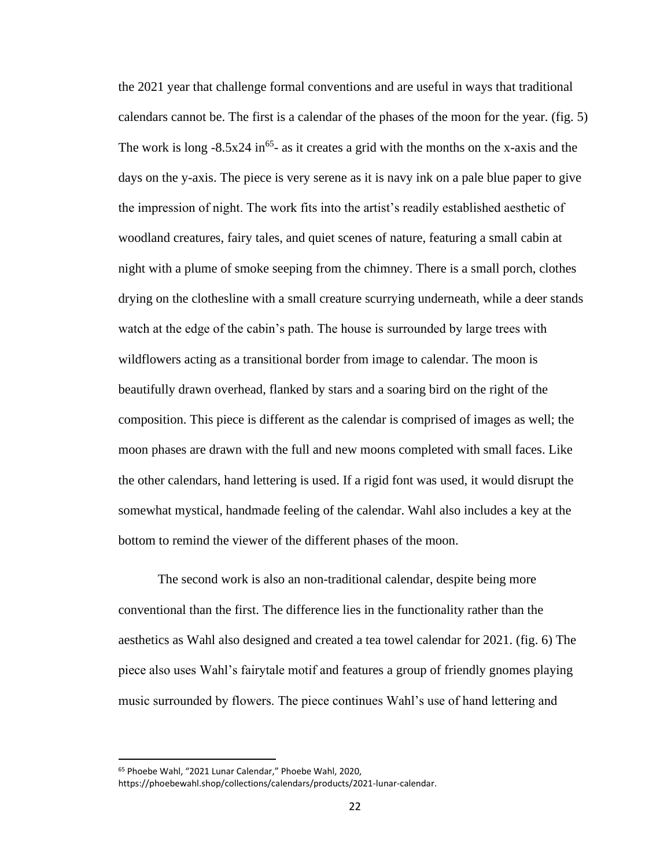the 2021 year that challenge formal conventions and are useful in ways that traditional calendars cannot be. The first is a calendar of the phases of the moon for the year. (fig. 5) The work is long  $-8.5x24$  in<sup>65</sup>- as it creates a grid with the months on the x-axis and the days on the y-axis. The piece is very serene as it is navy ink on a pale blue paper to give the impression of night. The work fits into the artist's readily established aesthetic of woodland creatures, fairy tales, and quiet scenes of nature, featuring a small cabin at night with a plume of smoke seeping from the chimney. There is a small porch, clothes drying on the clothesline with a small creature scurrying underneath, while a deer stands watch at the edge of the cabin's path. The house is surrounded by large trees with wildflowers acting as a transitional border from image to calendar. The moon is beautifully drawn overhead, flanked by stars and a soaring bird on the right of the composition. This piece is different as the calendar is comprised of images as well; the moon phases are drawn with the full and new moons completed with small faces. Like the other calendars, hand lettering is used. If a rigid font was used, it would disrupt the somewhat mystical, handmade feeling of the calendar. Wahl also includes a key at the bottom to remind the viewer of the different phases of the moon.

The second work is also an non-traditional calendar, despite being more conventional than the first. The difference lies in the functionality rather than the aesthetics as Wahl also designed and created a tea towel calendar for 2021. (fig. 6) The piece also uses Wahl's fairytale motif and features a group of friendly gnomes playing music surrounded by flowers. The piece continues Wahl's use of hand lettering and

<sup>65</sup> Phoebe Wahl, "2021 Lunar Calendar," Phoebe Wahl, 2020,

https://phoebewahl.shop/collections/calendars/products/2021-lunar-calendar.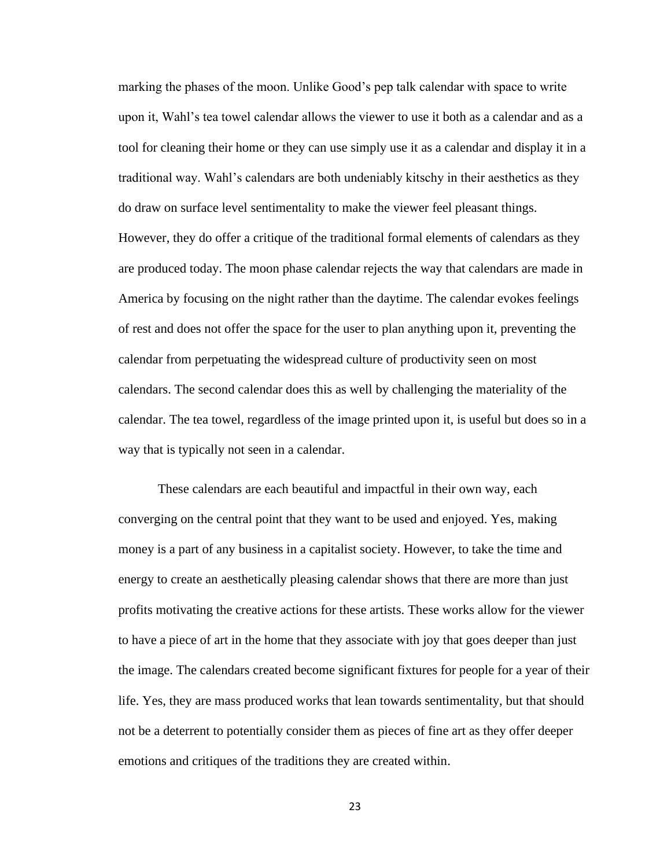marking the phases of the moon. Unlike Good's pep talk calendar with space to write upon it, Wahl's tea towel calendar allows the viewer to use it both as a calendar and as a tool for cleaning their home or they can use simply use it as a calendar and display it in a traditional way. Wahl's calendars are both undeniably kitschy in their aesthetics as they do draw on surface level sentimentality to make the viewer feel pleasant things. However, they do offer a critique of the traditional formal elements of calendars as they are produced today. The moon phase calendar rejects the way that calendars are made in America by focusing on the night rather than the daytime. The calendar evokes feelings of rest and does not offer the space for the user to plan anything upon it, preventing the calendar from perpetuating the widespread culture of productivity seen on most calendars. The second calendar does this as well by challenging the materiality of the calendar. The tea towel, regardless of the image printed upon it, is useful but does so in a way that is typically not seen in a calendar.

These calendars are each beautiful and impactful in their own way, each converging on the central point that they want to be used and enjoyed. Yes, making money is a part of any business in a capitalist society. However, to take the time and energy to create an aesthetically pleasing calendar shows that there are more than just profits motivating the creative actions for these artists. These works allow for the viewer to have a piece of art in the home that they associate with joy that goes deeper than just the image. The calendars created become significant fixtures for people for a year of their life. Yes, they are mass produced works that lean towards sentimentality, but that should not be a deterrent to potentially consider them as pieces of fine art as they offer deeper emotions and critiques of the traditions they are created within.

23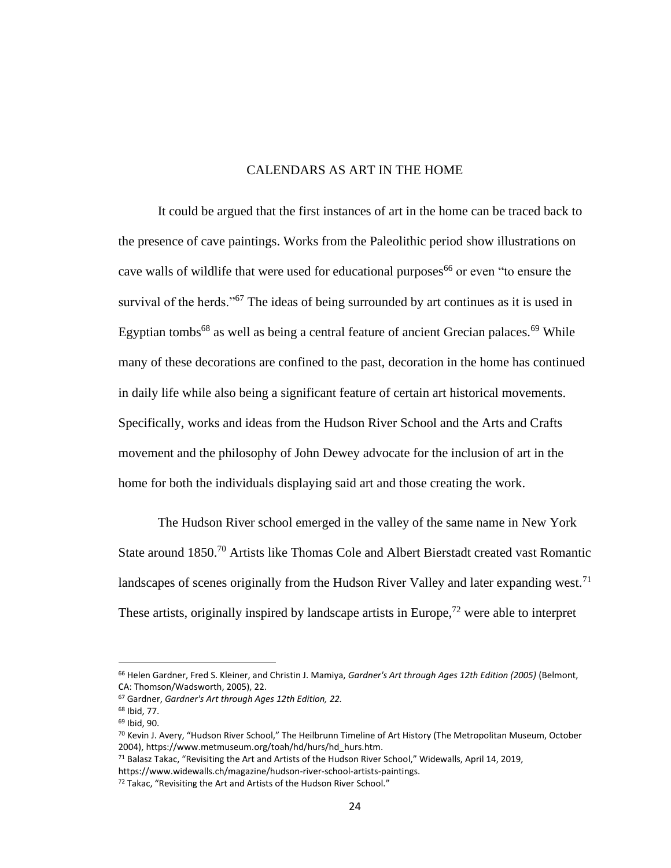#### CALENDARS AS ART IN THE HOME

<span id="page-33-0"></span>It could be argued that the first instances of art in the home can be traced back to the presence of cave paintings. Works from the Paleolithic period show illustrations on cave walls of wildlife that were used for educational purposes<sup>66</sup> or even "to ensure the survival of the herds."<sup>67</sup> The ideas of being surrounded by art continues as it is used in Egyptian tombs<sup>68</sup> as well as being a central feature of ancient Grecian palaces.<sup>69</sup> While many of these decorations are confined to the past, decoration in the home has continued in daily life while also being a significant feature of certain art historical movements. Specifically, works and ideas from the Hudson River School and the Arts and Crafts movement and the philosophy of John Dewey advocate for the inclusion of art in the home for both the individuals displaying said art and those creating the work.

The Hudson River school emerged in the valley of the same name in New York State around 1850.<sup>70</sup> Artists like Thomas Cole and Albert Bierstadt created vast Romantic landscapes of scenes originally from the Hudson River Valley and later expanding west.<sup>71</sup> These artists, originally inspired by landscape artists in Europe,<sup> $72$ </sup> were able to interpret

<sup>66</sup> Helen Gardner, Fred S. Kleiner, and Christin J. Mamiya, *Gardner's Art through Ages 12th Edition (2005)* (Belmont, CA: Thomson/Wadsworth, 2005), 22.

<sup>67</sup> Gardner, *Gardner's Art through Ages 12th Edition, 22.*

<sup>68</sup> Ibid, 77.

<sup>69</sup> Ibid, 90.

<sup>70</sup> Kevin J. Avery, "Hudson River School," The Heilbrunn Timeline of Art History (The Metropolitan Museum, October 2004), https://www.metmuseum.org/toah/hd/hurs/hd\_hurs.htm.

<sup>71</sup> Balasz Takac, "Revisiting the Art and Artists of the Hudson River School," Widewalls, April 14, 2019, https://www.widewalls.ch/magazine/hudson-river-school-artists-paintings.

<sup>72</sup> Takac, "Revisiting the Art and Artists of the Hudson River School."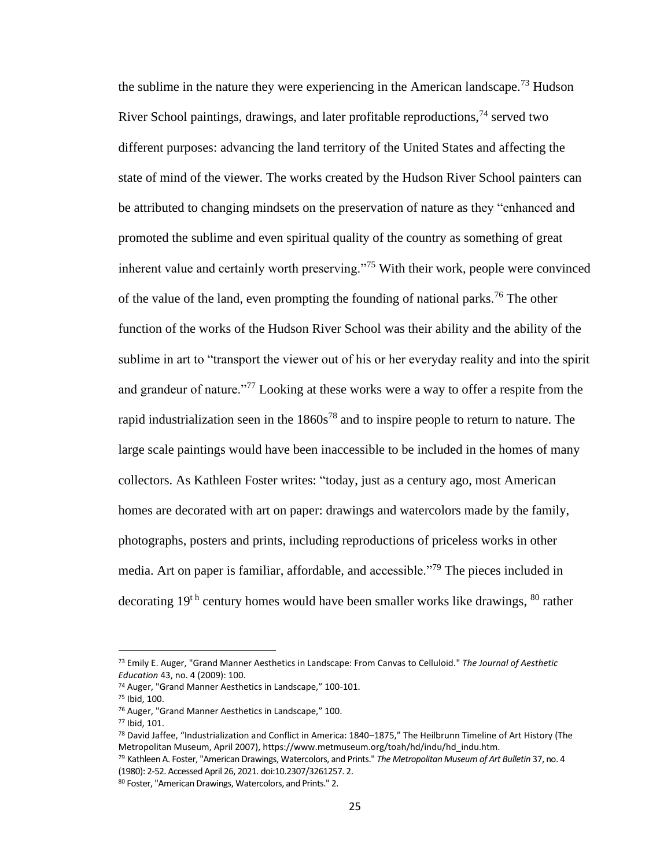the sublime in the nature they were experiencing in the American landscape.<sup>73</sup> Hudson River School paintings, drawings, and later profitable reproductions,  $^{74}$  served two different purposes: advancing the land territory of the United States and affecting the state of mind of the viewer. The works created by the Hudson River School painters can be attributed to changing mindsets on the preservation of nature as they "enhanced and promoted the sublime and even spiritual quality of the country as something of great inherent value and certainly worth preserving."<sup>75</sup> With their work, people were convinced of the value of the land, even prompting the founding of national parks.<sup>76</sup> The other function of the works of the Hudson River School was their ability and the ability of the sublime in art to "transport the viewer out of his or her everyday reality and into the spirit and grandeur of nature."<sup>77</sup> Looking at these works were a way to offer a respite from the rapid industrialization seen in the  $1860s^{78}$  and to inspire people to return to nature. The large scale paintings would have been inaccessible to be included in the homes of many collectors. As Kathleen Foster writes: "today, just as a century ago, most American homes are decorated with art on paper: drawings and watercolors made by the family, photographs, posters and prints, including reproductions of priceless works in other media. Art on paper is familiar, affordable, and accessible."<sup>79</sup> The pieces included in decorating 19<sup>th</sup> century homes would have been smaller works like drawings, <sup>80</sup> rather

<sup>73</sup> Emily E. Auger, "Grand Manner Aesthetics in Landscape: From Canvas to Celluloid." *The Journal of Aesthetic Education* 43, no. 4 (2009): 100.

<sup>74</sup> Auger, "Grand Manner Aesthetics in Landscape," 100-101.

<sup>75</sup> Ibid, 100.

<sup>76</sup> Auger, "Grand Manner Aesthetics in Landscape," 100.

<sup>77</sup> Ibid, 101.

<sup>78</sup> David Jaffee, "Industrialization and Conflict in America: 1840–1875," The Heilbrunn Timeline of Art History (The Metropolitan Museum, April 2007), https://www.metmuseum.org/toah/hd/indu/hd\_indu.htm.

<sup>79</sup> Kathleen A. Foster, "American Drawings, Watercolors, and Prints." *The Metropolitan Museum of Art Bulletin* 37, no. 4 (1980): 2-52. Accessed April 26, 2021. doi:10.2307/3261257. 2.

<sup>80</sup> Foster, "American Drawings, Watercolors, and Prints." 2.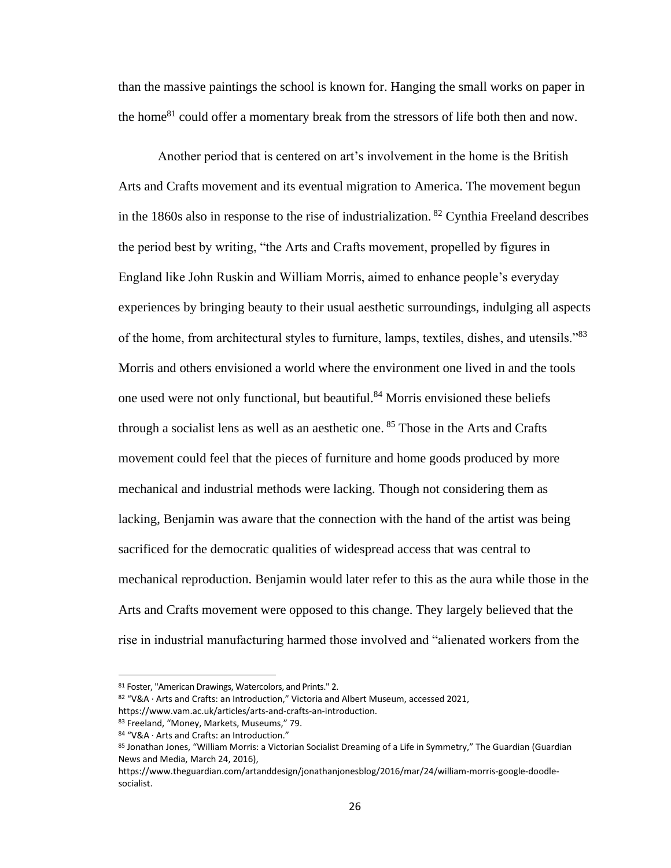than the massive paintings the school is known for. Hanging the small works on paper in the home<sup>81</sup> could offer a momentary break from the stressors of life both then and now.

Another period that is centered on art's involvement in the home is the British Arts and Crafts movement and its eventual migration to America. The movement begun in the 1860s also in response to the rise of industrialization. <sup>82</sup> Cynthia Freeland describes the period best by writing, "the Arts and Crafts movement, propelled by figures in England like John Ruskin and William Morris, aimed to enhance people's everyday experiences by bringing beauty to their usual aesthetic surroundings, indulging all aspects of the home, from architectural styles to furniture, lamps, textiles, dishes, and utensils."<sup>83</sup> Morris and others envisioned a world where the environment one lived in and the tools one used were not only functional, but beautiful.<sup>84</sup> Morris envisioned these beliefs through a socialist lens as well as an aesthetic one.  $85$  Those in the Arts and Crafts movement could feel that the pieces of furniture and home goods produced by more mechanical and industrial methods were lacking. Though not considering them as lacking, Benjamin was aware that the connection with the hand of the artist was being sacrificed for the democratic qualities of widespread access that was central to mechanical reproduction. Benjamin would later refer to this as the aura while those in the Arts and Crafts movement were opposed to this change. They largely believed that the rise in industrial manufacturing harmed those involved and "alienated workers from the

<sup>81</sup> Foster, "American Drawings, Watercolors, and Prints." 2.

<sup>82</sup> "V&A · Arts and Crafts: an Introduction," Victoria and Albert Museum, accessed 2021, https://www.vam.ac.uk/articles/arts-and-crafts-an-introduction.

<sup>83</sup> Freeland, "Money, Markets, Museums," 79.

<sup>84 &</sup>quot;V&A · Arts and Crafts: an Introduction."

<sup>85</sup> Jonathan Jones, "William Morris: a Victorian Socialist Dreaming of a Life in Symmetry," The Guardian (Guardian News and Media, March 24, 2016),

https://www.theguardian.com/artanddesign/jonathanjonesblog/2016/mar/24/william-morris-google-doodlesocialist.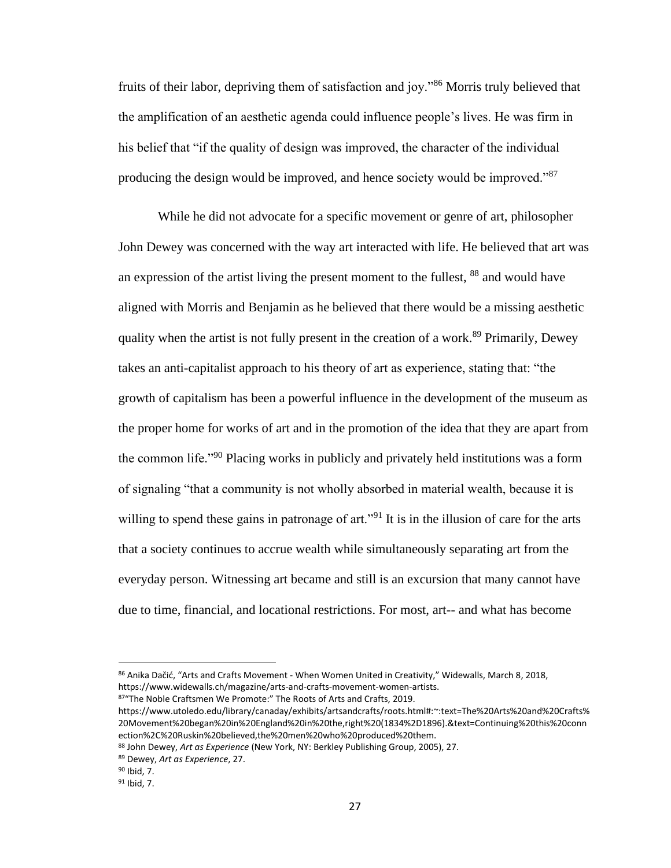fruits of their labor, depriving them of satisfaction and joy."<sup>86</sup> Morris truly believed that the amplification of an aesthetic agenda could influence people's lives. He was firm in his belief that "if the quality of design was improved, the character of the individual producing the design would be improved, and hence society would be improved."<sup>87</sup>

While he did not advocate for a specific movement or genre of art, philosopher John Dewey was concerned with the way art interacted with life. He believed that art was an expression of the artist living the present moment to the fullest, <sup>88</sup> and would have aligned with Morris and Benjamin as he believed that there would be a missing aesthetic quality when the artist is not fully present in the creation of a work.<sup>89</sup> Primarily, Dewey takes an anti-capitalist approach to his theory of art as experience, stating that: "the growth of capitalism has been a powerful influence in the development of the museum as the proper home for works of art and in the promotion of the idea that they are apart from the common life."<sup>90</sup> Placing works in publicly and privately held institutions was a form of signaling "that a community is not wholly absorbed in material wealth, because it is willing to spend these gains in patronage of art.<sup> $291$ </sup> It is in the illusion of care for the arts that a society continues to accrue wealth while simultaneously separating art from the everyday person. Witnessing art became and still is an excursion that many cannot have due to time, financial, and locational restrictions. For most, art-- and what has become

<sup>86</sup> Anika Dačić, "Arts and Crafts Movement - When Women United in Creativity," Widewalls, March 8, 2018, https://www.widewalls.ch/magazine/arts-and-crafts-movement-women-artists.

<sup>87&</sup>quot;The Noble Craftsmen We Promote:" The Roots of Arts and Crafts, 2019.

https://www.utoledo.edu/library/canaday/exhibits/artsandcrafts/roots.html#:~:text=The%20Arts%20and%20Crafts% 20Movement%20began%20in%20England%20in%20the,right%20(1834%2D1896).&text=Continuing%20this%20conn ection%2C%20Ruskin%20believed,the%20men%20who%20produced%20them.

<sup>88</sup> John Dewey, *Art as Experience* (New York, NY: Berkley Publishing Group, 2005), 27.

<sup>89</sup> Dewey, *Art as Experience*, 27.

<sup>90</sup> Ibid, 7.

<sup>91</sup> Ibid, 7.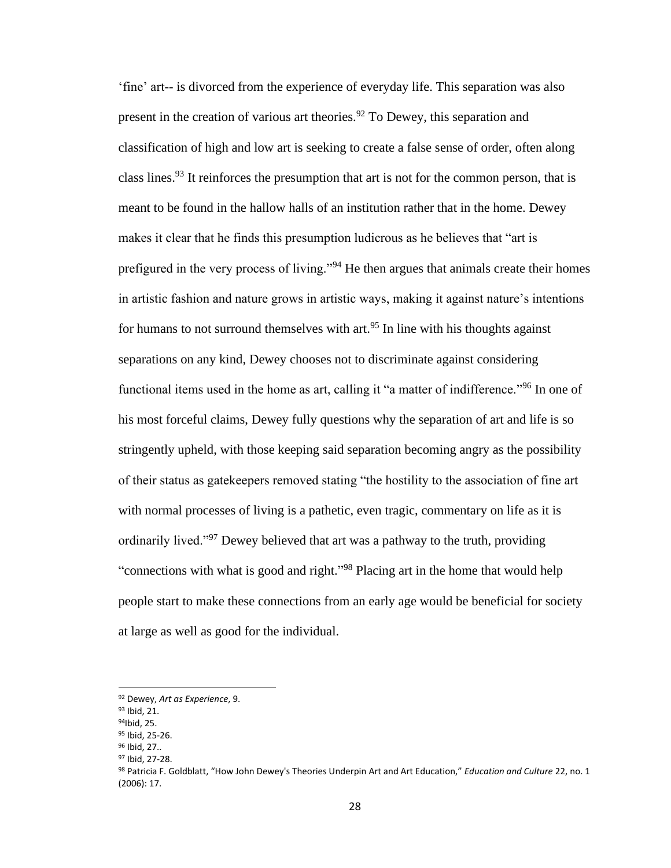'fine' art-- is divorced from the experience of everyday life. This separation was also present in the creation of various art theories.<sup>92</sup> To Dewey, this separation and classification of high and low art is seeking to create a false sense of order, often along class lines.<sup>93</sup> It reinforces the presumption that art is not for the common person, that is meant to be found in the hallow halls of an institution rather that in the home. Dewey makes it clear that he finds this presumption ludicrous as he believes that "art is prefigured in the very process of living."<sup>94</sup> He then argues that animals create their homes in artistic fashion and nature grows in artistic ways, making it against nature's intentions for humans to not surround themselves with art.<sup>95</sup> In line with his thoughts against separations on any kind, Dewey chooses not to discriminate against considering functional items used in the home as art, calling it "a matter of indifference."<sup>96</sup> In one of his most forceful claims, Dewey fully questions why the separation of art and life is so stringently upheld, with those keeping said separation becoming angry as the possibility of their status as gatekeepers removed stating "the hostility to the association of fine art with normal processes of living is a pathetic, even tragic, commentary on life as it is ordinarily lived."<sup>97</sup> Dewey believed that art was a pathway to the truth, providing "connections with what is good and right."<sup>98</sup> Placing art in the home that would help people start to make these connections from an early age would be beneficial for society at large as well as good for the individual.

<sup>92</sup> Dewey, *Art as Experience*, 9.

<sup>93</sup> Ibid, 21.

<sup>94</sup>Ibid, 25.

<sup>95</sup> Ibid, 25-26. <sup>96</sup> Ibid, 27..

<sup>97</sup> Ibid, 27-28.

<sup>98</sup> Patricia F. Goldblatt, "How John Dewey's Theories Underpin Art and Art Education," *Education and Culture* 22, no. 1 (2006): 17.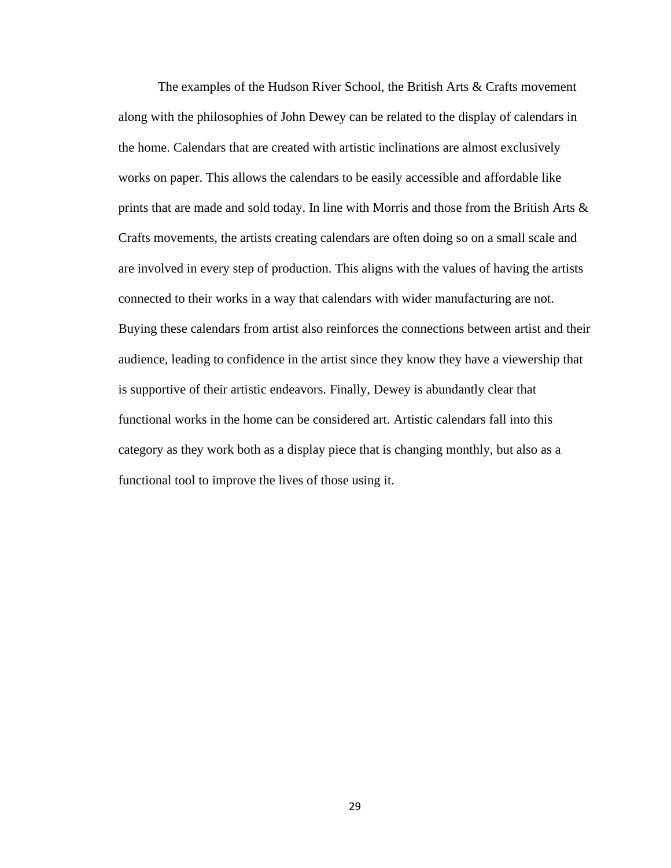The examples of the Hudson River School, the British Arts & Crafts movement along with the philosophies of John Dewey can be related to the display of calendars in the home. Calendars that are created with artistic inclinations are almost exclusively works on paper. This allows the calendars to be easily accessible and affordable like prints that are made and sold today. In line with Morris and those from the British Arts  $\&$ Crafts movements, the artists creating calendars are often doing so on a small scale and are involved in every step of production. This aligns with the values of having the artists connected to their works in a way that calendars with wider manufacturing are not. Buying these calendars from artist also reinforces the connections between artist and their audience, leading to confidence in the artist since they know they have a viewership that is supportive of their artistic endeavors. Finally, Dewey is abundantly clear that functional works in the home can be considered art. Artistic calendars fall into this category as they work both as a display piece that is changing monthly, but also as a functional tool to improve the lives of those using it.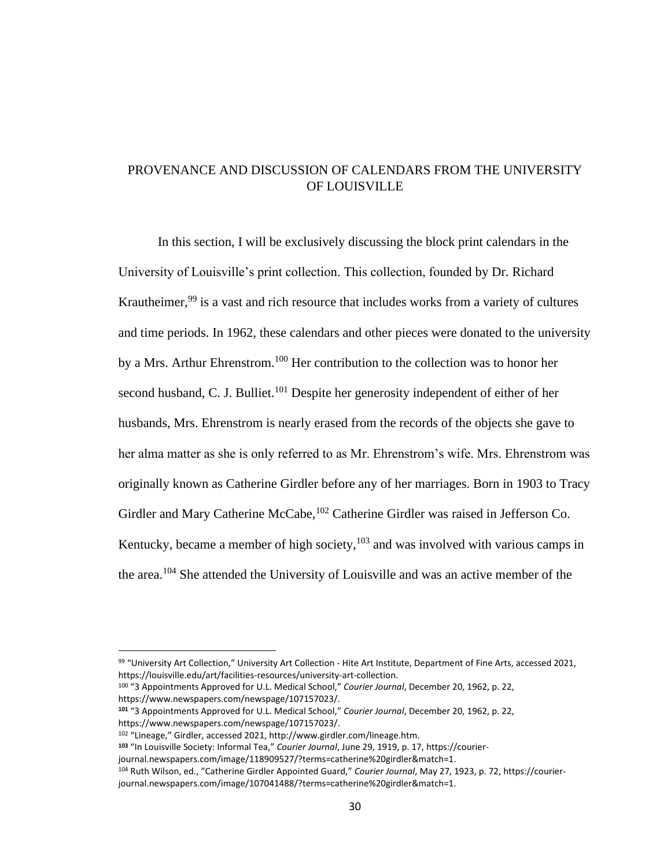## PROVENANCE AND DISCUSSION OF CALENDARS FROM THE UNIVERSITY OF LOUISVILLE

In this section, I will be exclusively discussing the block print calendars in the University of Louisville's print collection. This collection, founded by Dr. Richard Krautheimer,<sup>99</sup> is a vast and rich resource that includes works from a variety of cultures and time periods. In 1962, these calendars and other pieces were donated to the university by a Mrs. Arthur Ehrenstrom.<sup>100</sup> Her contribution to the collection was to honor her second husband, C. J. Bulliet.<sup>101</sup> Despite her generosity independent of either of her husbands, Mrs. Ehrenstrom is nearly erased from the records of the objects she gave to her alma matter as she is only referred to as Mr. Ehrenstrom's wife. Mrs. Ehrenstrom was originally known as Catherine Girdler before any of her marriages. Born in 1903 to Tracy Girdler and Mary Catherine McCabe, <sup>102</sup> Catherine Girdler was raised in Jefferson Co. Kentucky, became a member of high society,  $103$  and was involved with various camps in the area.<sup>104</sup> She attended the University of Louisville and was an active member of the

<sup>99 &</sup>quot;University Art Collection," University Art Collection - Hite Art Institute, Department of Fine Arts, accessed 2021, https://louisville.edu/art/facilities-resources/university-art-collection.

<sup>100</sup> "3 Appointments Approved for U.L. Medical School," *Courier Journal*, December 20, 1962, p. 22, https://www.newspapers.com/newspage/107157023/.

**<sup>101</sup>** "3 Appointments Approved for U.L. Medical School," *Courier Journal*, December 20, 1962, p. 22, https://www.newspapers.com/newspage/107157023/.

<sup>102</sup> "Lineage," Girdler, accessed 2021, http://www.girdler.com/lineage.htm.

**<sup>103</sup>** "In Louisville Society: Informal Tea," *Courier Journal*, June 29, 1919, p. 17, https://courier-

journal.newspapers.com/image/118909527/?terms=catherine%20girdler&match=1.

<sup>104</sup> Ruth Wilson, ed., "Catherine Girdler Appointed Guard," *Courier Journal*, May 27, 1923, p. 72, https://courierjournal.newspapers.com/image/107041488/?terms=catherine%20girdler&match=1.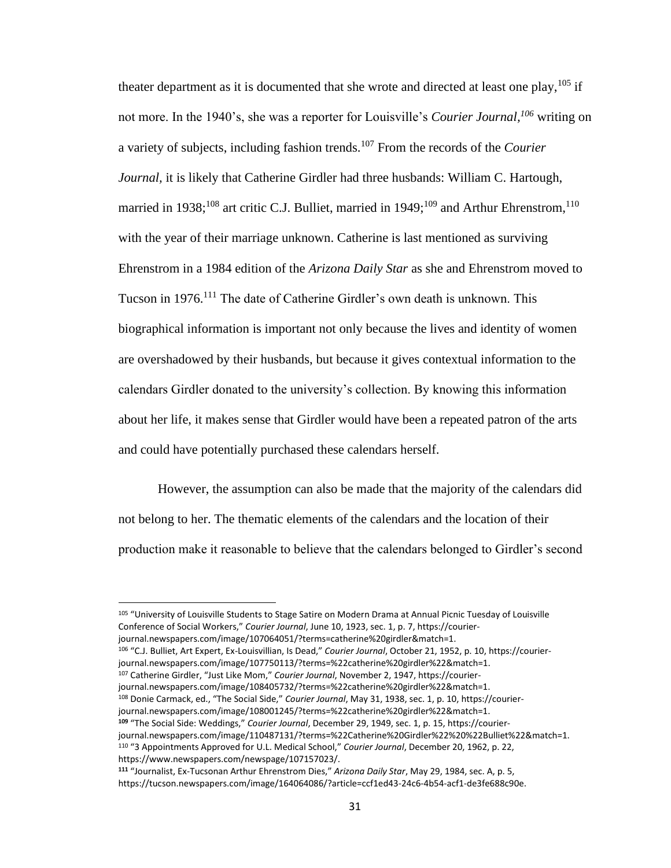theater department as it is documented that she wrote and directed at least one play,  $^{105}$  if not more. In the 1940's, she was a reporter for Louisville's *Courier Journal, <sup>106</sup>* writing on a variety of subjects, including fashion trends.<sup>107</sup> From the records of the *Courier Journal,* it is likely that Catherine Girdler had three husbands: William C. Hartough, married in 1938;<sup>108</sup> art critic C.J. Bulliet, married in 1949;<sup>109</sup> and Arthur Ehrenstrom,<sup>110</sup> with the year of their marriage unknown. Catherine is last mentioned as surviving Ehrenstrom in a 1984 edition of the *Arizona Daily Star* as she and Ehrenstrom moved to Tucson in 1976.<sup>111</sup> The date of Catherine Girdler's own death is unknown. This biographical information is important not only because the lives and identity of women are overshadowed by their husbands, but because it gives contextual information to the calendars Girdler donated to the university's collection. By knowing this information about her life, it makes sense that Girdler would have been a repeated patron of the arts and could have potentially purchased these calendars herself.

However, the assumption can also be made that the majority of the calendars did not belong to her. The thematic elements of the calendars and the location of their production make it reasonable to believe that the calendars belonged to Girdler's second

<sup>107</sup> Catherine Girdler, "Just Like Mom," *Courier Journal*, November 2, 1947, https://courierjournal.newspapers.com/image/108405732/?terms=%22catherine%20girdler%22&match=1. <sup>108</sup> Donie Carmack, ed., "The Social Side," *Courier Journal*, May 31, 1938, sec. 1, p. 10, https://courierjournal.newspapers.com/image/108001245/?terms=%22catherine%20girdler%22&match=1.

**<sup>109</sup>** "The Social Side: Weddings," *Courier Journal*, December 29, 1949, sec. 1, p. 15, https://courierjournal.newspapers.com/image/110487131/?terms=%22Catherine%20Girdler%22%20%22Bulliet%22&match=1. <sup>110</sup> "3 Appointments Approved for U.L. Medical School," *Courier Journal*, December 20, 1962, p. 22, https://www.newspapers.com/newspage/107157023/.

<sup>105 &</sup>quot;University of Louisville Students to Stage Satire on Modern Drama at Annual Picnic Tuesday of Louisville Conference of Social Workers," *Courier Journal*, June 10, 1923, sec. 1, p. 7, https://courierjournal.newspapers.com/image/107064051/?terms=catherine%20girdler&match=1.

<sup>106</sup> "C.J. Bulliet, Art Expert, Ex-Louisvillian, Is Dead," *Courier Journal*, October 21, 1952, p. 10, https://courierjournal.newspapers.com/image/107750113/?terms=%22catherine%20girdler%22&match=1.

**<sup>111</sup>** "Journalist, Ex-Tucsonan Arthur Ehrenstrom Dies," *Arizona Daily Star*, May 29, 1984, sec. A, p. 5, https://tucson.newspapers.com/image/164064086/?article=ccf1ed43-24c6-4b54-acf1-de3fe688c90e.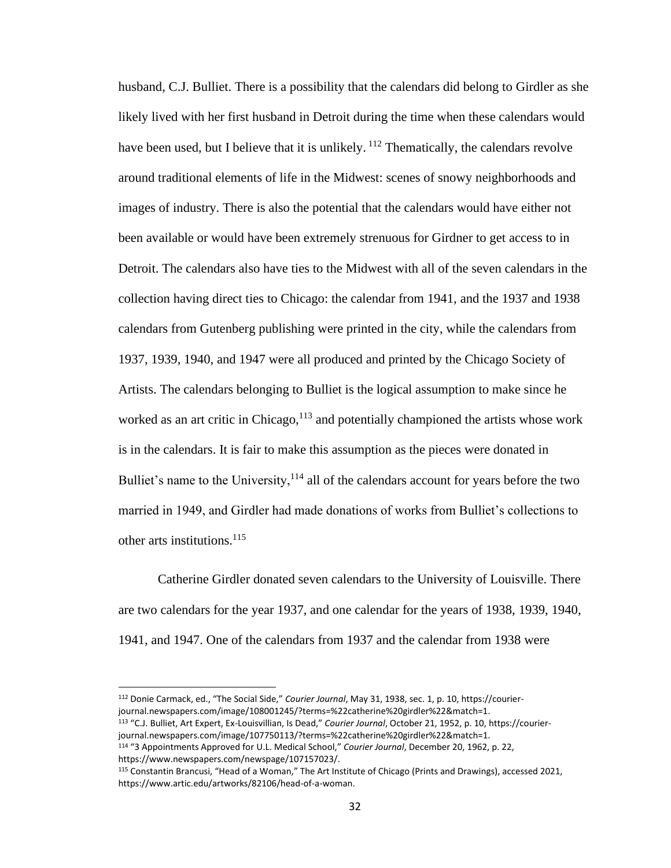husband, C.J. Bulliet. There is a possibility that the calendars did belong to Girdler as she likely lived with her first husband in Detroit during the time when these calendars would have been used, but I believe that it is unlikely. <sup>112</sup> Thematically, the calendars revolve around traditional elements of life in the Midwest: scenes of snowy neighborhoods and images of industry. There is also the potential that the calendars would have either not been available or would have been extremely strenuous for Girdner to get access to in Detroit. The calendars also have ties to the Midwest with all of the seven calendars in the collection having direct ties to Chicago: the calendar from 1941, and the 1937 and 1938 calendars from Gutenberg publishing were printed in the city, while the calendars from 1937, 1939, 1940, and 1947 were all produced and printed by the Chicago Society of Artists. The calendars belonging to Bulliet is the logical assumption to make since he worked as an art critic in Chicago, $113$  and potentially championed the artists whose work is in the calendars. It is fair to make this assumption as the pieces were donated in Bulliet's name to the University, $114$  all of the calendars account for years before the two married in 1949, and Girdler had made donations of works from Bulliet's collections to other arts institutions. $115$ 

Catherine Girdler donated seven calendars to the University of Louisville. There are two calendars for the year 1937, and one calendar for the years of 1938, 1939, 1940, 1941, and 1947. One of the calendars from 1937 and the calendar from 1938 were

<sup>112</sup> Donie Carmack, ed., "The Social Side," *Courier Journal*, May 31, 1938, sec. 1, p. 10, https://courierjournal.newspapers.com/image/108001245/?terms=%22catherine%20girdler%22&match=1. <sup>113</sup> "C.J. Bulliet, Art Expert, Ex-Louisvillian, Is Dead," *Courier Journal*, October 21, 1952, p. 10, https://courier-

journal.newspapers.com/image/107750113/?terms=%22catherine%20girdler%22&match=1. <sup>114</sup> "3 Appointments Approved for U.L. Medical School," *Courier Journal*, December 20, 1962, p. 22,

https://www.newspapers.com/newspage/107157023/.

<sup>115</sup> Constantin Brancusi, "Head of a Woman," The Art Institute of Chicago (Prints and Drawings), accessed 2021, https://www.artic.edu/artworks/82106/head-of-a-woman.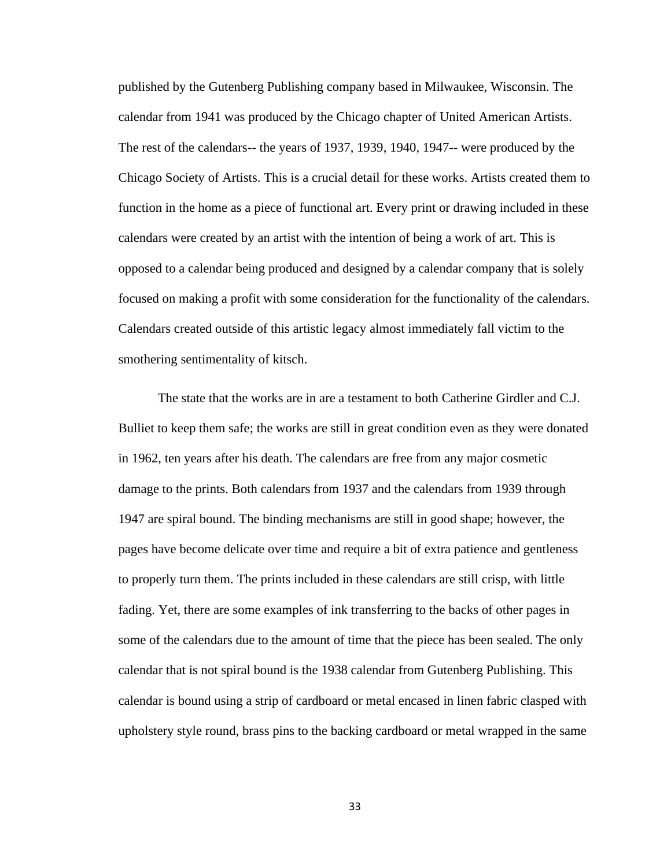published by the Gutenberg Publishing company based in Milwaukee, Wisconsin. The calendar from 1941 was produced by the Chicago chapter of United American Artists. The rest of the calendars-- the years of 1937, 1939, 1940, 1947-- were produced by the Chicago Society of Artists. This is a crucial detail for these works. Artists created them to function in the home as a piece of functional art. Every print or drawing included in these calendars were created by an artist with the intention of being a work of art. This is opposed to a calendar being produced and designed by a calendar company that is solely focused on making a profit with some consideration for the functionality of the calendars. Calendars created outside of this artistic legacy almost immediately fall victim to the smothering sentimentality of kitsch.

The state that the works are in are a testament to both Catherine Girdler and C.J. Bulliet to keep them safe; the works are still in great condition even as they were donated in 1962, ten years after his death. The calendars are free from any major cosmetic damage to the prints. Both calendars from 1937 and the calendars from 1939 through 1947 are spiral bound. The binding mechanisms are still in good shape; however, the pages have become delicate over time and require a bit of extra patience and gentleness to properly turn them. The prints included in these calendars are still crisp, with little fading. Yet, there are some examples of ink transferring to the backs of other pages in some of the calendars due to the amount of time that the piece has been sealed. The only calendar that is not spiral bound is the 1938 calendar from Gutenberg Publishing. This calendar is bound using a strip of cardboard or metal encased in linen fabric clasped with upholstery style round, brass pins to the backing cardboard or metal wrapped in the same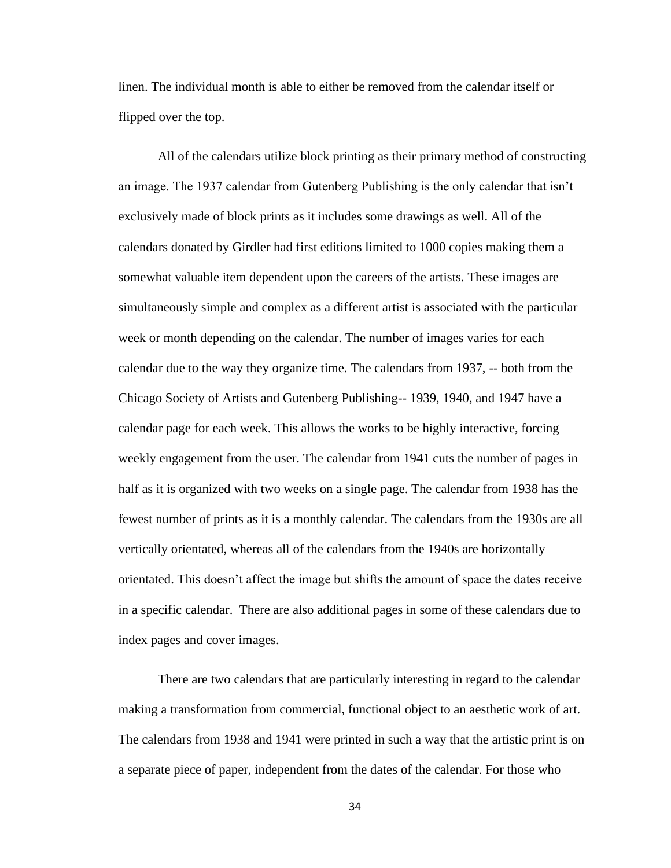linen. The individual month is able to either be removed from the calendar itself or flipped over the top.

All of the calendars utilize block printing as their primary method of constructing an image. The 1937 calendar from Gutenberg Publishing is the only calendar that isn't exclusively made of block prints as it includes some drawings as well. All of the calendars donated by Girdler had first editions limited to 1000 copies making them a somewhat valuable item dependent upon the careers of the artists. These images are simultaneously simple and complex as a different artist is associated with the particular week or month depending on the calendar. The number of images varies for each calendar due to the way they organize time. The calendars from 1937, -- both from the Chicago Society of Artists and Gutenberg Publishing-- 1939, 1940, and 1947 have a calendar page for each week. This allows the works to be highly interactive, forcing weekly engagement from the user. The calendar from 1941 cuts the number of pages in half as it is organized with two weeks on a single page. The calendar from 1938 has the fewest number of prints as it is a monthly calendar. The calendars from the 1930s are all vertically orientated, whereas all of the calendars from the 1940s are horizontally orientated. This doesn't affect the image but shifts the amount of space the dates receive in a specific calendar. There are also additional pages in some of these calendars due to index pages and cover images.

There are two calendars that are particularly interesting in regard to the calendar making a transformation from commercial, functional object to an aesthetic work of art. The calendars from 1938 and 1941 were printed in such a way that the artistic print is on a separate piece of paper, independent from the dates of the calendar. For those who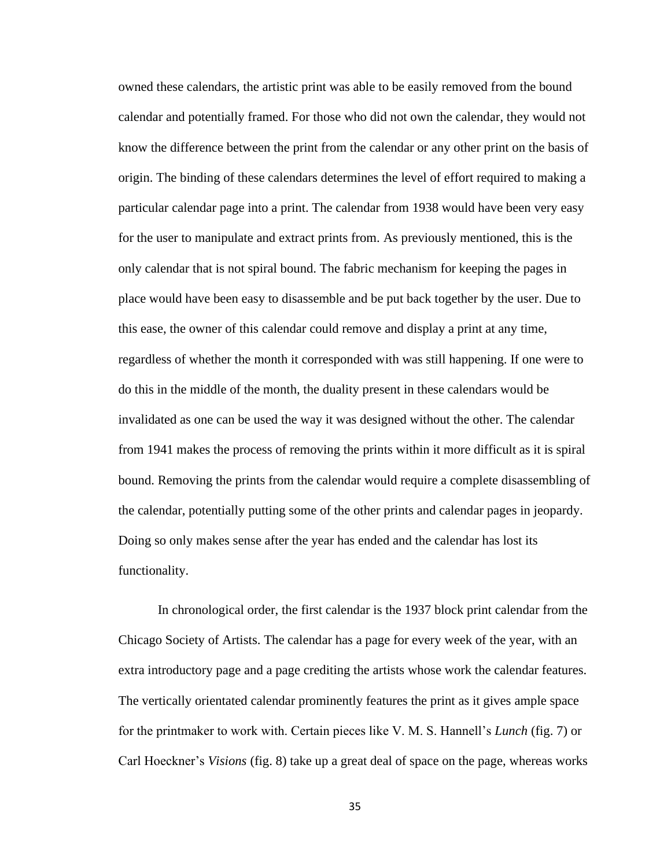owned these calendars, the artistic print was able to be easily removed from the bound calendar and potentially framed. For those who did not own the calendar, they would not know the difference between the print from the calendar or any other print on the basis of origin. The binding of these calendars determines the level of effort required to making a particular calendar page into a print. The calendar from 1938 would have been very easy for the user to manipulate and extract prints from. As previously mentioned, this is the only calendar that is not spiral bound. The fabric mechanism for keeping the pages in place would have been easy to disassemble and be put back together by the user. Due to this ease, the owner of this calendar could remove and display a print at any time, regardless of whether the month it corresponded with was still happening. If one were to do this in the middle of the month, the duality present in these calendars would be invalidated as one can be used the way it was designed without the other. The calendar from 1941 makes the process of removing the prints within it more difficult as it is spiral bound. Removing the prints from the calendar would require a complete disassembling of the calendar, potentially putting some of the other prints and calendar pages in jeopardy. Doing so only makes sense after the year has ended and the calendar has lost its functionality.

In chronological order, the first calendar is the 1937 block print calendar from the Chicago Society of Artists. The calendar has a page for every week of the year, with an extra introductory page and a page crediting the artists whose work the calendar features. The vertically orientated calendar prominently features the print as it gives ample space for the printmaker to work with. Certain pieces like V. M. S. Hannell's *Lunch* (fig. 7) or Carl Hoeckner's *Visions* (fig. 8) take up a great deal of space on the page, whereas works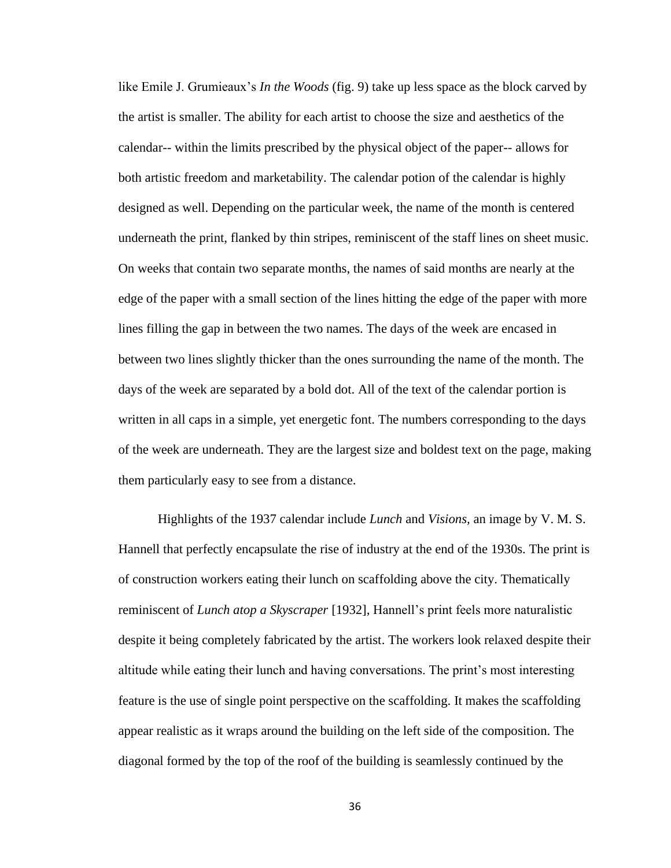like Emile J. Grumieaux's *In the Woods* (fig. 9) take up less space as the block carved by the artist is smaller. The ability for each artist to choose the size and aesthetics of the calendar-- within the limits prescribed by the physical object of the paper-- allows for both artistic freedom and marketability. The calendar potion of the calendar is highly designed as well. Depending on the particular week, the name of the month is centered underneath the print, flanked by thin stripes, reminiscent of the staff lines on sheet music. On weeks that contain two separate months, the names of said months are nearly at the edge of the paper with a small section of the lines hitting the edge of the paper with more lines filling the gap in between the two names. The days of the week are encased in between two lines slightly thicker than the ones surrounding the name of the month. The days of the week are separated by a bold dot. All of the text of the calendar portion is written in all caps in a simple, yet energetic font. The numbers corresponding to the days of the week are underneath. They are the largest size and boldest text on the page, making them particularly easy to see from a distance.

Highlights of the 1937 calendar include *Lunch* and *Visions,* an image by V. M. S. Hannell that perfectly encapsulate the rise of industry at the end of the 1930s. The print is of construction workers eating their lunch on scaffolding above the city. Thematically reminiscent of *Lunch atop a Skyscraper* [1932]*,* Hannell's print feels more naturalistic despite it being completely fabricated by the artist. The workers look relaxed despite their altitude while eating their lunch and having conversations. The print's most interesting feature is the use of single point perspective on the scaffolding. It makes the scaffolding appear realistic as it wraps around the building on the left side of the composition. The diagonal formed by the top of the roof of the building is seamlessly continued by the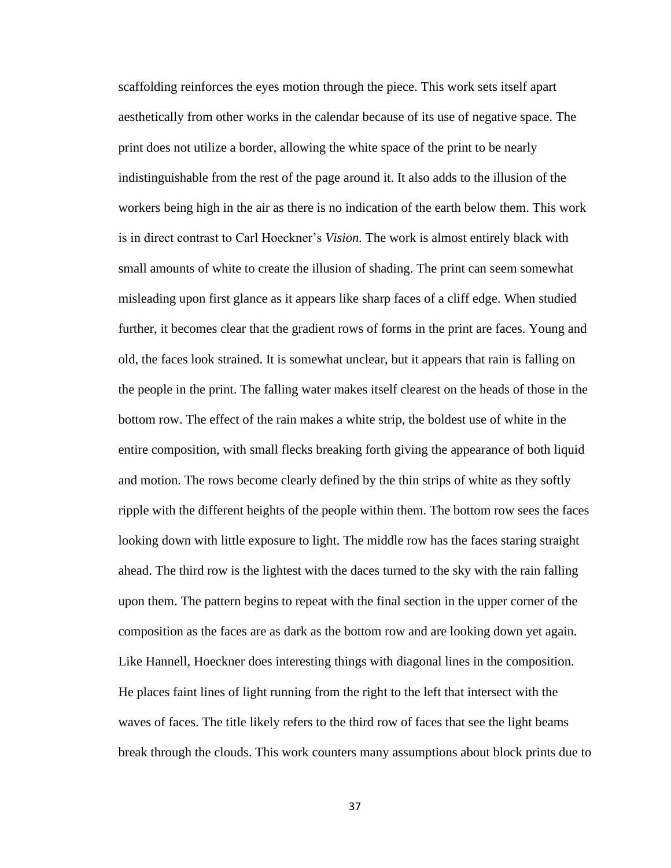scaffolding reinforces the eyes motion through the piece. This work sets itself apart aesthetically from other works in the calendar because of its use of negative space. The print does not utilize a border, allowing the white space of the print to be nearly indistinguishable from the rest of the page around it. It also adds to the illusion of the workers being high in the air as there is no indication of the earth below them. This work is in direct contrast to Carl Hoeckner's *Vision.* The work is almost entirely black with small amounts of white to create the illusion of shading. The print can seem somewhat misleading upon first glance as it appears like sharp faces of a cliff edge. When studied further, it becomes clear that the gradient rows of forms in the print are faces. Young and old, the faces look strained. It is somewhat unclear, but it appears that rain is falling on the people in the print. The falling water makes itself clearest on the heads of those in the bottom row. The effect of the rain makes a white strip, the boldest use of white in the entire composition, with small flecks breaking forth giving the appearance of both liquid and motion. The rows become clearly defined by the thin strips of white as they softly ripple with the different heights of the people within them. The bottom row sees the faces looking down with little exposure to light. The middle row has the faces staring straight ahead. The third row is the lightest with the daces turned to the sky with the rain falling upon them. The pattern begins to repeat with the final section in the upper corner of the composition as the faces are as dark as the bottom row and are looking down yet again. Like Hannell, Hoeckner does interesting things with diagonal lines in the composition. He places faint lines of light running from the right to the left that intersect with the waves of faces. The title likely refers to the third row of faces that see the light beams break through the clouds. This work counters many assumptions about block prints due to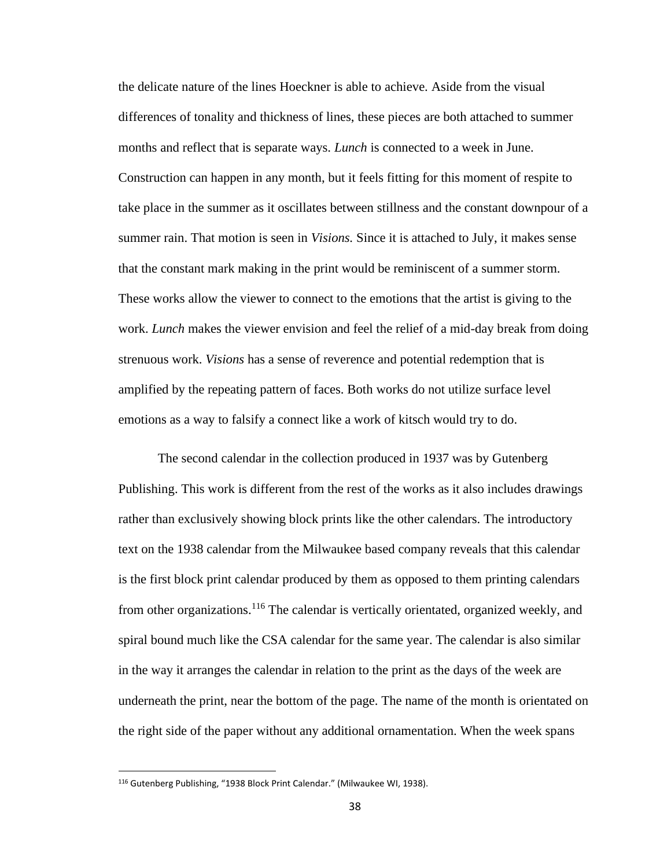the delicate nature of the lines Hoeckner is able to achieve. Aside from the visual differences of tonality and thickness of lines, these pieces are both attached to summer months and reflect that is separate ways. *Lunch* is connected to a week in June. Construction can happen in any month, but it feels fitting for this moment of respite to take place in the summer as it oscillates between stillness and the constant downpour of a summer rain. That motion is seen in *Visions.* Since it is attached to July, it makes sense that the constant mark making in the print would be reminiscent of a summer storm. These works allow the viewer to connect to the emotions that the artist is giving to the work. *Lunch* makes the viewer envision and feel the relief of a mid-day break from doing strenuous work. *Visions* has a sense of reverence and potential redemption that is amplified by the repeating pattern of faces. Both works do not utilize surface level emotions as a way to falsify a connect like a work of kitsch would try to do.

The second calendar in the collection produced in 1937 was by Gutenberg Publishing. This work is different from the rest of the works as it also includes drawings rather than exclusively showing block prints like the other calendars. The introductory text on the 1938 calendar from the Milwaukee based company reveals that this calendar is the first block print calendar produced by them as opposed to them printing calendars from other organizations.<sup>116</sup> The calendar is vertically orientated, organized weekly, and spiral bound much like the CSA calendar for the same year. The calendar is also similar in the way it arranges the calendar in relation to the print as the days of the week are underneath the print, near the bottom of the page. The name of the month is orientated on the right side of the paper without any additional ornamentation. When the week spans

<sup>116</sup> Gutenberg Publishing, "1938 Block Print Calendar." (Milwaukee WI, 1938).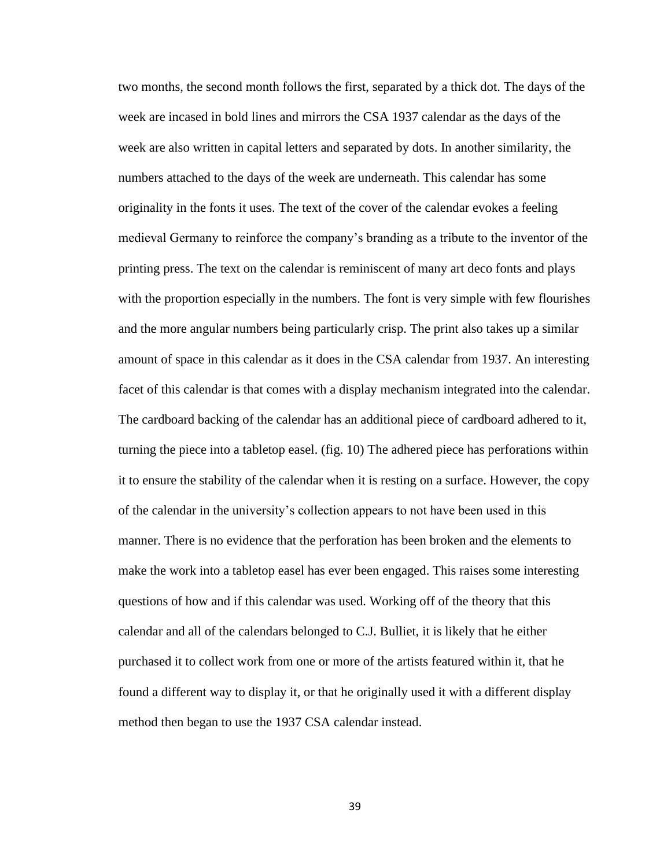two months, the second month follows the first, separated by a thick dot. The days of the week are incased in bold lines and mirrors the CSA 1937 calendar as the days of the week are also written in capital letters and separated by dots. In another similarity, the numbers attached to the days of the week are underneath. This calendar has some originality in the fonts it uses. The text of the cover of the calendar evokes a feeling medieval Germany to reinforce the company's branding as a tribute to the inventor of the printing press. The text on the calendar is reminiscent of many art deco fonts and plays with the proportion especially in the numbers. The font is very simple with few flourishes and the more angular numbers being particularly crisp. The print also takes up a similar amount of space in this calendar as it does in the CSA calendar from 1937. An interesting facet of this calendar is that comes with a display mechanism integrated into the calendar. The cardboard backing of the calendar has an additional piece of cardboard adhered to it, turning the piece into a tabletop easel. (fig. 10) The adhered piece has perforations within it to ensure the stability of the calendar when it is resting on a surface. However, the copy of the calendar in the university's collection appears to not have been used in this manner. There is no evidence that the perforation has been broken and the elements to make the work into a tabletop easel has ever been engaged. This raises some interesting questions of how and if this calendar was used. Working off of the theory that this calendar and all of the calendars belonged to C.J. Bulliet, it is likely that he either purchased it to collect work from one or more of the artists featured within it, that he found a different way to display it, or that he originally used it with a different display method then began to use the 1937 CSA calendar instead.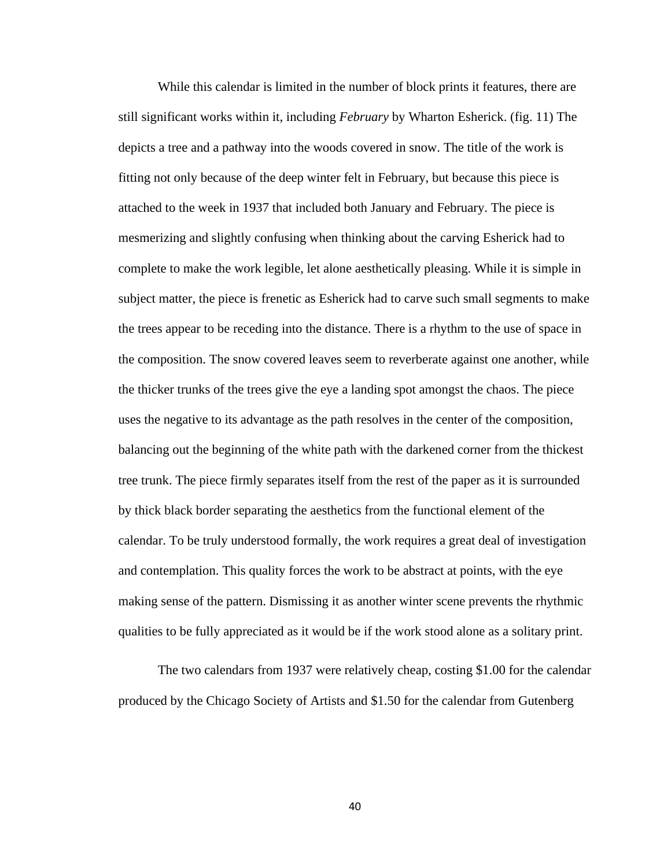While this calendar is limited in the number of block prints it features, there are still significant works within it, including *February* by Wharton Esherick. (fig. 11) The depicts a tree and a pathway into the woods covered in snow. The title of the work is fitting not only because of the deep winter felt in February, but because this piece is attached to the week in 1937 that included both January and February. The piece is mesmerizing and slightly confusing when thinking about the carving Esherick had to complete to make the work legible, let alone aesthetically pleasing. While it is simple in subject matter, the piece is frenetic as Esherick had to carve such small segments to make the trees appear to be receding into the distance. There is a rhythm to the use of space in the composition. The snow covered leaves seem to reverberate against one another, while the thicker trunks of the trees give the eye a landing spot amongst the chaos. The piece uses the negative to its advantage as the path resolves in the center of the composition, balancing out the beginning of the white path with the darkened corner from the thickest tree trunk. The piece firmly separates itself from the rest of the paper as it is surrounded by thick black border separating the aesthetics from the functional element of the calendar. To be truly understood formally, the work requires a great deal of investigation and contemplation. This quality forces the work to be abstract at points, with the eye making sense of the pattern. Dismissing it as another winter scene prevents the rhythmic qualities to be fully appreciated as it would be if the work stood alone as a solitary print.

The two calendars from 1937 were relatively cheap, costing \$1.00 for the calendar produced by the Chicago Society of Artists and \$1.50 for the calendar from Gutenberg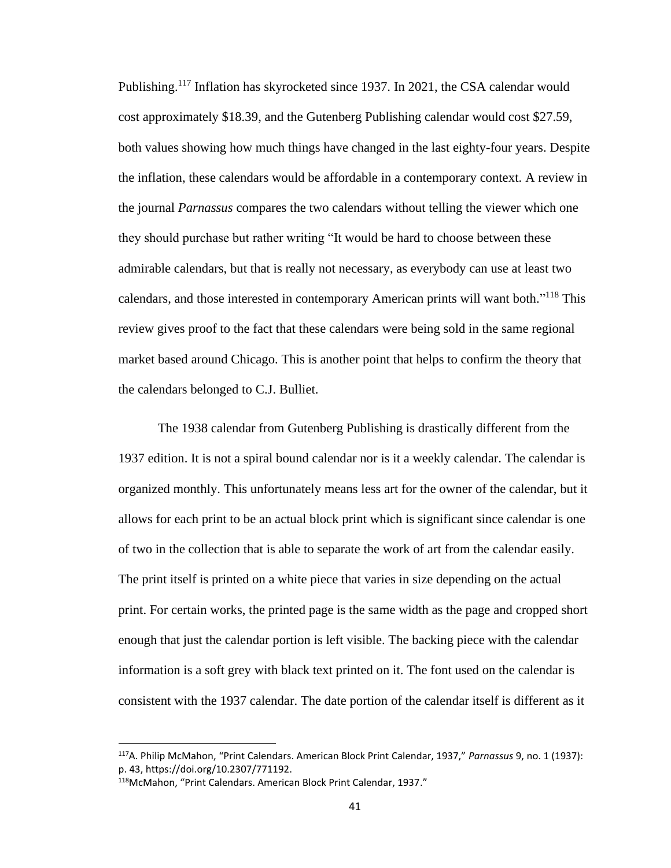Publishing.<sup>117</sup> Inflation has skyrocketed since 1937. In 2021, the CSA calendar would cost approximately \$18.39, and the Gutenberg Publishing calendar would cost \$27.59, both values showing how much things have changed in the last eighty-four years. Despite the inflation, these calendars would be affordable in a contemporary context. A review in the journal *Parnassus* compares the two calendars without telling the viewer which one they should purchase but rather writing "It would be hard to choose between these admirable calendars, but that is really not necessary, as everybody can use at least two calendars, and those interested in contemporary American prints will want both."<sup>118</sup> This review gives proof to the fact that these calendars were being sold in the same regional market based around Chicago. This is another point that helps to confirm the theory that the calendars belonged to C.J. Bulliet.

The 1938 calendar from Gutenberg Publishing is drastically different from the 1937 edition. It is not a spiral bound calendar nor is it a weekly calendar. The calendar is organized monthly. This unfortunately means less art for the owner of the calendar, but it allows for each print to be an actual block print which is significant since calendar is one of two in the collection that is able to separate the work of art from the calendar easily. The print itself is printed on a white piece that varies in size depending on the actual print. For certain works, the printed page is the same width as the page and cropped short enough that just the calendar portion is left visible. The backing piece with the calendar information is a soft grey with black text printed on it. The font used on the calendar is consistent with the 1937 calendar. The date portion of the calendar itself is different as it

<sup>117</sup>A. Philip McMahon, "Print Calendars. American Block Print Calendar, 1937," *Parnassus* 9, no. 1 (1937): p. 43, https://doi.org/10.2307/771192.

<sup>118</sup>McMahon, "Print Calendars. American Block Print Calendar, 1937."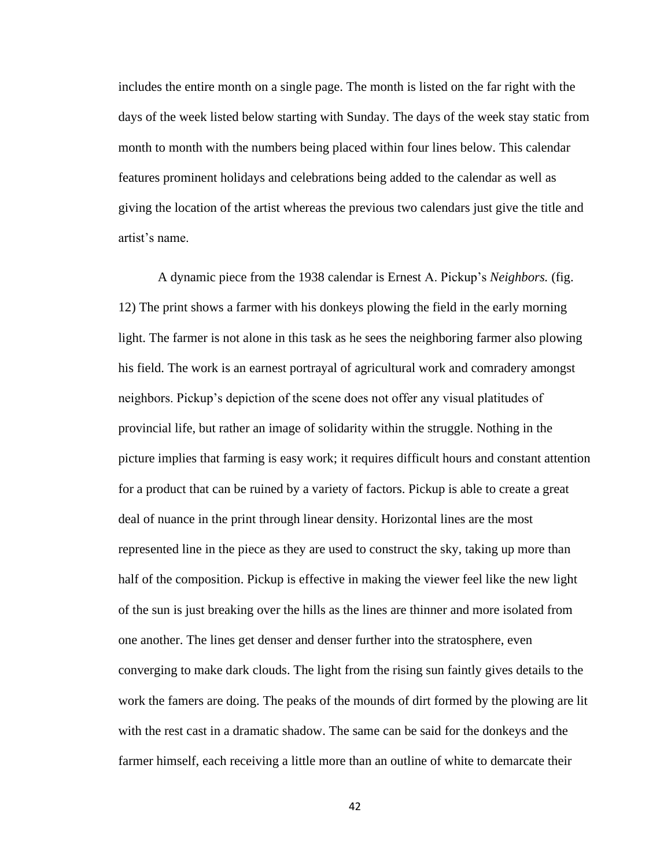includes the entire month on a single page. The month is listed on the far right with the days of the week listed below starting with Sunday. The days of the week stay static from month to month with the numbers being placed within four lines below. This calendar features prominent holidays and celebrations being added to the calendar as well as giving the location of the artist whereas the previous two calendars just give the title and artist's name.

A dynamic piece from the 1938 calendar is Ernest A. Pickup's *Neighbors.* (fig. 12) The print shows a farmer with his donkeys plowing the field in the early morning light. The farmer is not alone in this task as he sees the neighboring farmer also plowing his field. The work is an earnest portrayal of agricultural work and comradery amongst neighbors. Pickup's depiction of the scene does not offer any visual platitudes of provincial life, but rather an image of solidarity within the struggle. Nothing in the picture implies that farming is easy work; it requires difficult hours and constant attention for a product that can be ruined by a variety of factors. Pickup is able to create a great deal of nuance in the print through linear density. Horizontal lines are the most represented line in the piece as they are used to construct the sky, taking up more than half of the composition. Pickup is effective in making the viewer feel like the new light of the sun is just breaking over the hills as the lines are thinner and more isolated from one another. The lines get denser and denser further into the stratosphere, even converging to make dark clouds. The light from the rising sun faintly gives details to the work the famers are doing. The peaks of the mounds of dirt formed by the plowing are lit with the rest cast in a dramatic shadow. The same can be said for the donkeys and the farmer himself, each receiving a little more than an outline of white to demarcate their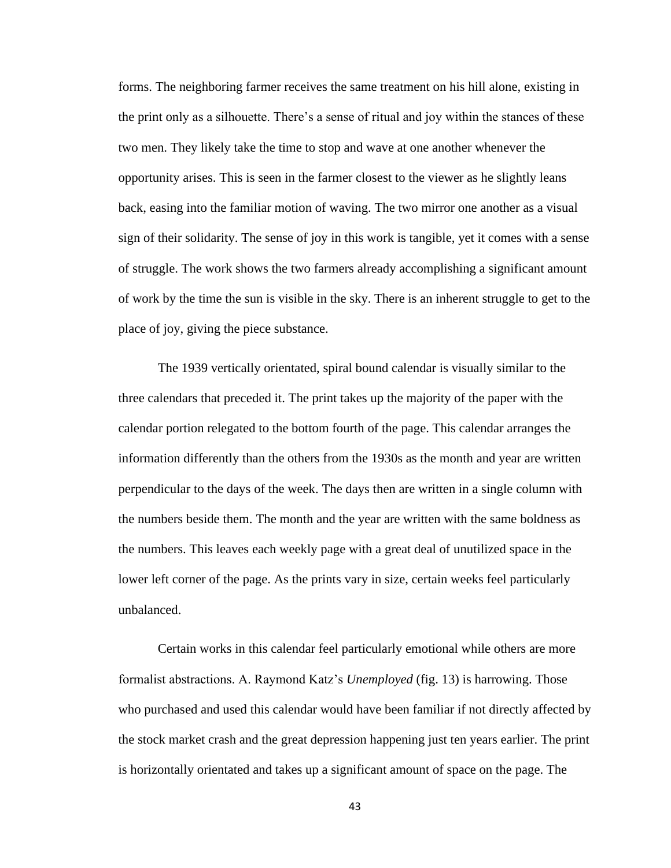forms. The neighboring farmer receives the same treatment on his hill alone, existing in the print only as a silhouette. There's a sense of ritual and joy within the stances of these two men. They likely take the time to stop and wave at one another whenever the opportunity arises. This is seen in the farmer closest to the viewer as he slightly leans back, easing into the familiar motion of waving. The two mirror one another as a visual sign of their solidarity. The sense of joy in this work is tangible, yet it comes with a sense of struggle. The work shows the two farmers already accomplishing a significant amount of work by the time the sun is visible in the sky. There is an inherent struggle to get to the place of joy, giving the piece substance.

The 1939 vertically orientated, spiral bound calendar is visually similar to the three calendars that preceded it. The print takes up the majority of the paper with the calendar portion relegated to the bottom fourth of the page. This calendar arranges the information differently than the others from the 1930s as the month and year are written perpendicular to the days of the week. The days then are written in a single column with the numbers beside them. The month and the year are written with the same boldness as the numbers. This leaves each weekly page with a great deal of unutilized space in the lower left corner of the page. As the prints vary in size, certain weeks feel particularly unbalanced.

Certain works in this calendar feel particularly emotional while others are more formalist abstractions. A. Raymond Katz's *Unemployed* (fig. 13) is harrowing. Those who purchased and used this calendar would have been familiar if not directly affected by the stock market crash and the great depression happening just ten years earlier. The print is horizontally orientated and takes up a significant amount of space on the page. The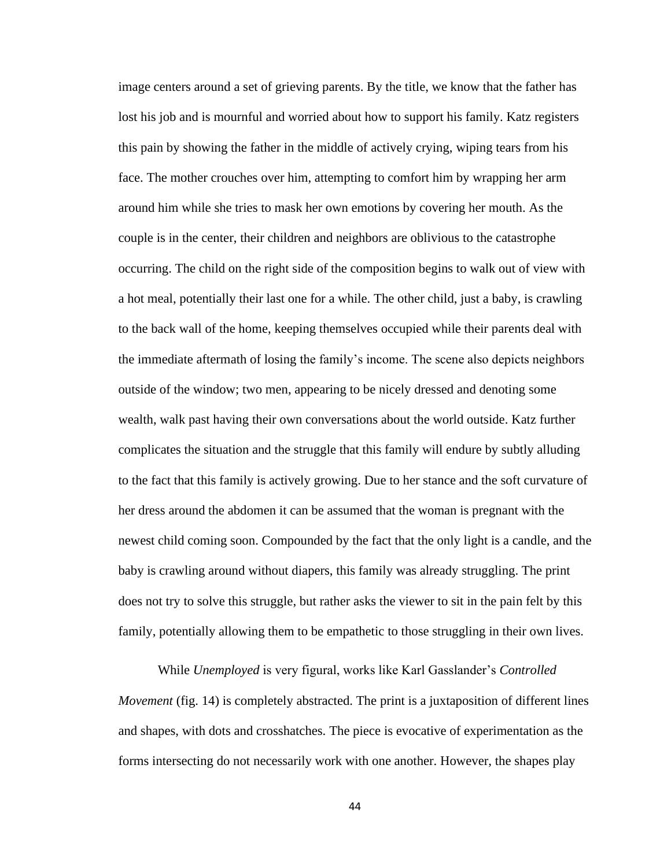image centers around a set of grieving parents. By the title, we know that the father has lost his job and is mournful and worried about how to support his family. Katz registers this pain by showing the father in the middle of actively crying, wiping tears from his face. The mother crouches over him, attempting to comfort him by wrapping her arm around him while she tries to mask her own emotions by covering her mouth. As the couple is in the center, their children and neighbors are oblivious to the catastrophe occurring. The child on the right side of the composition begins to walk out of view with a hot meal, potentially their last one for a while. The other child, just a baby, is crawling to the back wall of the home, keeping themselves occupied while their parents deal with the immediate aftermath of losing the family's income. The scene also depicts neighbors outside of the window; two men, appearing to be nicely dressed and denoting some wealth, walk past having their own conversations about the world outside. Katz further complicates the situation and the struggle that this family will endure by subtly alluding to the fact that this family is actively growing. Due to her stance and the soft curvature of her dress around the abdomen it can be assumed that the woman is pregnant with the newest child coming soon. Compounded by the fact that the only light is a candle, and the baby is crawling around without diapers, this family was already struggling. The print does not try to solve this struggle, but rather asks the viewer to sit in the pain felt by this family, potentially allowing them to be empathetic to those struggling in their own lives.

While *Unemployed* is very figural, works like Karl Gasslander's *Controlled Movement* (fig. 14) is completely abstracted. The print is a juxtaposition of different lines and shapes, with dots and crosshatches. The piece is evocative of experimentation as the forms intersecting do not necessarily work with one another. However, the shapes play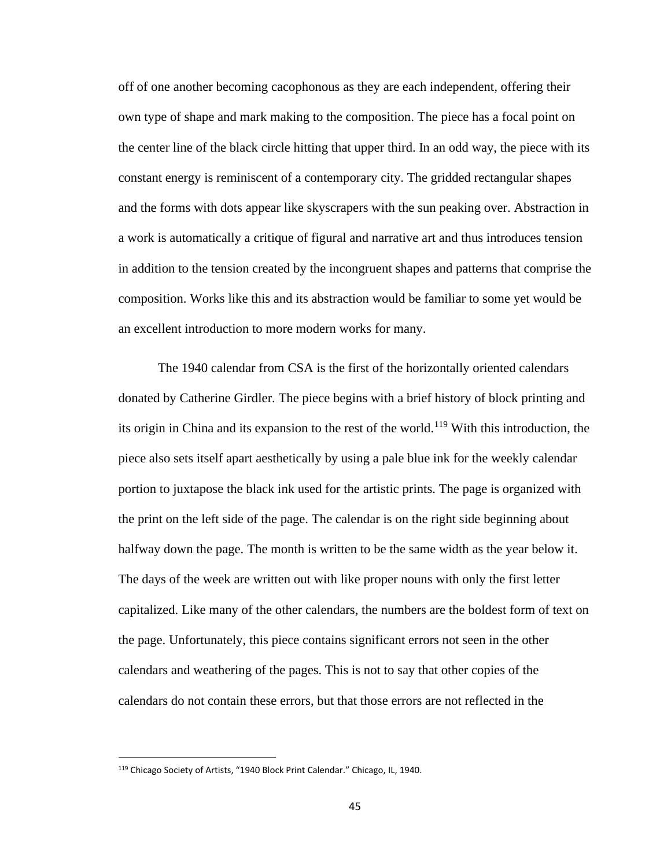off of one another becoming cacophonous as they are each independent, offering their own type of shape and mark making to the composition. The piece has a focal point on the center line of the black circle hitting that upper third. In an odd way, the piece with its constant energy is reminiscent of a contemporary city. The gridded rectangular shapes and the forms with dots appear like skyscrapers with the sun peaking over. Abstraction in a work is automatically a critique of figural and narrative art and thus introduces tension in addition to the tension created by the incongruent shapes and patterns that comprise the composition. Works like this and its abstraction would be familiar to some yet would be an excellent introduction to more modern works for many.

The 1940 calendar from CSA is the first of the horizontally oriented calendars donated by Catherine Girdler. The piece begins with a brief history of block printing and its origin in China and its expansion to the rest of the world.<sup>119</sup> With this introduction, the piece also sets itself apart aesthetically by using a pale blue ink for the weekly calendar portion to juxtapose the black ink used for the artistic prints. The page is organized with the print on the left side of the page. The calendar is on the right side beginning about halfway down the page. The month is written to be the same width as the year below it. The days of the week are written out with like proper nouns with only the first letter capitalized. Like many of the other calendars, the numbers are the boldest form of text on the page. Unfortunately, this piece contains significant errors not seen in the other calendars and weathering of the pages. This is not to say that other copies of the calendars do not contain these errors, but that those errors are not reflected in the

<sup>119</sup> Chicago Society of Artists, "1940 Block Print Calendar." Chicago, IL, 1940.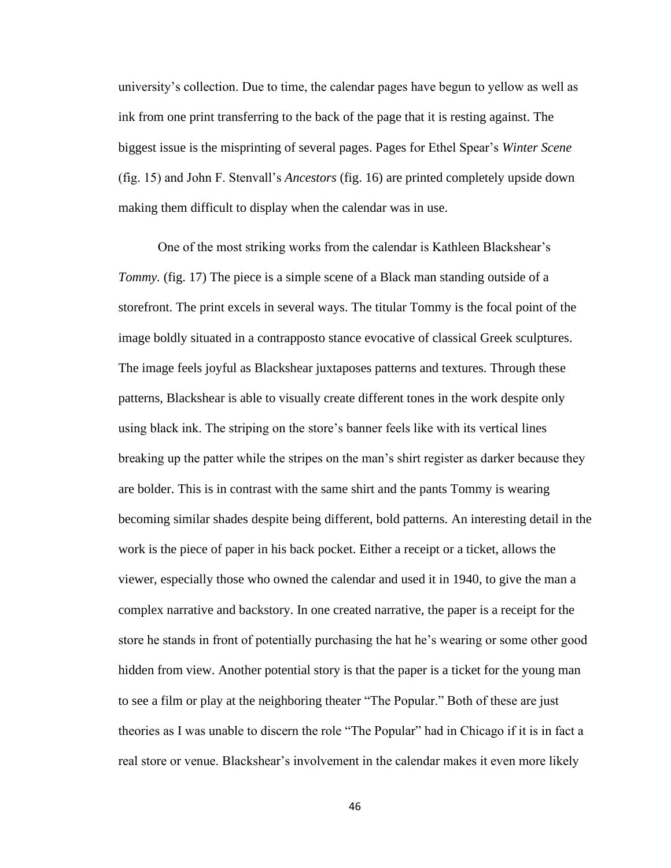university's collection. Due to time, the calendar pages have begun to yellow as well as ink from one print transferring to the back of the page that it is resting against. The biggest issue is the misprinting of several pages. Pages for Ethel Spear's *Winter Scene*  (fig. 15) and John F. Stenvall's *Ancestors* (fig. 16) are printed completely upside down making them difficult to display when the calendar was in use.

One of the most striking works from the calendar is Kathleen Blackshear's *Tommy.* (fig. 17) The piece is a simple scene of a Black man standing outside of a storefront. The print excels in several ways. The titular Tommy is the focal point of the image boldly situated in a contrapposto stance evocative of classical Greek sculptures. The image feels joyful as Blackshear juxtaposes patterns and textures. Through these patterns, Blackshear is able to visually create different tones in the work despite only using black ink. The striping on the store's banner feels like with its vertical lines breaking up the patter while the stripes on the man's shirt register as darker because they are bolder. This is in contrast with the same shirt and the pants Tommy is wearing becoming similar shades despite being different, bold patterns. An interesting detail in the work is the piece of paper in his back pocket. Either a receipt or a ticket, allows the viewer, especially those who owned the calendar and used it in 1940, to give the man a complex narrative and backstory. In one created narrative, the paper is a receipt for the store he stands in front of potentially purchasing the hat he's wearing or some other good hidden from view. Another potential story is that the paper is a ticket for the young man to see a film or play at the neighboring theater "The Popular." Both of these are just theories as I was unable to discern the role "The Popular" had in Chicago if it is in fact a real store or venue. Blackshear's involvement in the calendar makes it even more likely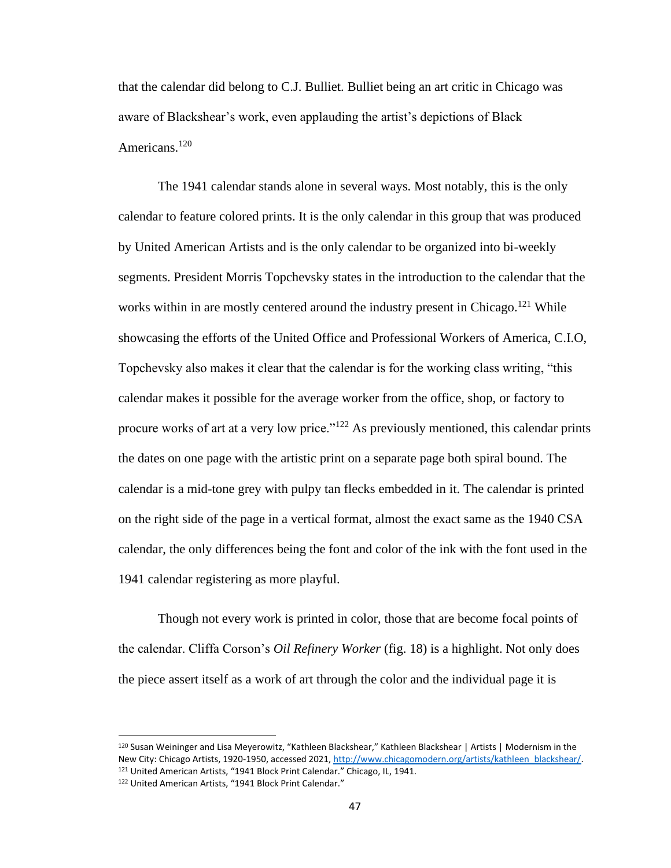that the calendar did belong to C.J. Bulliet. Bulliet being an art critic in Chicago was aware of Blackshear's work, even applauding the artist's depictions of Black Americans.<sup>120</sup>

The 1941 calendar stands alone in several ways. Most notably, this is the only calendar to feature colored prints. It is the only calendar in this group that was produced by United American Artists and is the only calendar to be organized into bi-weekly segments. President Morris Topchevsky states in the introduction to the calendar that the works within in are mostly centered around the industry present in Chicago.<sup>121</sup> While showcasing the efforts of the United Office and Professional Workers of America, C.I.O, Topchevsky also makes it clear that the calendar is for the working class writing, "this calendar makes it possible for the average worker from the office, shop, or factory to procure works of art at a very low price."<sup>122</sup> As previously mentioned, this calendar prints the dates on one page with the artistic print on a separate page both spiral bound. The calendar is a mid-tone grey with pulpy tan flecks embedded in it. The calendar is printed on the right side of the page in a vertical format, almost the exact same as the 1940 CSA calendar, the only differences being the font and color of the ink with the font used in the 1941 calendar registering as more playful.

Though not every work is printed in color, those that are become focal points of the calendar. Cliffa Corson's *Oil Refinery Worker* (fig. 18) is a highlight. Not only does the piece assert itself as a work of art through the color and the individual page it is

<sup>120</sup> Susan Weininger and Lisa Meyerowitz, "Kathleen Blackshear," Kathleen Blackshear | Artists | Modernism in the New City: Chicago Artists, 1920-1950, accessed 2021[, http://www.chicagomodern.org/artists/kathleen\\_blackshear/.](http://www.chicagomodern.org/artists/kathleen_blackshear/) <sup>121</sup> United American Artists, "1941 Block Print Calendar." Chicago, IL, 1941. <sup>122</sup> United American Artists, "1941 Block Print Calendar."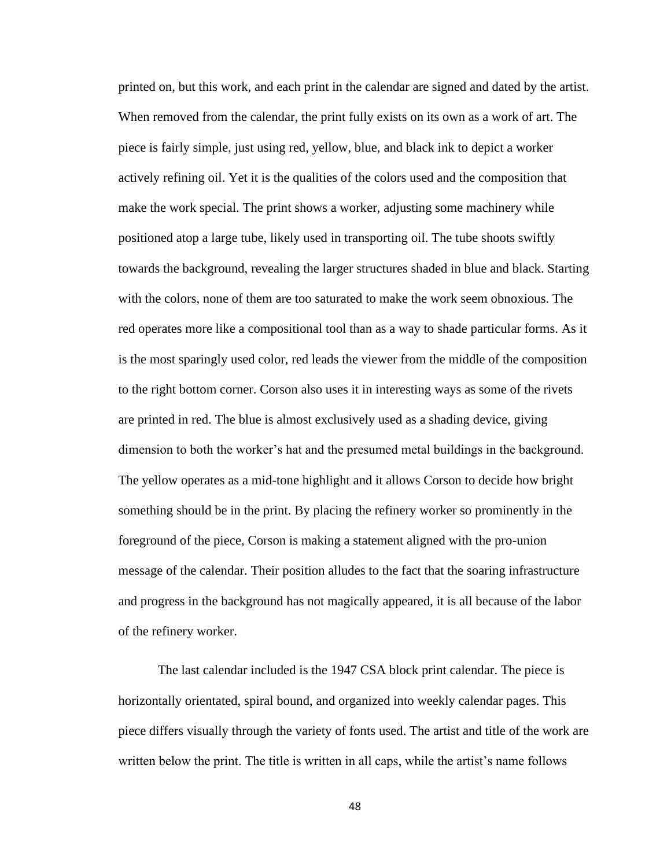printed on, but this work, and each print in the calendar are signed and dated by the artist. When removed from the calendar, the print fully exists on its own as a work of art. The piece is fairly simple, just using red, yellow, blue, and black ink to depict a worker actively refining oil. Yet it is the qualities of the colors used and the composition that make the work special. The print shows a worker, adjusting some machinery while positioned atop a large tube, likely used in transporting oil. The tube shoots swiftly towards the background, revealing the larger structures shaded in blue and black. Starting with the colors, none of them are too saturated to make the work seem obnoxious. The red operates more like a compositional tool than as a way to shade particular forms. As it is the most sparingly used color, red leads the viewer from the middle of the composition to the right bottom corner. Corson also uses it in interesting ways as some of the rivets are printed in red. The blue is almost exclusively used as a shading device, giving dimension to both the worker's hat and the presumed metal buildings in the background. The yellow operates as a mid-tone highlight and it allows Corson to decide how bright something should be in the print. By placing the refinery worker so prominently in the foreground of the piece, Corson is making a statement aligned with the pro-union message of the calendar. Their position alludes to the fact that the soaring infrastructure and progress in the background has not magically appeared, it is all because of the labor of the refinery worker.

The last calendar included is the 1947 CSA block print calendar. The piece is horizontally orientated, spiral bound, and organized into weekly calendar pages. This piece differs visually through the variety of fonts used. The artist and title of the work are written below the print. The title is written in all caps, while the artist's name follows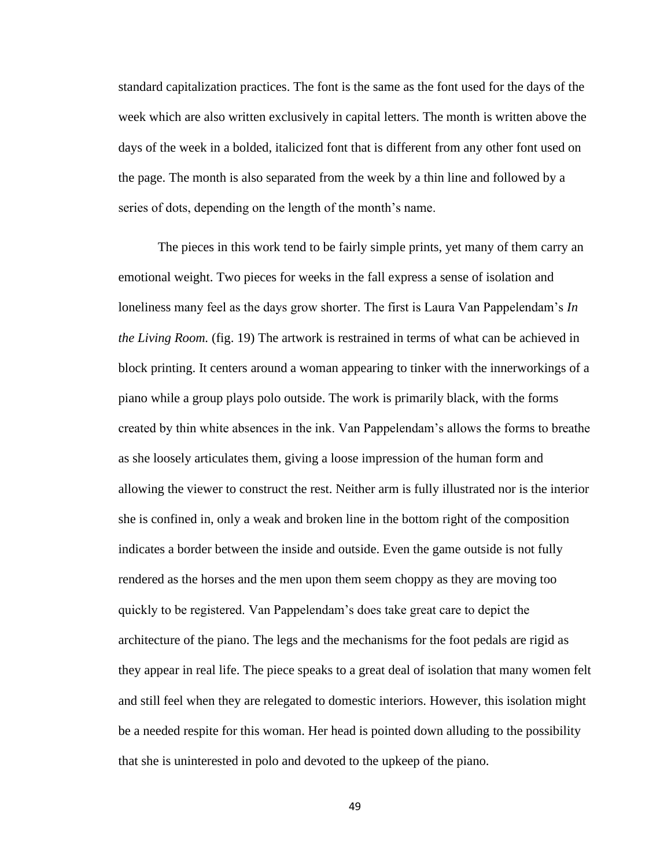standard capitalization practices. The font is the same as the font used for the days of the week which are also written exclusively in capital letters. The month is written above the days of the week in a bolded, italicized font that is different from any other font used on the page. The month is also separated from the week by a thin line and followed by a series of dots, depending on the length of the month's name.

The pieces in this work tend to be fairly simple prints, yet many of them carry an emotional weight. Two pieces for weeks in the fall express a sense of isolation and loneliness many feel as the days grow shorter. The first is Laura Van Pappelendam's *In the Living Room.* (fig. 19) The artwork is restrained in terms of what can be achieved in block printing. It centers around a woman appearing to tinker with the innerworkings of a piano while a group plays polo outside. The work is primarily black, with the forms created by thin white absences in the ink. Van Pappelendam's allows the forms to breathe as she loosely articulates them, giving a loose impression of the human form and allowing the viewer to construct the rest. Neither arm is fully illustrated nor is the interior she is confined in, only a weak and broken line in the bottom right of the composition indicates a border between the inside and outside. Even the game outside is not fully rendered as the horses and the men upon them seem choppy as they are moving too quickly to be registered. Van Pappelendam's does take great care to depict the architecture of the piano. The legs and the mechanisms for the foot pedals are rigid as they appear in real life. The piece speaks to a great deal of isolation that many women felt and still feel when they are relegated to domestic interiors. However, this isolation might be a needed respite for this woman. Her head is pointed down alluding to the possibility that she is uninterested in polo and devoted to the upkeep of the piano.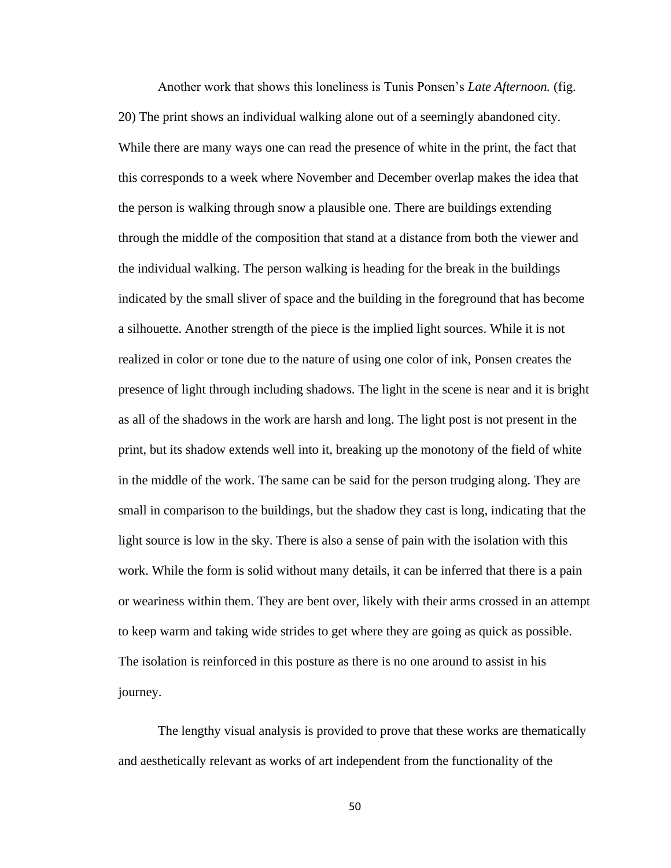Another work that shows this loneliness is Tunis Ponsen's *Late Afternoon.* (fig. 20) The print shows an individual walking alone out of a seemingly abandoned city. While there are many ways one can read the presence of white in the print, the fact that this corresponds to a week where November and December overlap makes the idea that the person is walking through snow a plausible one. There are buildings extending through the middle of the composition that stand at a distance from both the viewer and the individual walking. The person walking is heading for the break in the buildings indicated by the small sliver of space and the building in the foreground that has become a silhouette. Another strength of the piece is the implied light sources. While it is not realized in color or tone due to the nature of using one color of ink, Ponsen creates the presence of light through including shadows. The light in the scene is near and it is bright as all of the shadows in the work are harsh and long. The light post is not present in the print, but its shadow extends well into it, breaking up the monotony of the field of white in the middle of the work. The same can be said for the person trudging along. They are small in comparison to the buildings, but the shadow they cast is long, indicating that the light source is low in the sky. There is also a sense of pain with the isolation with this work. While the form is solid without many details, it can be inferred that there is a pain or weariness within them. They are bent over, likely with their arms crossed in an attempt to keep warm and taking wide strides to get where they are going as quick as possible. The isolation is reinforced in this posture as there is no one around to assist in his journey.

The lengthy visual analysis is provided to prove that these works are thematically and aesthetically relevant as works of art independent from the functionality of the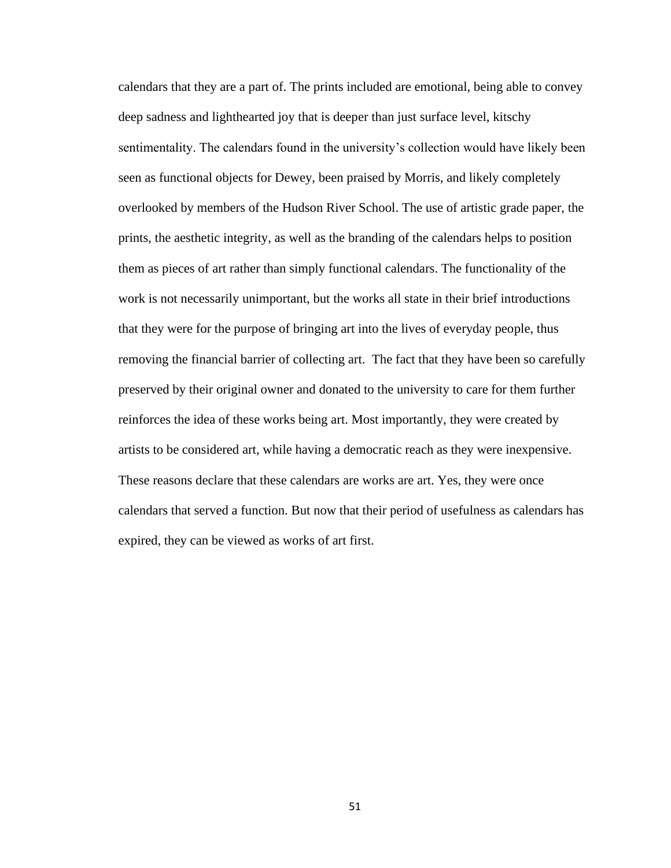calendars that they are a part of. The prints included are emotional, being able to convey deep sadness and lighthearted joy that is deeper than just surface level, kitschy sentimentality. The calendars found in the university's collection would have likely been seen as functional objects for Dewey, been praised by Morris, and likely completely overlooked by members of the Hudson River School. The use of artistic grade paper, the prints, the aesthetic integrity, as well as the branding of the calendars helps to position them as pieces of art rather than simply functional calendars. The functionality of the work is not necessarily unimportant, but the works all state in their brief introductions that they were for the purpose of bringing art into the lives of everyday people, thus removing the financial barrier of collecting art. The fact that they have been so carefully preserved by their original owner and donated to the university to care for them further reinforces the idea of these works being art. Most importantly, they were created by artists to be considered art, while having a democratic reach as they were inexpensive. These reasons declare that these calendars are works are art. Yes, they were once calendars that served a function. But now that their period of usefulness as calendars has expired, they can be viewed as works of art first.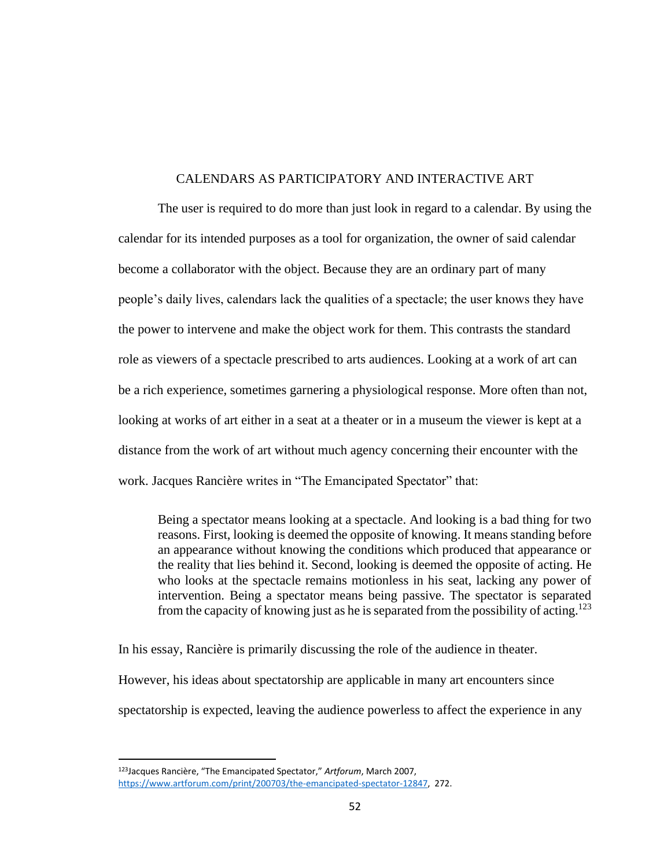## CALENDARS AS PARTICIPATORY AND INTERACTIVE ART

The user is required to do more than just look in regard to a calendar. By using the calendar for its intended purposes as a tool for organization, the owner of said calendar become a collaborator with the object. Because they are an ordinary part of many people's daily lives, calendars lack the qualities of a spectacle; the user knows they have the power to intervene and make the object work for them. This contrasts the standard role as viewers of a spectacle prescribed to arts audiences. Looking at a work of art can be a rich experience, sometimes garnering a physiological response. More often than not, looking at works of art either in a seat at a theater or in a museum the viewer is kept at a distance from the work of art without much agency concerning their encounter with the work. Jacques Rancière writes in "The Emancipated Spectator" that:

Being a spectator means looking at a spectacle. And looking is a bad thing for two reasons. First, looking is deemed the opposite of knowing. It means standing before an appearance without knowing the conditions which produced that appearance or the reality that lies behind it. Second, looking is deemed the opposite of acting. He who looks at the spectacle remains motionless in his seat, lacking any power of intervention. Being a spectator means being passive. The spectator is separated from the capacity of knowing just as he is separated from the possibility of acting.<sup>123</sup>

In his essay, Rancière is primarily discussing the role of the audience in theater.

However, his ideas about spectatorship are applicable in many art encounters since

spectatorship is expected, leaving the audience powerless to affect the experience in any

<sup>123</sup>Jacques Rancière, "The Emancipated Spectator," *Artforum*, March 2007, [https://www.artforum.com/print/200703/the-emancipated-spectator-12847,](https://www.artforum.com/print/200703/the-emancipated-spectator-12847) 272.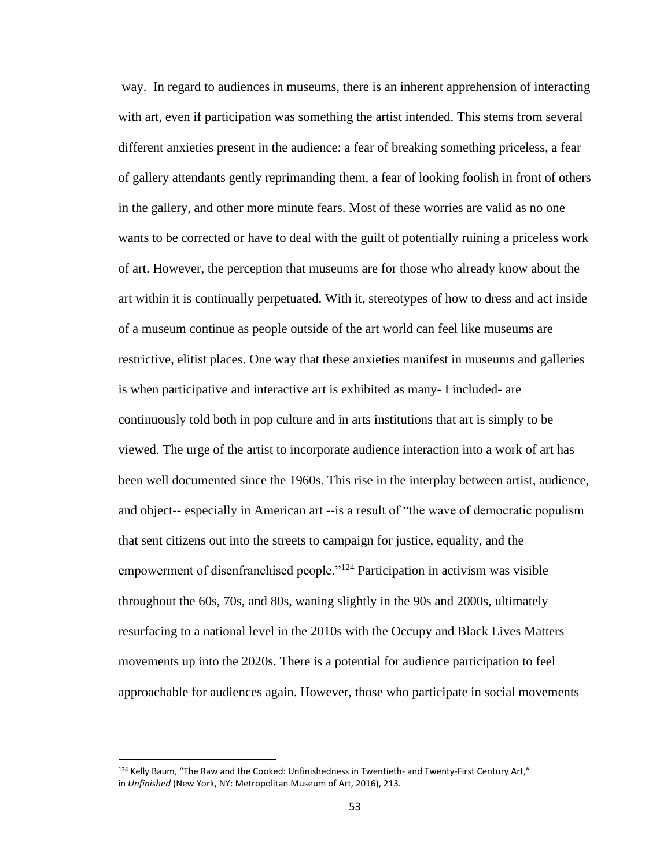way. In regard to audiences in museums, there is an inherent apprehension of interacting with art, even if participation was something the artist intended. This stems from several different anxieties present in the audience: a fear of breaking something priceless, a fear of gallery attendants gently reprimanding them, a fear of looking foolish in front of others in the gallery, and other more minute fears. Most of these worries are valid as no one wants to be corrected or have to deal with the guilt of potentially ruining a priceless work of art. However, the perception that museums are for those who already know about the art within it is continually perpetuated. With it, stereotypes of how to dress and act inside of a museum continue as people outside of the art world can feel like museums are restrictive, elitist places. One way that these anxieties manifest in museums and galleries is when participative and interactive art is exhibited as many- I included- are continuously told both in pop culture and in arts institutions that art is simply to be viewed. The urge of the artist to incorporate audience interaction into a work of art has been well documented since the 1960s. This rise in the interplay between artist, audience, and object-- especially in American art --is a result of "the wave of democratic populism that sent citizens out into the streets to campaign for justice, equality, and the empowerment of disenfranchised people."<sup>124</sup> Participation in activism was visible throughout the 60s, 70s, and 80s, waning slightly in the 90s and 2000s, ultimately resurfacing to a national level in the 2010s with the Occupy and Black Lives Matters movements up into the 2020s. There is a potential for audience participation to feel approachable for audiences again. However, those who participate in social movements

<sup>124</sup> Kelly Baum, "The Raw and the Cooked: Unfinishedness in Twentieth- and Twenty-First Century Art," in *Unfinished* (New York, NY: Metropolitan Museum of Art, 2016), 213.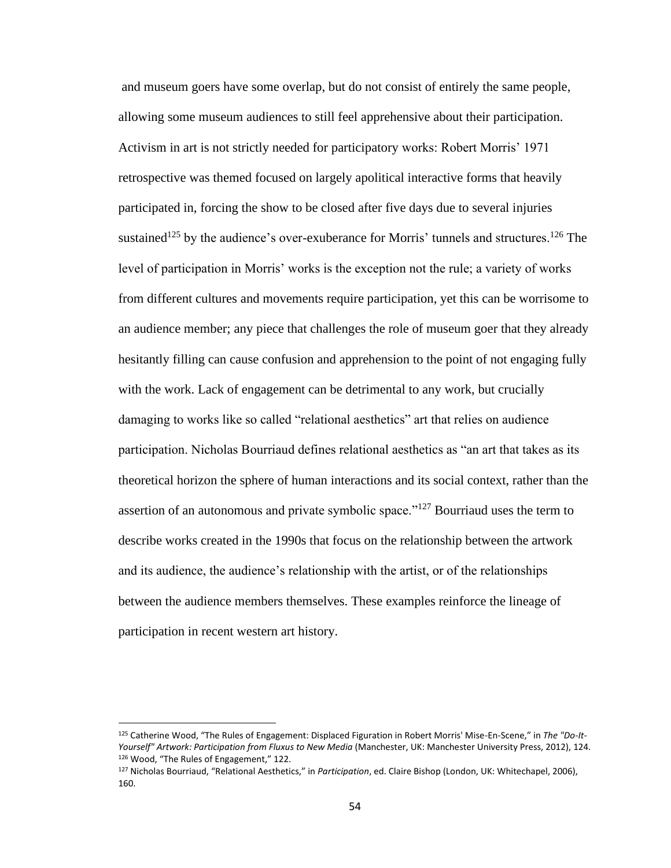and museum goers have some overlap, but do not consist of entirely the same people, allowing some museum audiences to still feel apprehensive about their participation. Activism in art is not strictly needed for participatory works: Robert Morris' 1971 retrospective was themed focused on largely apolitical interactive forms that heavily participated in, forcing the show to be closed after five days due to several injuries sustained<sup>125</sup> by the audience's over-exuberance for Morris' tunnels and structures.<sup>126</sup> The level of participation in Morris' works is the exception not the rule; a variety of works from different cultures and movements require participation, yet this can be worrisome to an audience member; any piece that challenges the role of museum goer that they already hesitantly filling can cause confusion and apprehension to the point of not engaging fully with the work. Lack of engagement can be detrimental to any work, but crucially damaging to works like so called "relational aesthetics" art that relies on audience participation. Nicholas Bourriaud defines relational aesthetics as "an art that takes as its theoretical horizon the sphere of human interactions and its social context, rather than the assertion of an autonomous and private symbolic space."<sup>127</sup> Bourriaud uses the term to describe works created in the 1990s that focus on the relationship between the artwork and its audience, the audience's relationship with the artist, or of the relationships between the audience members themselves. These examples reinforce the lineage of participation in recent western art history.

<sup>125</sup> Catherine Wood, "The Rules of Engagement: Displaced Figuration in Robert Morris' Mise-En-Scene," in *The "Do-It-Yourself" Artwork: Participation from Fluxus to New Media* (Manchester, UK: Manchester University Press, 2012), 124. 126 Wood, "The Rules of Engagement," 122.

<sup>127</sup> Nicholas Bourriaud, "Relational Aesthetics," in *Participation*, ed. Claire Bishop (London, UK: Whitechapel, 2006), 160.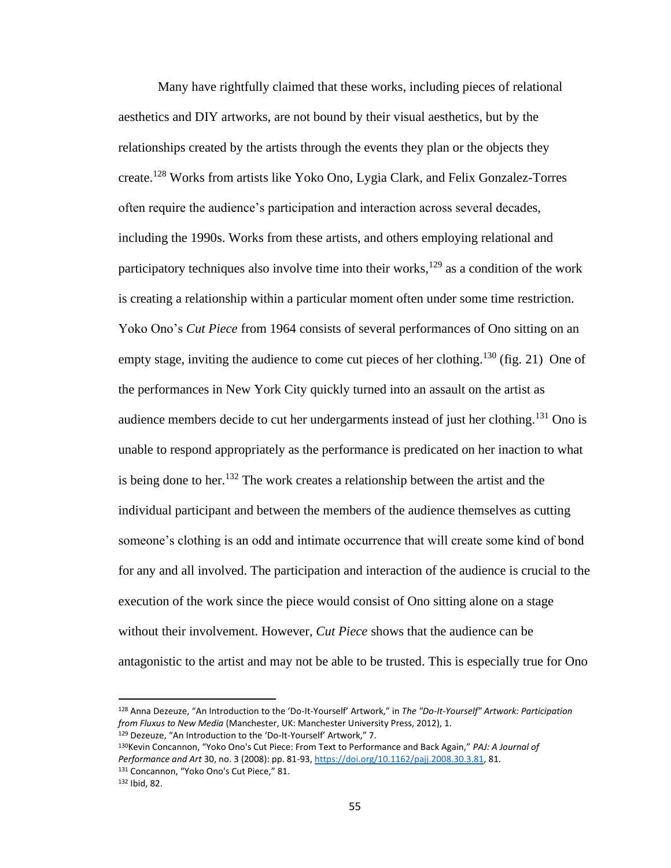Many have rightfully claimed that these works, including pieces of relational aesthetics and DIY artworks, are not bound by their visual aesthetics, but by the relationships created by the artists through the events they plan or the objects they create.<sup>128</sup> Works from artists like Yoko Ono*,* Lygia Clark*,* and Felix Gonzalez-Torres often require the audience's participation and interaction across several decades, including the 1990s. Works from these artists, and others employing relational and participatory techniques also involve time into their works,<sup>129</sup> as a condition of the work is creating a relationship within a particular moment often under some time restriction. Yoko Ono's *Cut Piece* from 1964 consists of several performances of Ono sitting on an empty stage, inviting the audience to come cut pieces of her clothing.<sup>130</sup> (fig. 21) One of the performances in New York City quickly turned into an assault on the artist as audience members decide to cut her undergarments instead of just her clothing.<sup>131</sup> Ono is unable to respond appropriately as the performance is predicated on her inaction to what is being done to her.<sup>132</sup> The work creates a relationship between the artist and the individual participant and between the members of the audience themselves as cutting someone's clothing is an odd and intimate occurrence that will create some kind of bond for any and all involved. The participation and interaction of the audience is crucial to the execution of the work since the piece would consist of Ono sitting alone on a stage without their involvement. However, *Cut Piece* shows that the audience can be antagonistic to the artist and may not be able to be trusted. This is especially true for Ono

<sup>128</sup> Anna Dezeuze, "An Introduction to the 'Do-It-Yourself' Artwork," in *The "Do-It-Yourself" Artwork: Participation from Fluxus to New Media* (Manchester, UK: Manchester University Press, 2012), 1. <sup>129</sup> Dezeuze, "An Introduction to the 'Do-It-Yourself' Artwork," 7.

<sup>130</sup>Kevin Concannon, "Yoko Ono's Cut Piece: From Text to Performance and Back Again," *PAJ: A Journal of Performance and Art* 30, no. 3 (2008): pp. 81-93[, https://doi.org/10.1162/pajj.2008.30.3.81,](https://doi.org/10.1162/pajj.2008.30.3.81) 81. 131 Concannon, "Yoko Ono's Cut Piece," 81.

<sup>132</sup> Ibid, 82.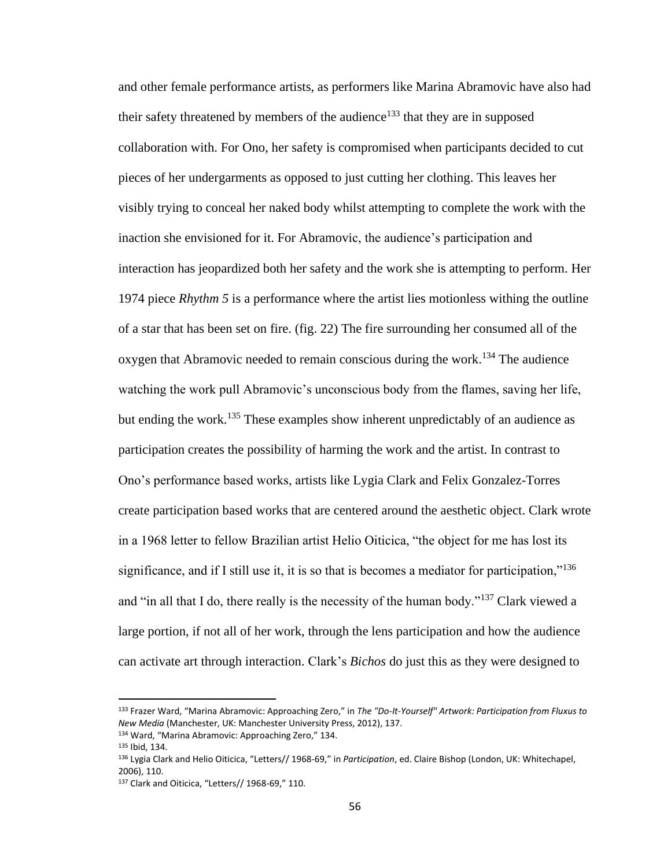and other female performance artists, as performers like Marina Abramovic have also had their safety threatened by members of the audience<sup>133</sup> that they are in supposed collaboration with. For Ono, her safety is compromised when participants decided to cut pieces of her undergarments as opposed to just cutting her clothing. This leaves her visibly trying to conceal her naked body whilst attempting to complete the work with the inaction she envisioned for it. For Abramovic, the audience's participation and interaction has jeopardized both her safety and the work she is attempting to perform. Her 1974 piece *Rhythm 5* is a performance where the artist lies motionless withing the outline of a star that has been set on fire. (fig. 22) The fire surrounding her consumed all of the oxygen that Abramovic needed to remain conscious during the work.<sup>134</sup> The audience watching the work pull Abramovic's unconscious body from the flames, saving her life, but ending the work.<sup>135</sup> These examples show inherent unpredictably of an audience as participation creates the possibility of harming the work and the artist. In contrast to Ono's performance based works, artists like Lygia Clark and Felix Gonzalez-Torres create participation based works that are centered around the aesthetic object. Clark wrote in a 1968 letter to fellow Brazilian artist Helio Oiticica, "the object for me has lost its significance, and if I still use it, it is so that is becomes a mediator for participation,"<sup>136</sup> and "in all that I do, there really is the necessity of the human body."<sup>137</sup> Clark viewed a large portion, if not all of her work, through the lens participation and how the audience can activate art through interaction. Clark's *Bichos* do just this as they were designed to

<sup>133</sup> Frazer Ward, "Marina Abramovic: Approaching Zero," in *The "Do-It-Yourself" Artwork: Participation from Fluxus to New Media* (Manchester, UK: Manchester University Press, 2012), 137.

<sup>134</sup> Ward, "Marina Abramovic: Approaching Zero," 134.

<sup>135</sup> Ibid, 134.

<sup>136</sup> Lygia Clark and Helio Oiticica, "Letters// 1968-69," in *Participation*, ed. Claire Bishop (London, UK: Whitechapel, 2006), 110.

<sup>137</sup> Clark and Oiticica, "Letters// 1968-69," 110.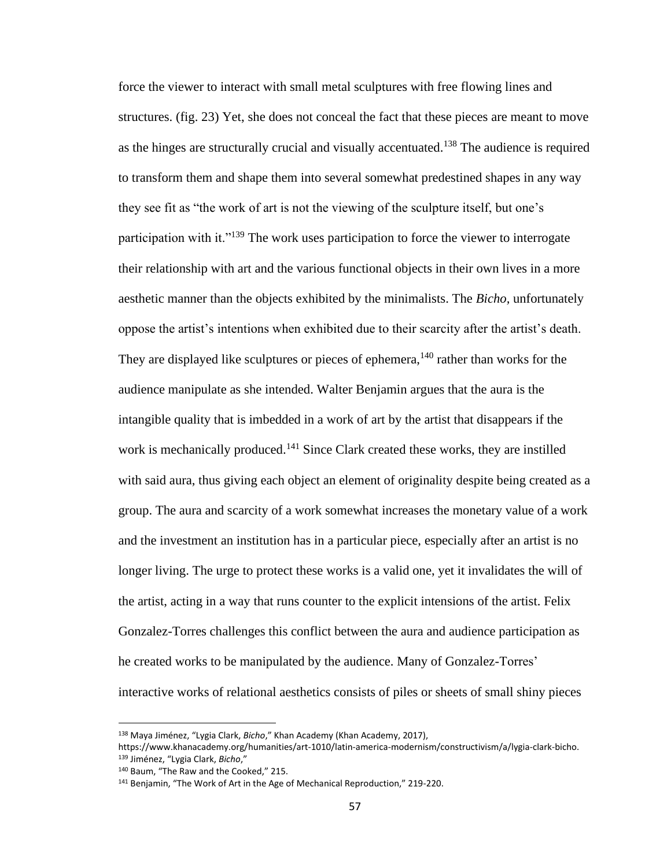force the viewer to interact with small metal sculptures with free flowing lines and structures. (fig. 23) Yet, she does not conceal the fact that these pieces are meant to move as the hinges are structurally crucial and visually accentuated.<sup>138</sup> The audience is required to transform them and shape them into several somewhat predestined shapes in any way they see fit as "the work of art is not the viewing of the sculpture itself, but one's participation with it."<sup>139</sup> The work uses participation to force the viewer to interrogate their relationship with art and the various functional objects in their own lives in a more aesthetic manner than the objects exhibited by the minimalists. The *Bicho,* unfortunately oppose the artist's intentions when exhibited due to their scarcity after the artist's death. They are displayed like sculptures or pieces of ephemera,  $140$  rather than works for the audience manipulate as she intended. Walter Benjamin argues that the aura is the intangible quality that is imbedded in a work of art by the artist that disappears if the work is mechanically produced.<sup>141</sup> Since Clark created these works, they are instilled with said aura, thus giving each object an element of originality despite being created as a group. The aura and scarcity of a work somewhat increases the monetary value of a work and the investment an institution has in a particular piece, especially after an artist is no longer living. The urge to protect these works is a valid one, yet it invalidates the will of the artist, acting in a way that runs counter to the explicit intensions of the artist. Felix Gonzalez-Torres challenges this conflict between the aura and audience participation as he created works to be manipulated by the audience. Many of Gonzalez-Torres' interactive works of relational aesthetics consists of piles or sheets of small shiny pieces

<sup>138</sup> Maya Jiménez, "Lygia Clark, *Bicho*," Khan Academy (Khan Academy, 2017),

https://www.khanacademy.org/humanities/art-1010/latin-america-modernism/constructivism/a/lygia-clark-bicho. <sup>139</sup> Jiménez, "Lygia Clark, *Bicho*,"

<sup>140</sup> Baum, "The Raw and the Cooked," 215.

<sup>141</sup> Benjamin, "The Work of Art in the Age of Mechanical Reproduction," 219-220.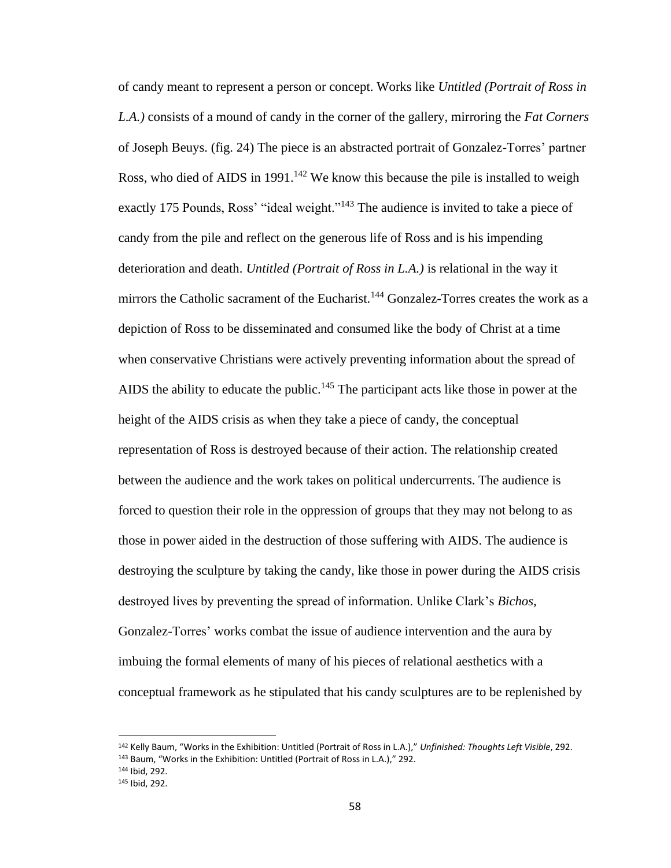of candy meant to represent a person or concept. Works like *Untitled (Portrait of Ross in L.A.)* consists of a mound of candy in the corner of the gallery, mirroring the *Fat Corners*  of Joseph Beuys. (fig. 24) The piece is an abstracted portrait of Gonzalez-Torres' partner Ross, who died of AIDS in 1991.<sup>142</sup> We know this because the pile is installed to weigh exactly 175 Pounds, Ross' "ideal weight."<sup>143</sup> The audience is invited to take a piece of candy from the pile and reflect on the generous life of Ross and is his impending deterioration and death. *Untitled (Portrait of Ross in L.A.)* is relational in the way it mirrors the Catholic sacrament of the Eucharist.<sup>144</sup> Gonzalez-Torres creates the work as a depiction of Ross to be disseminated and consumed like the body of Christ at a time when conservative Christians were actively preventing information about the spread of AIDS the ability to educate the public.<sup>145</sup> The participant acts like those in power at the height of the AIDS crisis as when they take a piece of candy, the conceptual representation of Ross is destroyed because of their action. The relationship created between the audience and the work takes on political undercurrents. The audience is forced to question their role in the oppression of groups that they may not belong to as those in power aided in the destruction of those suffering with AIDS. The audience is destroying the sculpture by taking the candy, like those in power during the AIDS crisis destroyed lives by preventing the spread of information. Unlike Clark's *Bichos,* Gonzalez-Torres' works combat the issue of audience intervention and the aura by imbuing the formal elements of many of his pieces of relational aesthetics with a conceptual framework as he stipulated that his candy sculptures are to be replenished by

<sup>142</sup> Kelly Baum, "Works in the Exhibition: Untitled (Portrait of Ross in L.A.)," *Unfinished: Thoughts Left Visible*, 292. <sup>143</sup> Baum, "Works in the Exhibition: Untitled (Portrait of Ross in L.A.)," 292.

<sup>144</sup> Ibid, 292.

<sup>145</sup> Ibid, 292.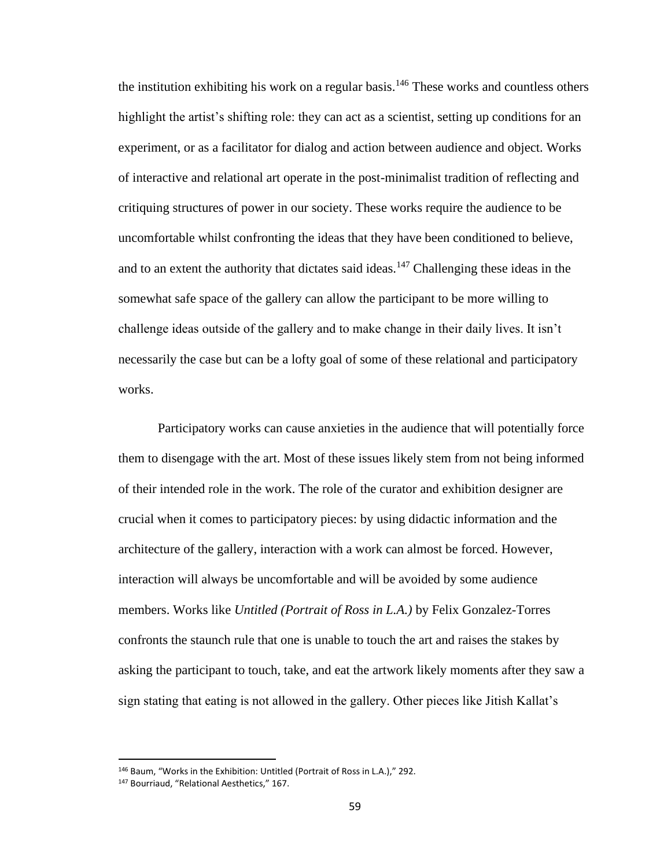the institution exhibiting his work on a regular basis.<sup>146</sup> These works and countless others highlight the artist's shifting role: they can act as a scientist, setting up conditions for an experiment, or as a facilitator for dialog and action between audience and object. Works of interactive and relational art operate in the post-minimalist tradition of reflecting and critiquing structures of power in our society. These works require the audience to be uncomfortable whilst confronting the ideas that they have been conditioned to believe, and to an extent the authority that dictates said ideas.<sup>147</sup> Challenging these ideas in the somewhat safe space of the gallery can allow the participant to be more willing to challenge ideas outside of the gallery and to make change in their daily lives. It isn't necessarily the case but can be a lofty goal of some of these relational and participatory works.

Participatory works can cause anxieties in the audience that will potentially force them to disengage with the art. Most of these issues likely stem from not being informed of their intended role in the work. The role of the curator and exhibition designer are crucial when it comes to participatory pieces: by using didactic information and the architecture of the gallery, interaction with a work can almost be forced. However, interaction will always be uncomfortable and will be avoided by some audience members. Works like *Untitled (Portrait of Ross in L.A.)* by Felix Gonzalez-Torres confronts the staunch rule that one is unable to touch the art and raises the stakes by asking the participant to touch, take, and eat the artwork likely moments after they saw a sign stating that eating is not allowed in the gallery. Other pieces like Jitish Kallat's

<sup>146</sup> Baum, "Works in the Exhibition: Untitled (Portrait of Ross in L.A.)," 292.

<sup>147</sup> Bourriaud, "Relational Aesthetics," 167.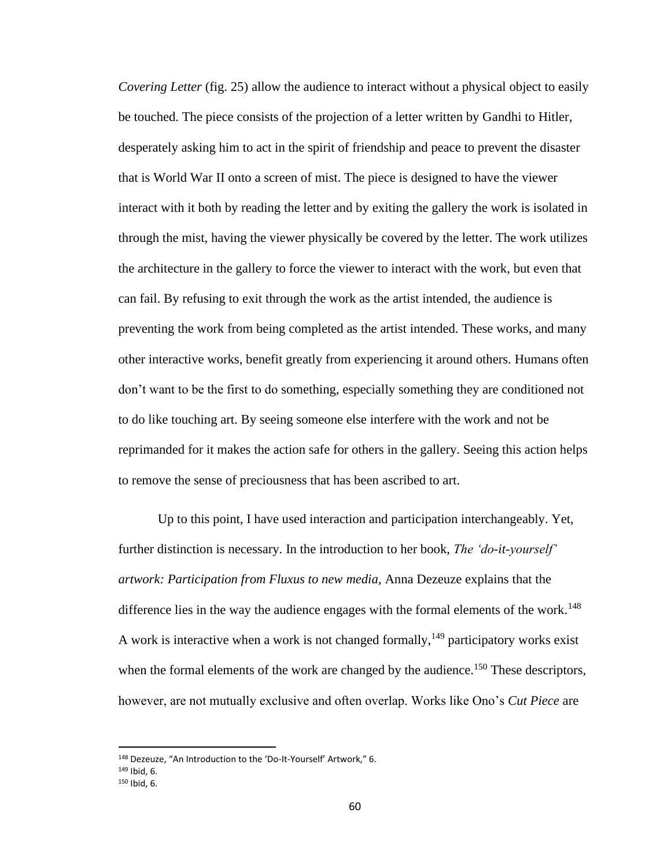*Covering Letter* (fig. 25) allow the audience to interact without a physical object to easily be touched. The piece consists of the projection of a letter written by Gandhi to Hitler, desperately asking him to act in the spirit of friendship and peace to prevent the disaster that is World War II onto a screen of mist. The piece is designed to have the viewer interact with it both by reading the letter and by exiting the gallery the work is isolated in through the mist, having the viewer physically be covered by the letter. The work utilizes the architecture in the gallery to force the viewer to interact with the work, but even that can fail. By refusing to exit through the work as the artist intended, the audience is preventing the work from being completed as the artist intended. These works, and many other interactive works, benefit greatly from experiencing it around others. Humans often don't want to be the first to do something, especially something they are conditioned not to do like touching art. By seeing someone else interfere with the work and not be reprimanded for it makes the action safe for others in the gallery. Seeing this action helps to remove the sense of preciousness that has been ascribed to art.

Up to this point, I have used interaction and participation interchangeably. Yet, further distinction is necessary. In the introduction to her book, *The 'do-it-yourself' artwork: Participation from Fluxus to new media,* Anna Dezeuze explains that the difference lies in the way the audience engages with the formal elements of the work.<sup>148</sup> A work is interactive when a work is not changed formally,  $149$  participatory works exist when the formal elements of the work are changed by the audience.<sup>150</sup> These descriptors, however, are not mutually exclusive and often overlap. Works like Ono's *Cut Piece* are

<sup>148</sup> Dezeuze, "An Introduction to the 'Do-It-Yourself' Artwork," 6.

<sup>149</sup> Ibid, 6.

<sup>150</sup> Ibid, 6.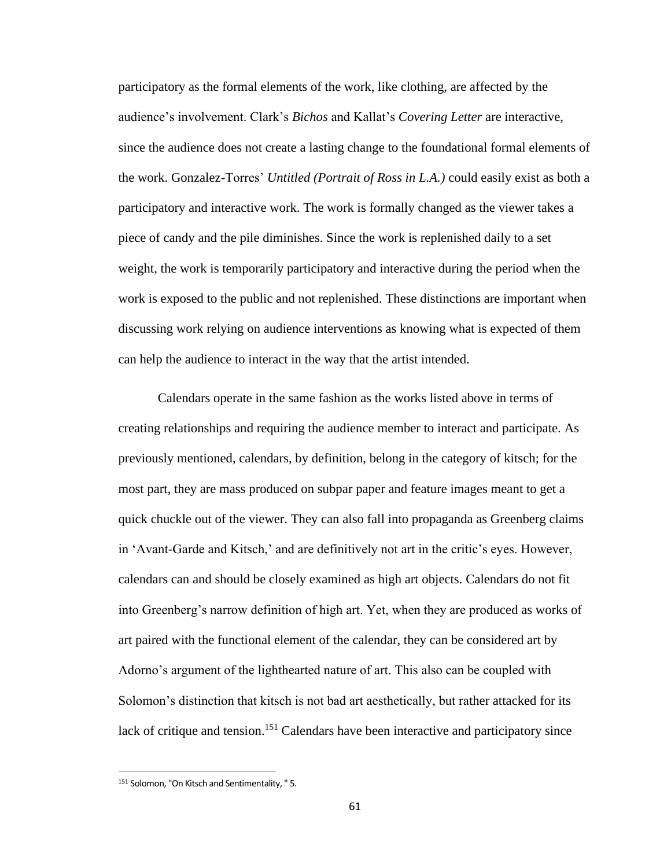participatory as the formal elements of the work, like clothing, are affected by the audience's involvement. Clark's *Bichos* and Kallat's *Covering Letter* are interactive, since the audience does not create a lasting change to the foundational formal elements of the work. Gonzalez-Torres' *Untitled (Portrait of Ross in L.A.)* could easily exist as both a participatory and interactive work. The work is formally changed as the viewer takes a piece of candy and the pile diminishes. Since the work is replenished daily to a set weight, the work is temporarily participatory and interactive during the period when the work is exposed to the public and not replenished. These distinctions are important when discussing work relying on audience interventions as knowing what is expected of them can help the audience to interact in the way that the artist intended.

Calendars operate in the same fashion as the works listed above in terms of creating relationships and requiring the audience member to interact and participate. As previously mentioned, calendars, by definition, belong in the category of kitsch; for the most part, they are mass produced on subpar paper and feature images meant to get a quick chuckle out of the viewer. They can also fall into propaganda as Greenberg claims in 'Avant-Garde and Kitsch,' and are definitively not art in the critic's eyes. However, calendars can and should be closely examined as high art objects. Calendars do not fit into Greenberg's narrow definition of high art. Yet, when they are produced as works of art paired with the functional element of the calendar, they can be considered art by Adorno's argument of the lighthearted nature of art. This also can be coupled with Solomon's distinction that kitsch is not bad art aesthetically, but rather attacked for its lack of critique and tension.<sup>151</sup> Calendars have been interactive and participatory since

<sup>151</sup> Solomon, "On Kitsch and Sentimentality, " 5.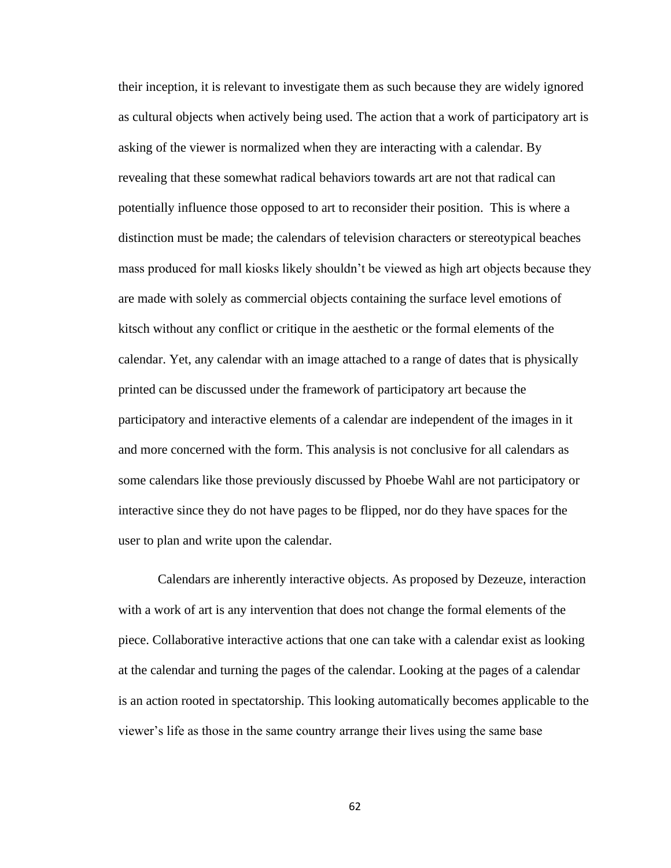their inception, it is relevant to investigate them as such because they are widely ignored as cultural objects when actively being used. The action that a work of participatory art is asking of the viewer is normalized when they are interacting with a calendar. By revealing that these somewhat radical behaviors towards art are not that radical can potentially influence those opposed to art to reconsider their position. This is where a distinction must be made; the calendars of television characters or stereotypical beaches mass produced for mall kiosks likely shouldn't be viewed as high art objects because they are made with solely as commercial objects containing the surface level emotions of kitsch without any conflict or critique in the aesthetic or the formal elements of the calendar. Yet, any calendar with an image attached to a range of dates that is physically printed can be discussed under the framework of participatory art because the participatory and interactive elements of a calendar are independent of the images in it and more concerned with the form. This analysis is not conclusive for all calendars as some calendars like those previously discussed by Phoebe Wahl are not participatory or interactive since they do not have pages to be flipped, nor do they have spaces for the user to plan and write upon the calendar.

Calendars are inherently interactive objects. As proposed by Dezeuze, interaction with a work of art is any intervention that does not change the formal elements of the piece. Collaborative interactive actions that one can take with a calendar exist as looking at the calendar and turning the pages of the calendar. Looking at the pages of a calendar is an action rooted in spectatorship. This looking automatically becomes applicable to the viewer's life as those in the same country arrange their lives using the same base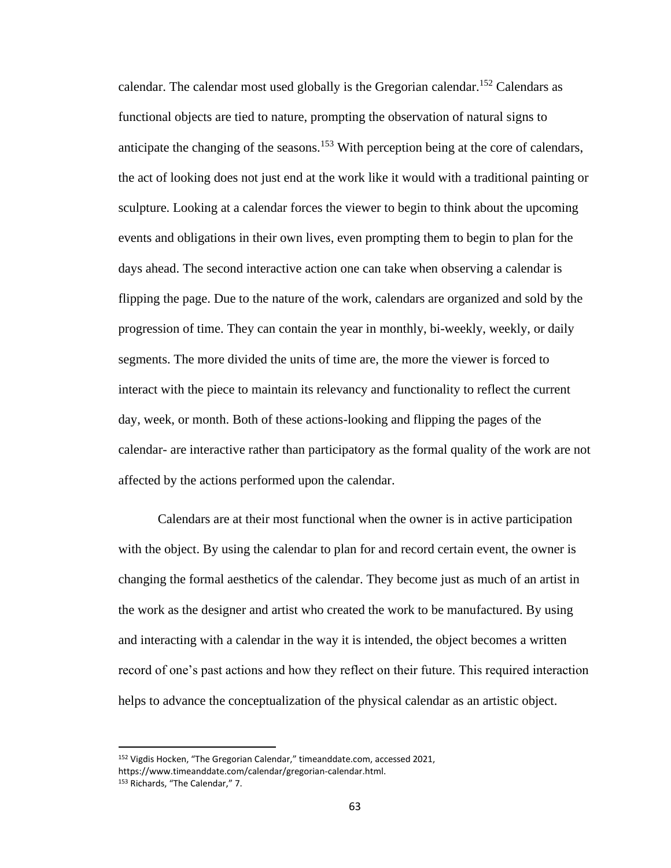calendar. The calendar most used globally is the Gregorian calendar.<sup>152</sup> Calendars as functional objects are tied to nature, prompting the observation of natural signs to anticipate the changing of the seasons.<sup>153</sup> With perception being at the core of calendars, the act of looking does not just end at the work like it would with a traditional painting or sculpture. Looking at a calendar forces the viewer to begin to think about the upcoming events and obligations in their own lives, even prompting them to begin to plan for the days ahead. The second interactive action one can take when observing a calendar is flipping the page. Due to the nature of the work, calendars are organized and sold by the progression of time. They can contain the year in monthly, bi-weekly, weekly, or daily segments. The more divided the units of time are, the more the viewer is forced to interact with the piece to maintain its relevancy and functionality to reflect the current day, week, or month. Both of these actions-looking and flipping the pages of the calendar- are interactive rather than participatory as the formal quality of the work are not affected by the actions performed upon the calendar.

Calendars are at their most functional when the owner is in active participation with the object. By using the calendar to plan for and record certain event, the owner is changing the formal aesthetics of the calendar. They become just as much of an artist in the work as the designer and artist who created the work to be manufactured. By using and interacting with a calendar in the way it is intended, the object becomes a written record of one's past actions and how they reflect on their future. This required interaction helps to advance the conceptualization of the physical calendar as an artistic object.

<sup>152</sup> Vigdis Hocken, "The Gregorian Calendar," timeanddate.com, accessed 2021, https://www.timeanddate.com/calendar/gregorian-calendar.html. <sup>153</sup> Richards, "The Calendar," 7.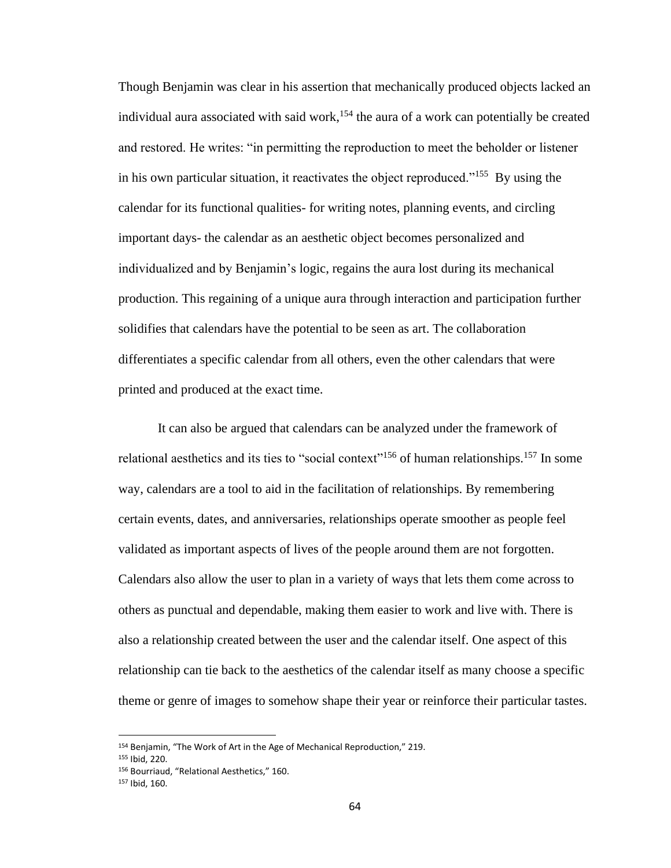Though Benjamin was clear in his assertion that mechanically produced objects lacked an individual aura associated with said work,<sup>154</sup> the aura of a work can potentially be created and restored. He writes: "in permitting the reproduction to meet the beholder or listener in his own particular situation, it reactivates the object reproduced."<sup>155</sup> By using the calendar for its functional qualities- for writing notes, planning events, and circling important days- the calendar as an aesthetic object becomes personalized and individualized and by Benjamin's logic, regains the aura lost during its mechanical production. This regaining of a unique aura through interaction and participation further solidifies that calendars have the potential to be seen as art. The collaboration differentiates a specific calendar from all others, even the other calendars that were printed and produced at the exact time.

It can also be argued that calendars can be analyzed under the framework of relational aesthetics and its ties to "social context"<sup>156</sup> of human relationships.<sup>157</sup> In some way, calendars are a tool to aid in the facilitation of relationships. By remembering certain events, dates, and anniversaries, relationships operate smoother as people feel validated as important aspects of lives of the people around them are not forgotten. Calendars also allow the user to plan in a variety of ways that lets them come across to others as punctual and dependable, making them easier to work and live with. There is also a relationship created between the user and the calendar itself. One aspect of this relationship can tie back to the aesthetics of the calendar itself as many choose a specific theme or genre of images to somehow shape their year or reinforce their particular tastes.

<sup>154</sup> Benjamin, "The Work of Art in the Age of Mechanical Reproduction," 219.

<sup>155</sup> Ibid, 220.

<sup>156</sup> Bourriaud, "Relational Aesthetics," 160.

<sup>157</sup> Ibid, 160.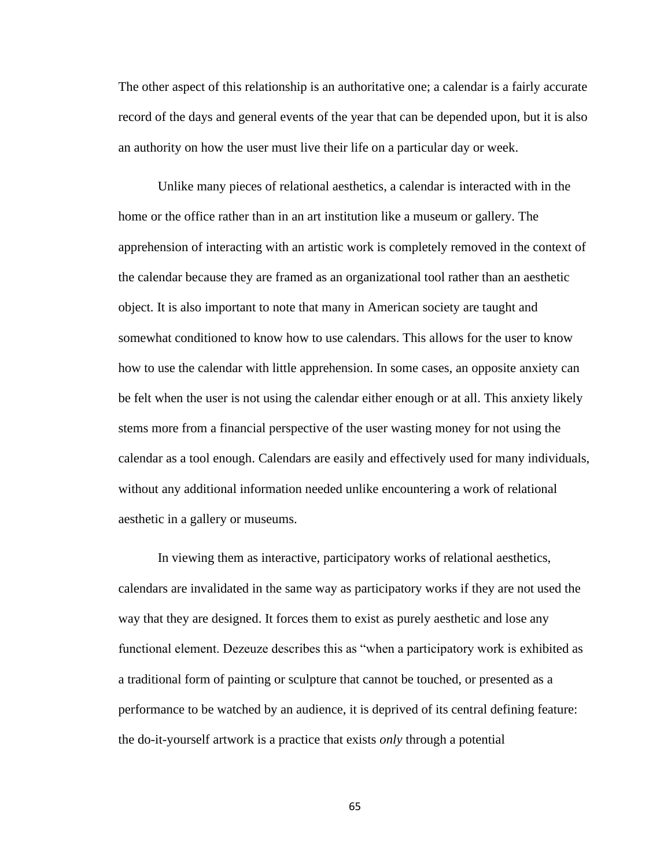The other aspect of this relationship is an authoritative one; a calendar is a fairly accurate record of the days and general events of the year that can be depended upon, but it is also an authority on how the user must live their life on a particular day or week.

Unlike many pieces of relational aesthetics, a calendar is interacted with in the home or the office rather than in an art institution like a museum or gallery. The apprehension of interacting with an artistic work is completely removed in the context of the calendar because they are framed as an organizational tool rather than an aesthetic object. It is also important to note that many in American society are taught and somewhat conditioned to know how to use calendars. This allows for the user to know how to use the calendar with little apprehension. In some cases, an opposite anxiety can be felt when the user is not using the calendar either enough or at all. This anxiety likely stems more from a financial perspective of the user wasting money for not using the calendar as a tool enough. Calendars are easily and effectively used for many individuals, without any additional information needed unlike encountering a work of relational aesthetic in a gallery or museums.

In viewing them as interactive, participatory works of relational aesthetics, calendars are invalidated in the same way as participatory works if they are not used the way that they are designed. It forces them to exist as purely aesthetic and lose any functional element. Dezeuze describes this as "when a participatory work is exhibited as a traditional form of painting or sculpture that cannot be touched, or presented as a performance to be watched by an audience, it is deprived of its central defining feature: the do-it-yourself artwork is a practice that exists *only* through a potential

65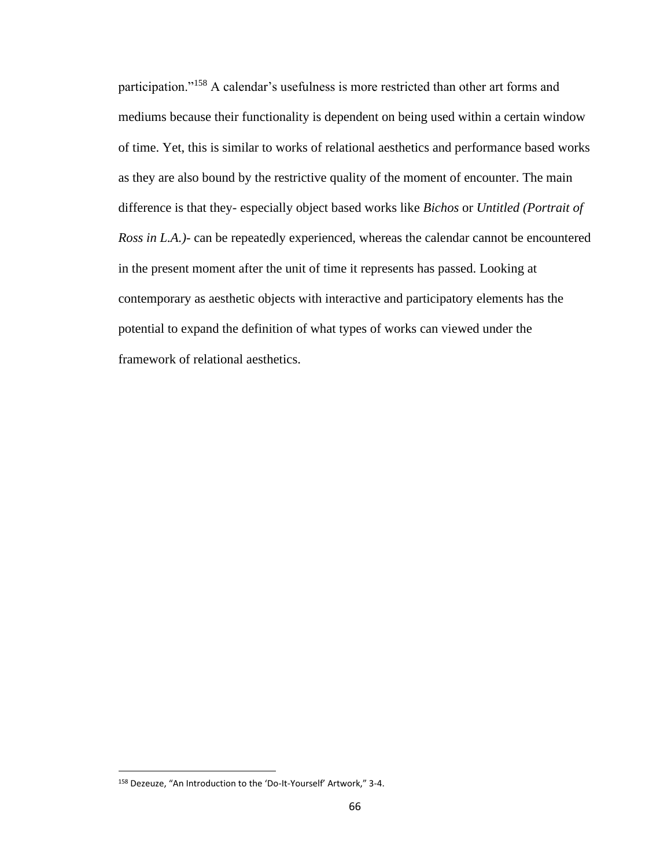participation."<sup>158</sup> A calendar's usefulness is more restricted than other art forms and mediums because their functionality is dependent on being used within a certain window of time. Yet, this is similar to works of relational aesthetics and performance based works as they are also bound by the restrictive quality of the moment of encounter. The main difference is that they- especially object based works like *Bichos* or *Untitled (Portrait of Ross in L.A.)*- can be repeatedly experienced, whereas the calendar cannot be encountered in the present moment after the unit of time it represents has passed. Looking at contemporary as aesthetic objects with interactive and participatory elements has the potential to expand the definition of what types of works can viewed under the framework of relational aesthetics.

<sup>158</sup> Dezeuze, "An Introduction to the 'Do-It-Yourself' Artwork," 3-4.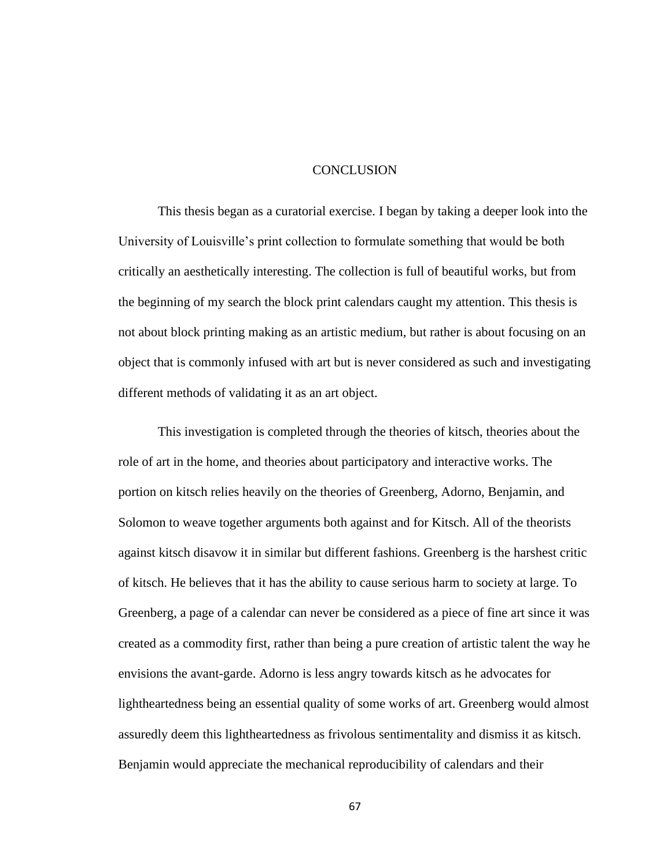### **CONCLUSION**

This thesis began as a curatorial exercise. I began by taking a deeper look into the University of Louisville's print collection to formulate something that would be both critically an aesthetically interesting. The collection is full of beautiful works, but from the beginning of my search the block print calendars caught my attention. This thesis is not about block printing making as an artistic medium, but rather is about focusing on an object that is commonly infused with art but is never considered as such and investigating different methods of validating it as an art object.

This investigation is completed through the theories of kitsch, theories about the role of art in the home, and theories about participatory and interactive works. The portion on kitsch relies heavily on the theories of Greenberg, Adorno, Benjamin, and Solomon to weave together arguments both against and for Kitsch. All of the theorists against kitsch disavow it in similar but different fashions. Greenberg is the harshest critic of kitsch. He believes that it has the ability to cause serious harm to society at large. To Greenberg, a page of a calendar can never be considered as a piece of fine art since it was created as a commodity first, rather than being a pure creation of artistic talent the way he envisions the avant-garde. Adorno is less angry towards kitsch as he advocates for lightheartedness being an essential quality of some works of art. Greenberg would almost assuredly deem this lightheartedness as frivolous sentimentality and dismiss it as kitsch. Benjamin would appreciate the mechanical reproducibility of calendars and their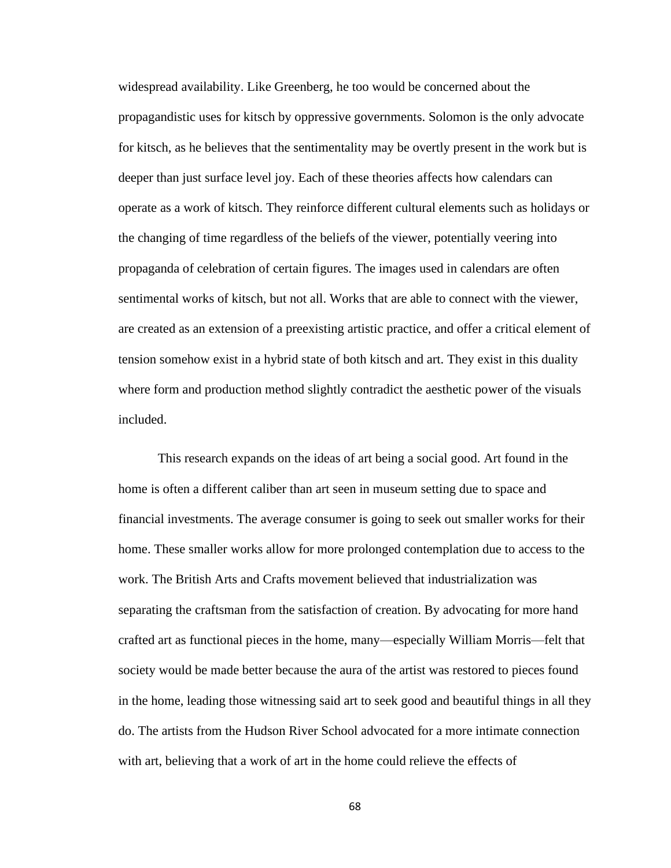widespread availability. Like Greenberg, he too would be concerned about the propagandistic uses for kitsch by oppressive governments. Solomon is the only advocate for kitsch, as he believes that the sentimentality may be overtly present in the work but is deeper than just surface level joy. Each of these theories affects how calendars can operate as a work of kitsch. They reinforce different cultural elements such as holidays or the changing of time regardless of the beliefs of the viewer, potentially veering into propaganda of celebration of certain figures. The images used in calendars are often sentimental works of kitsch, but not all. Works that are able to connect with the viewer, are created as an extension of a preexisting artistic practice, and offer a critical element of tension somehow exist in a hybrid state of both kitsch and art. They exist in this duality where form and production method slightly contradict the aesthetic power of the visuals included.

This research expands on the ideas of art being a social good. Art found in the home is often a different caliber than art seen in museum setting due to space and financial investments. The average consumer is going to seek out smaller works for their home. These smaller works allow for more prolonged contemplation due to access to the work. The British Arts and Crafts movement believed that industrialization was separating the craftsman from the satisfaction of creation. By advocating for more hand crafted art as functional pieces in the home, many—especially William Morris—felt that society would be made better because the aura of the artist was restored to pieces found in the home, leading those witnessing said art to seek good and beautiful things in all they do. The artists from the Hudson River School advocated for a more intimate connection with art, believing that a work of art in the home could relieve the effects of

68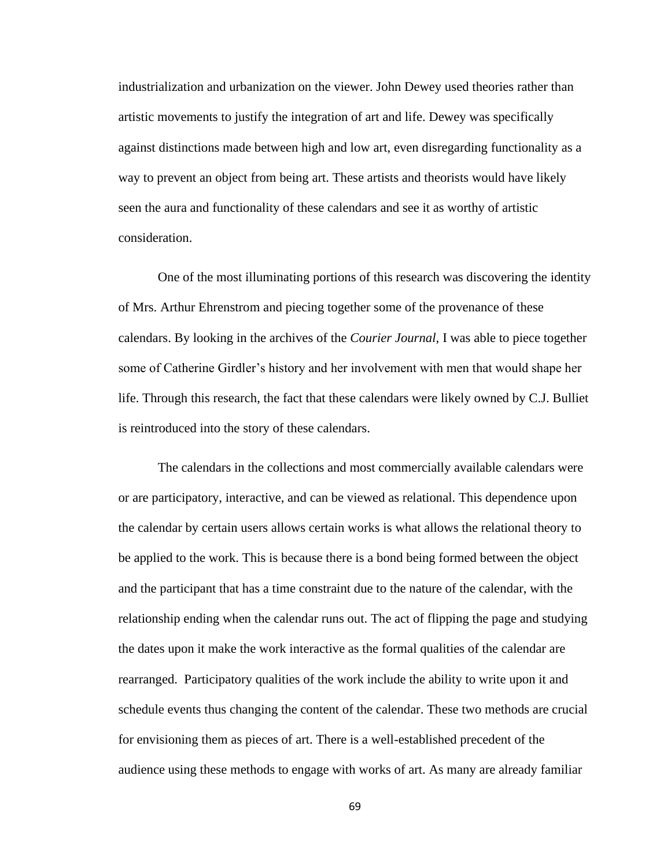industrialization and urbanization on the viewer. John Dewey used theories rather than artistic movements to justify the integration of art and life. Dewey was specifically against distinctions made between high and low art, even disregarding functionality as a way to prevent an object from being art. These artists and theorists would have likely seen the aura and functionality of these calendars and see it as worthy of artistic consideration.

One of the most illuminating portions of this research was discovering the identity of Mrs. Arthur Ehrenstrom and piecing together some of the provenance of these calendars. By looking in the archives of the *Courier Journal,* I was able to piece together some of Catherine Girdler's history and her involvement with men that would shape her life. Through this research, the fact that these calendars were likely owned by C.J. Bulliet is reintroduced into the story of these calendars.

The calendars in the collections and most commercially available calendars were or are participatory, interactive, and can be viewed as relational. This dependence upon the calendar by certain users allows certain works is what allows the relational theory to be applied to the work. This is because there is a bond being formed between the object and the participant that has a time constraint due to the nature of the calendar, with the relationship ending when the calendar runs out. The act of flipping the page and studying the dates upon it make the work interactive as the formal qualities of the calendar are rearranged. Participatory qualities of the work include the ability to write upon it and schedule events thus changing the content of the calendar. These two methods are crucial for envisioning them as pieces of art. There is a well-established precedent of the audience using these methods to engage with works of art. As many are already familiar

69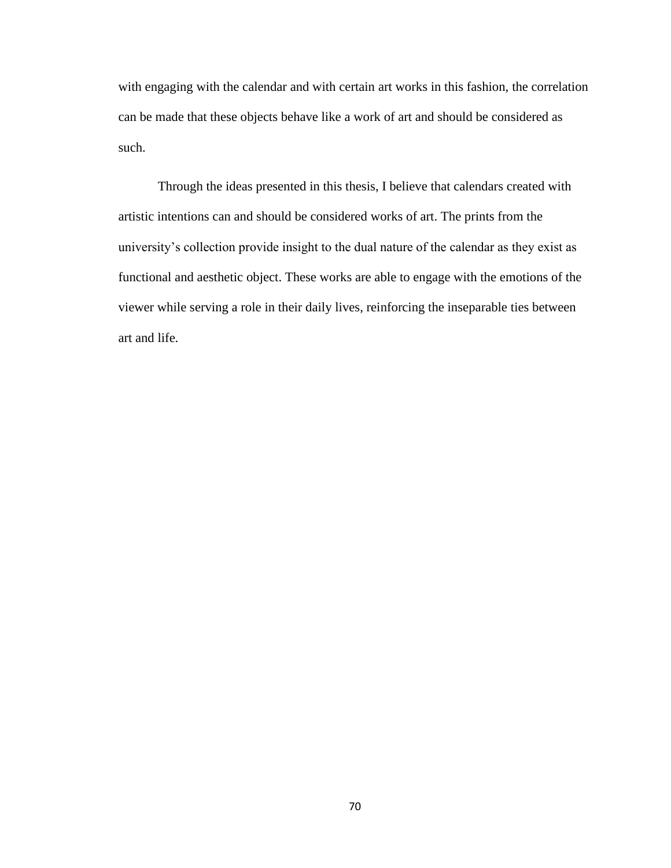with engaging with the calendar and with certain art works in this fashion, the correlation can be made that these objects behave like a work of art and should be considered as such.

Through the ideas presented in this thesis, I believe that calendars created with artistic intentions can and should be considered works of art. The prints from the university's collection provide insight to the dual nature of the calendar as they exist as functional and aesthetic object. These works are able to engage with the emotions of the viewer while serving a role in their daily lives, reinforcing the inseparable ties between art and life.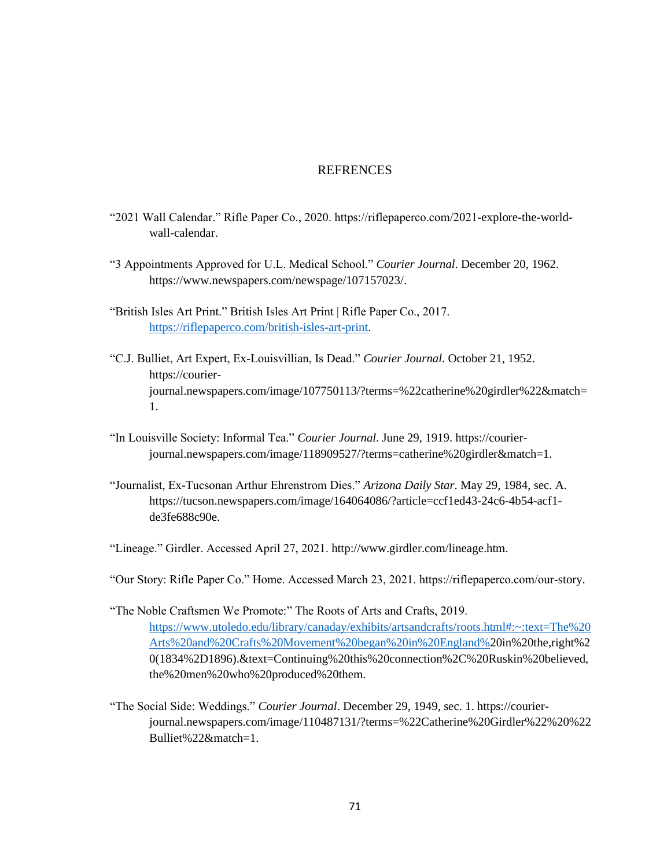### **REFRENCES**

- "2021 Wall Calendar." Rifle Paper Co., 2020. https://riflepaperco.com/2021-explore-the-worldwall-calendar.
- "3 Appointments Approved for U.L. Medical School." *Courier Journal*. December 20, 1962. https://www.newspapers.com/newspage/107157023/.
- "British Isles Art Print." British Isles Art Print | Rifle Paper Co., 2017. [https://riflepaperco.com/british-isles-art-print.](https://riflepaperco.com/british-isles-art-print)
- "C.J. Bulliet, Art Expert, Ex-Louisvillian, Is Dead." *Courier Journal*. October 21, 1952. https://courierjournal.newspapers.com/image/107750113/?terms=%22catherine%20girdler%22&match= 1.
- "In Louisville Society: Informal Tea." *Courier Journal*. June 29, 1919. https://courierjournal.newspapers.com/image/118909527/?terms=catherine%20girdler&match=1.
- "Journalist, Ex-Tucsonan Arthur Ehrenstrom Dies." *Arizona Daily Star*. May 29, 1984, sec. A. https://tucson.newspapers.com/image/164064086/?article=ccf1ed43-24c6-4b54-acf1 de3fe688c90e.
- "Lineage." Girdler. Accessed April 27, 2021. http://www.girdler.com/lineage.htm.

"Our Story: Rifle Paper Co." Home. Accessed March 23, 2021. https://riflepaperco.com/our-story.

- "The Noble Craftsmen We Promote:" The Roots of Arts and Crafts, 2019. [https://www.utoledo.edu/library/canaday/exhibits/artsandcrafts/roots.html#:~:text=The%20](https://www.utoledo.edu/library/canaday/exhibits/artsandcrafts/roots.html#:~:text=The%20Arts%20and%20Crafts%20Movement%20began%20in%20England%) [Arts%20and%20Crafts%20Movement%20began%20in%20England%2](https://www.utoledo.edu/library/canaday/exhibits/artsandcrafts/roots.html#:~:text=The%20Arts%20and%20Crafts%20Movement%20began%20in%20England%)0in%20the,right%2 0(1834%2D1896).&text=Continuing%20this%20connection%2C%20Ruskin%20believed, the%20men%20who%20produced%20them.
- "The Social Side: Weddings." *Courier Journal*. December 29, 1949, sec. 1. https://courierjournal.newspapers.com/image/110487131/?terms=%22Catherine%20Girdler%22%20%22 Bulliet%22&match=1.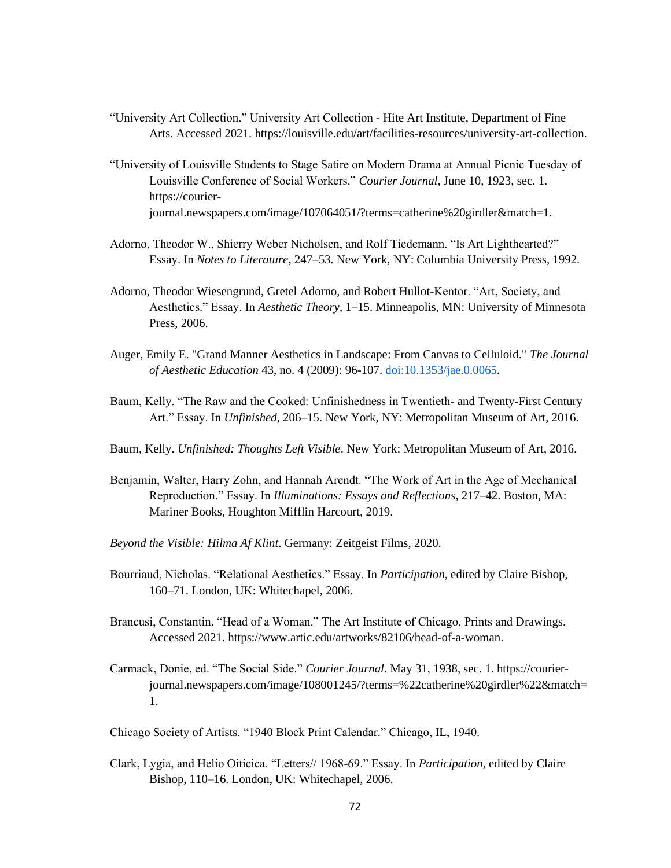- "University Art Collection." University Art Collection Hite Art Institute, Department of Fine Arts. Accessed 2021. https://louisville.edu/art/facilities-resources/university-art-collection.
- "University of Louisville Students to Stage Satire on Modern Drama at Annual Picnic Tuesday of Louisville Conference of Social Workers." *Courier Journal*, June 10, 1923, sec. 1. https://courierjournal.newspapers.com/image/107064051/?terms=catherine%20girdler&match=1.
- Adorno, Theodor W., Shierry Weber Nicholsen, and Rolf Tiedemann. "Is Art Lighthearted?" Essay. In *Notes to Literature*, 247–53. New York, NY: Columbia University Press, 1992.
- Adorno, Theodor Wiesengrund, Gretel Adorno, and Robert Hullot-Kentor. "Art, Society, and Aesthetics." Essay. In *Aesthetic Theory*, 1–15. Minneapolis, MN: University of Minnesota Press, 2006.
- Auger, Emily E. "Grand Manner Aesthetics in Landscape: From Canvas to Celluloid." *The Journal of Aesthetic Education* 43, no. 4 (2009): 96-107. [doi:10.1353/jae.0.0065.](http://doi.org/10.1353/jae.0.0065)
- Baum, Kelly. "The Raw and the Cooked: Unfinishedness in Twentieth- and Twenty-First Century Art." Essay. In *Unfinished*, 206–15. New York, NY: Metropolitan Museum of Art, 2016.
- Baum, Kelly. *Unfinished: Thoughts Left Visible*. New York: Metropolitan Museum of Art, 2016.
- Benjamin, Walter, Harry Zohn, and Hannah Arendt. "The Work of Art in the Age of Mechanical Reproduction." Essay. In *Illuminations: Essays and Reflections*, 217–42. Boston, MA: Mariner Books, Houghton Mifflin Harcourt, 2019.
- *Beyond the Visible: Hilma Af Klint*. Germany: Zeitgeist Films, 2020.
- Bourriaud, Nicholas. "Relational Aesthetics." Essay. In *Participation*, edited by Claire Bishop, 160–71. London, UK: Whitechapel, 2006.
- Brancusi, Constantin. "Head of a Woman." The Art Institute of Chicago. Prints and Drawings. Accessed 2021. https://www.artic.edu/artworks/82106/head-of-a-woman.
- Carmack, Donie, ed. "The Social Side." *Courier Journal*. May 31, 1938, sec. 1. https://courierjournal.newspapers.com/image/108001245/?terms=%22catherine%20girdler%22&match= 1.

Chicago Society of Artists. "1940 Block Print Calendar." Chicago, IL, 1940.

Clark, Lygia, and Helio Oiticica. "Letters// 1968-69." Essay. In *Participation*, edited by Claire Bishop, 110–16. London, UK: Whitechapel, 2006.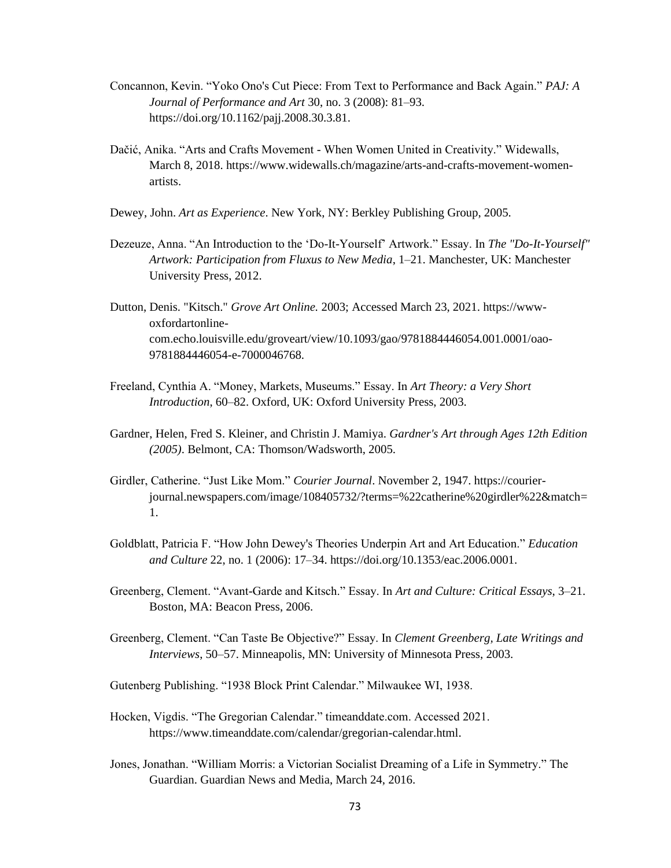- Concannon, Kevin. "Yoko Ono's Cut Piece: From Text to Performance and Back Again." *PAJ: A Journal of Performance and Art* 30, no. 3 (2008): 81–93. https://doi.org/10.1162/pajj.2008.30.3.81.
- Dačić, Anika. "Arts and Crafts Movement When Women United in Creativity." Widewalls, March 8, 2018. https://www.widewalls.ch/magazine/arts-and-crafts-movement-womenartists.
- Dewey, John. *Art as Experience*. New York, NY: Berkley Publishing Group, 2005.
- Dezeuze, Anna. "An Introduction to the 'Do-It-Yourself' Artwork." Essay. In *The "Do-It-Yourself" Artwork: Participation from Fluxus to New Media*, 1–21. Manchester, UK: Manchester University Press, 2012.
- Dutton, Denis. "Kitsch." *Grove Art Online.* 2003; Accessed March 23, 2021. https://wwwoxfordartonlinecom.echo.louisville.edu/groveart/view/10.1093/gao/9781884446054.001.0001/oao-9781884446054-e-7000046768.
- Freeland, Cynthia A. "Money, Markets, Museums." Essay. In *Art Theory: a Very Short Introduction*, 60–82. Oxford, UK: Oxford University Press, 2003.
- Gardner, Helen, Fred S. Kleiner, and Christin J. Mamiya. *Gardner's Art through Ages 12th Edition (2005)*. Belmont, CA: Thomson/Wadsworth, 2005.
- Girdler, Catherine. "Just Like Mom." *Courier Journal*. November 2, 1947. https://courierjournal.newspapers.com/image/108405732/?terms=%22catherine%20girdler%22&match= 1.
- Goldblatt, Patricia F. "How John Dewey's Theories Underpin Art and Art Education." *Education and Culture* 22, no. 1 (2006): 17–34. https://doi.org/10.1353/eac.2006.0001.
- Greenberg, Clement. "Avant-Garde and Kitsch." Essay. In *Art and Culture: Critical Essays*, 3–21. Boston, MA: Beacon Press, 2006.
- Greenberg, Clement. "Can Taste Be Objective?" Essay. In *Clement Greenberg, Late Writings and Interviews*, 50–57. Minneapolis, MN: University of Minnesota Press, 2003.
- Gutenberg Publishing. "1938 Block Print Calendar." Milwaukee WI, 1938.
- Hocken, Vigdis. "The Gregorian Calendar." timeanddate.com. Accessed 2021. https://www.timeanddate.com/calendar/gregorian-calendar.html.
- Jones, Jonathan. "William Morris: a Victorian Socialist Dreaming of a Life in Symmetry." The Guardian. Guardian News and Media, March 24, 2016.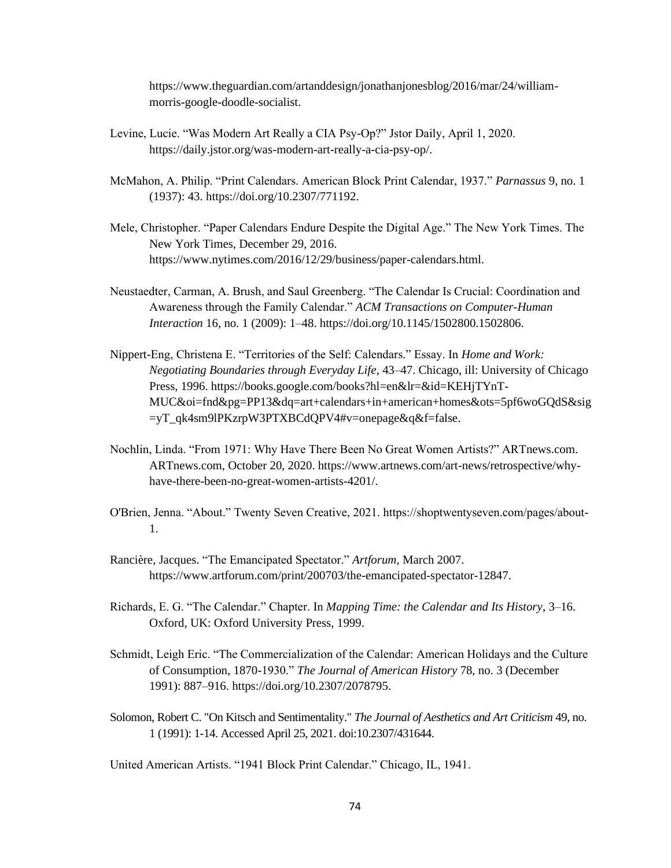https://www.theguardian.com/artanddesign/jonathanjonesblog/2016/mar/24/williammorris-google-doodle-socialist.

- Levine, Lucie. "Was Modern Art Really a CIA Psy-Op?" Jstor Daily, April 1, 2020. https://daily.jstor.org/was-modern-art-really-a-cia-psy-op/.
- McMahon, A. Philip. "Print Calendars. American Block Print Calendar, 1937." *Parnassus* 9, no. 1 (1937): 43. https://doi.org/10.2307/771192.
- Mele, Christopher. "Paper Calendars Endure Despite the Digital Age." The New York Times. The New York Times, December 29, 2016. https://www.nytimes.com/2016/12/29/business/paper-calendars.html.
- Neustaedter, Carman, A. Brush, and Saul Greenberg. "The Calendar Is Crucial: Coordination and Awareness through the Family Calendar." *ACM Transactions on Computer-Human Interaction* 16, no. 1 (2009): 1–48. https://doi.org/10.1145/1502800.1502806.
- Nippert-Eng, Christena E. "Territories of the Self: Calendars." Essay. In *Home and Work: Negotiating Boundaries through Everyday Life*, 43–47. Chicago, ill: University of Chicago Press, 1996. https://books.google.com/books?hl=en&lr=&id=KEHjTYnT-MUC&oi=fnd&pg=PP13&dq=art+calendars+in+american+homes&ots=5pf6woGQdS&sig =yT\_qk4sm9lPKzrpW3PTXBCdQPV4#v=onepage&q&f=false.
- Nochlin, Linda. "From 1971: Why Have There Been No Great Women Artists?" ARTnews.com. ARTnews.com, October 20, 2020. https://www.artnews.com/art-news/retrospective/whyhave-there-been-no-great-women-artists-4201/.
- O'Brien, Jenna. "About." Twenty Seven Creative, 2021. https://shoptwentyseven.com/pages/about-1.
- Rancière, Jacques. "The Emancipated Spectator." *Artforum*, March 2007. https://www.artforum.com/print/200703/the-emancipated-spectator-12847.
- Richards, E. G. "The Calendar." Chapter. In *Mapping Time: the Calendar and Its History*, 3–16. Oxford, UK: Oxford University Press, 1999.
- Schmidt, Leigh Eric. "The Commercialization of the Calendar: American Holidays and the Culture of Consumption, 1870-1930." *The Journal of American History* 78, no. 3 (December 1991): 887–916. https://doi.org/10.2307/2078795.
- Solomon, Robert C. "On Kitsch and Sentimentality." *The Journal of Aesthetics and Art Criticism* 49, no. 1 (1991): 1-14. Accessed April 25, 2021. doi:10.2307/431644.

United American Artists. "1941 Block Print Calendar." Chicago, IL, 1941.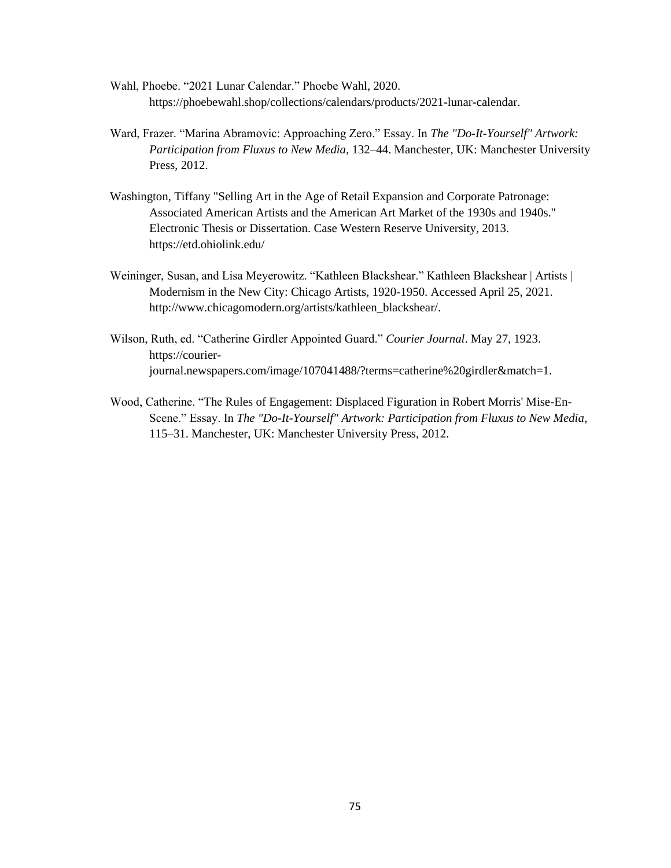- Wahl, Phoebe. "2021 Lunar Calendar." Phoebe Wahl, 2020. https://phoebewahl.shop/collections/calendars/products/2021-lunar-calendar.
- Ward, Frazer. "Marina Abramovic: Approaching Zero." Essay. In *The "Do-It-Yourself" Artwork: Participation from Fluxus to New Media*, 132–44. Manchester, UK: Manchester University Press, 2012.
- Washington, Tiffany "Selling Art in the Age of Retail Expansion and Corporate Patronage: Associated American Artists and the American Art Market of the 1930s and 1940s." Electronic Thesis or Dissertation. Case Western Reserve University, 2013. https://etd.ohiolink.edu/
- Weininger, Susan, and Lisa Meyerowitz. "Kathleen Blackshear." Kathleen Blackshear | Artists | Modernism in the New City: Chicago Artists, 1920-1950. Accessed April 25, 2021. http://www.chicagomodern.org/artists/kathleen\_blackshear/.
- Wilson, Ruth, ed. "Catherine Girdler Appointed Guard." *Courier Journal*. May 27, 1923. https://courierjournal.newspapers.com/image/107041488/?terms=catherine%20girdler&match=1.
- Wood, Catherine. "The Rules of Engagement: Displaced Figuration in Robert Morris' Mise-En-Scene." Essay. In *The "Do-It-Yourself" Artwork: Participation from Fluxus to New Media*, 115–31. Manchester, UK: Manchester University Press, 2012.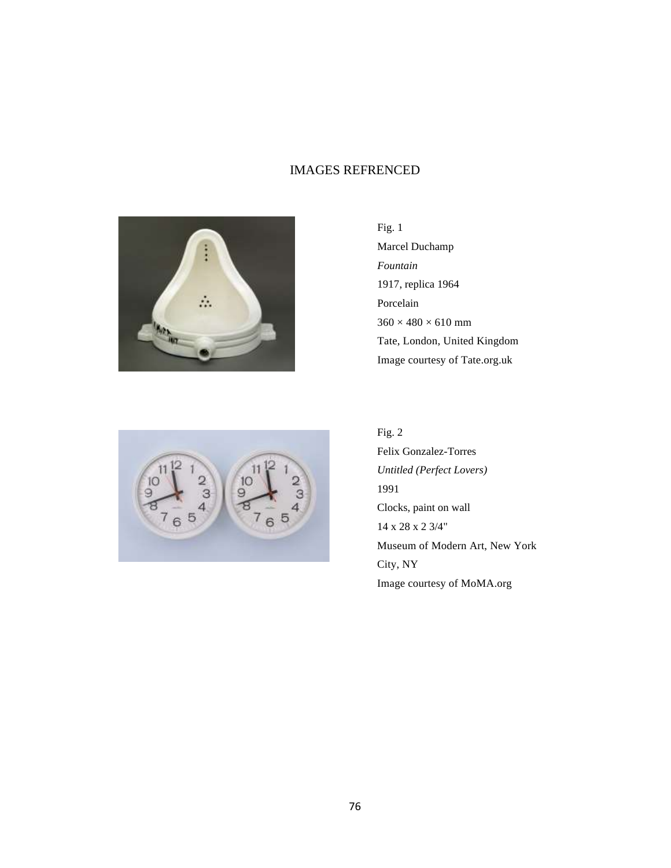# IMAGES REFRENCED



Fig. 1 Marcel Duchamp *Fountain* 1917, replica 1964 Porcelain  $360 \times 480 \times 610$  mm Tate, London, United Kingdom Image courtesy of Tate.org.uk



Fig. 2 Felix Gonzalez-Torres *Untitled (Perfect Lovers)* 1991 Clocks, paint on wall 14 x 28 x 2 3/4" Museum of Modern Art, New York City, NY Image courtesy of MoMA.org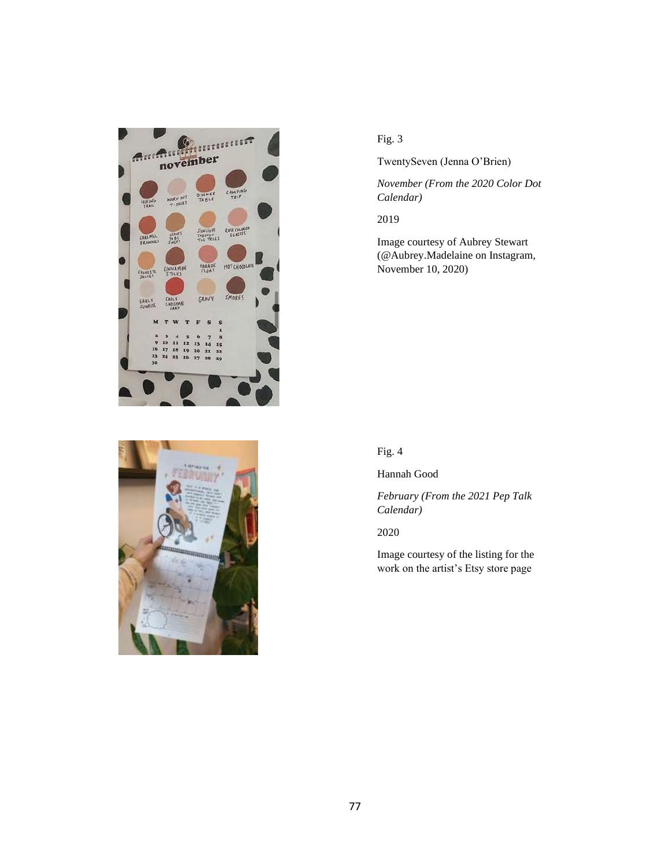



TwentySeven (Jenna O'Brien)

*November (From the 2020 Color Dot Calendar)*

2019

Image courtesy of Aubrey Stewart (@Aubrey.Madelaine on Instagram, November 10, 2020)

Fig. 4

Hannah Good

*February (From the 2021 Pep Talk Calendar)*

2020

Image courtesy of the listing for the work on the artist's Etsy store page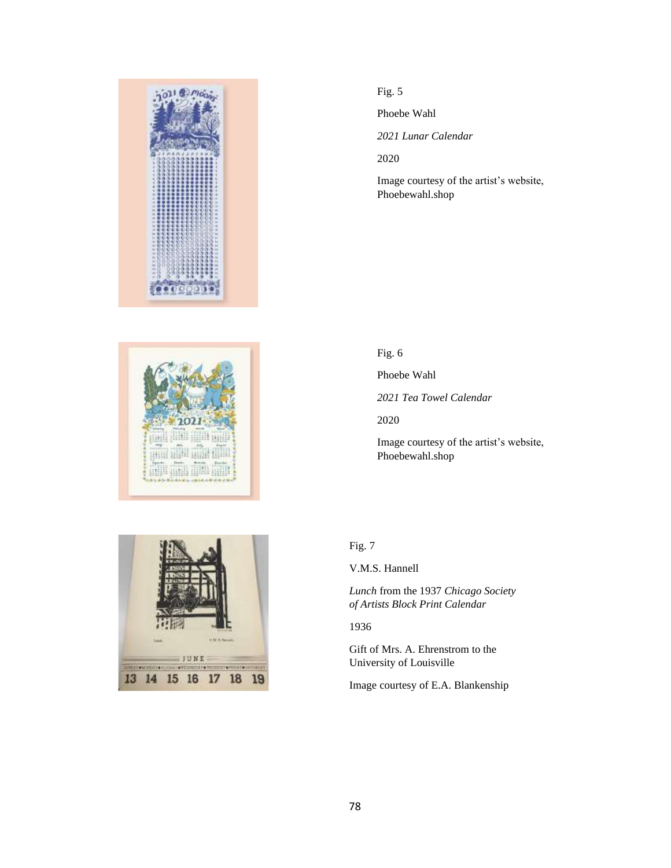



Phoebe Wahl

*2021 Lunar Calendar*

2020

Image courtesy of the artist's website, Phoebewahl.shop

Fig. 6

Phoebe Wahl

*2021 Tea Towel Calendar*

2020

Image courtesy of the artist's website, Phoebewahl.shop

# Fig. 7

V.M.S. Hannell

*Lunch* from the 1937 *Chicago Society of Artists Block Print Calendar*

1936

Gift of Mrs. A. Ehrenstrom to the University of Louisville

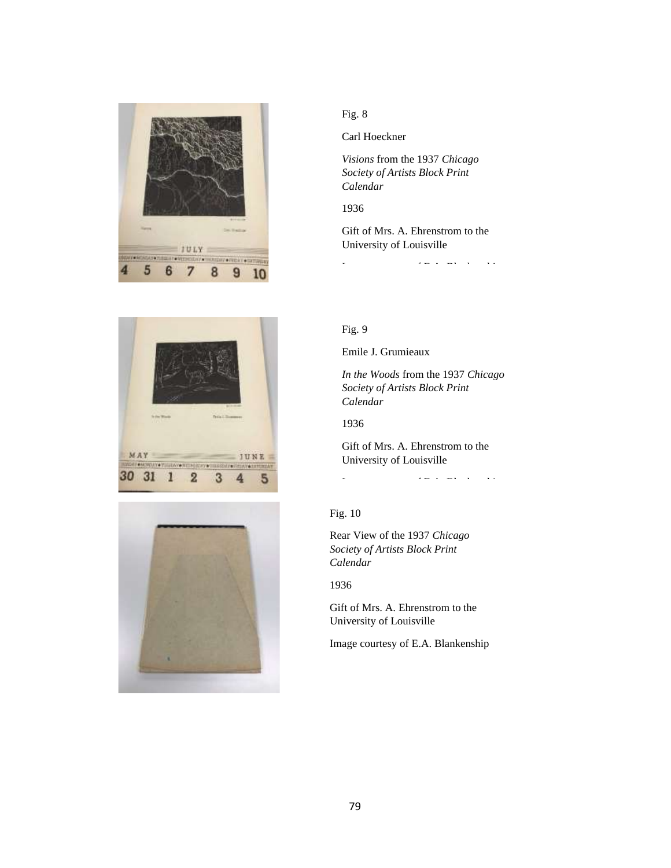





Carl Hoeckner

*Visions* from the 1937 *Chicago Society of Artists Block Print Calendar*

### 1936

Gift of Mrs. A. Ehrenstrom to the University of Louisville

Image courtesy of E.A. Blankenship

### Fig. 9

Emile J. Grumieaux

*In the Woods* from the 1937 *Chicago Society of Artists Block Print Calendar*

### 1936

Gift of Mrs. A. Ehrenstrom to the University of Louisville

Image courtesy of E.A. Blankenship

### Fig. 10

Rear View of the 1937 *Chicago Society of Artists Block Print Calendar*

1936

Gift of Mrs. A. Ehrenstrom to the University of Louisville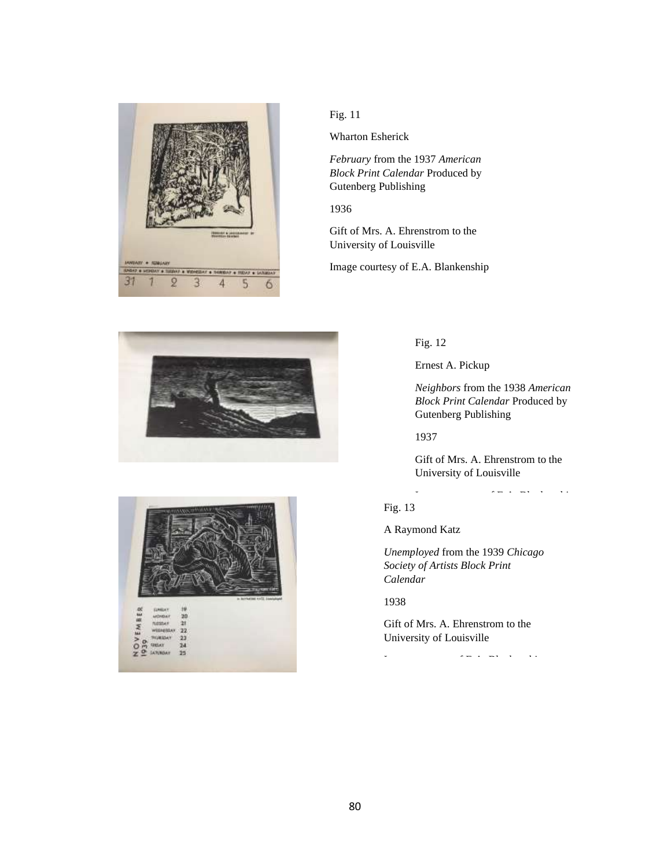

Wharton Esherick

*February* from the 1937 *American Block Print Calendar* Produced by Gutenberg Publishing

1936

Gift of Mrs. A. Ehrenstrom to the University of Louisville

Image courtesy of E.A. Blankenship





### Fig. 12

Ernest A. Pickup

*Neighbors* from the 1938 *American Block Print Calendar* Produced by Gutenberg Publishing

1937

Gift of Mrs. A. Ehrenstrom to the University of Louisville

Image courtesy of E.A. Blankenship Fig. 13

A Raymond Katz

*Unemployed* from the 1939 *Chicago Society of Artists Block Print Calendar*

1938

Gift of Mrs. A. Ehrenstrom to the University of Louisville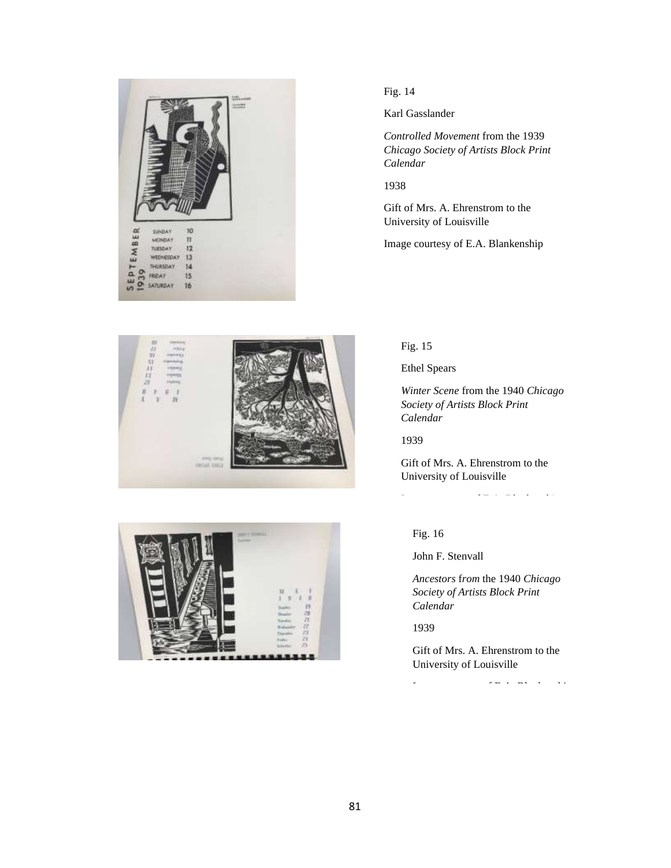

Karl Gasslander

*Controlled Movement* from the 1939 *Chicago Society of Artists Block Print Calendar*

1938

Gift of Mrs. A. Ehrenstrom to the University of Louisville

Image courtesy of E.A. Blankenship





### Fig. 15

Ethel Spears

*Winter Scene* from the 1940 *Chicago Society of Artists Block Print Calendar*

1939

Gift of Mrs. A. Ehrenstrom to the University of Louisville

Image courtesy of E.A. Blankenship

# Fig. 16

John F. Stenvall

*Ancestors* f*rom* the 1940 *Chicago Society of Artists Block Print Calendar*

1939

Gift of Mrs. A. Ehrenstrom to the University of Louisville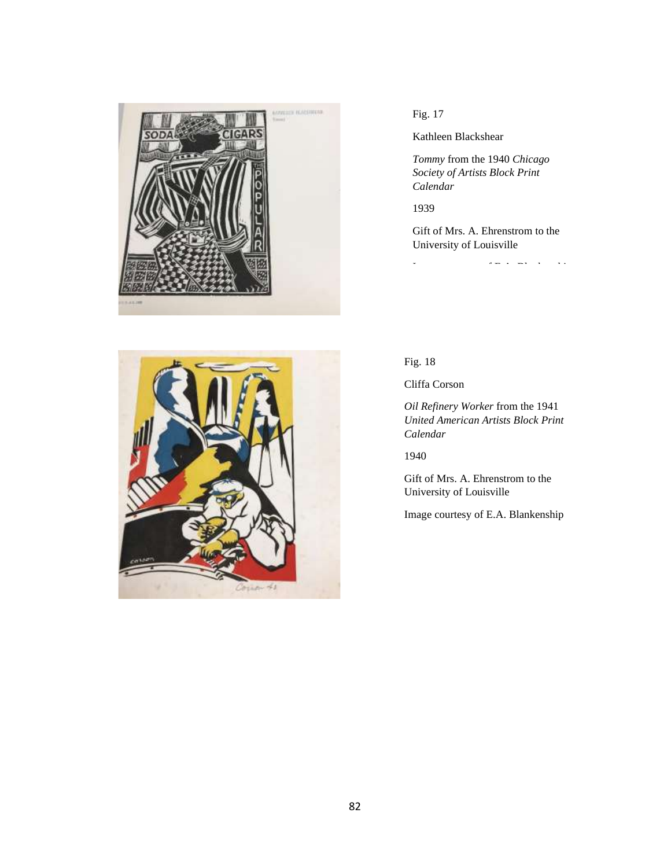

# 41

# Fig. 17

Kathleen Blackshear

*Tommy* from the 1940 *Chicago Society of Artists Block Print Calendar*

1939

Gift of Mrs. A. Ehrenstrom to the University of Louisville

Image courtesy of E.A. Blankenship

Fig. 18

Cliffa Corson

*Oil Refinery Worker* from the 1941 *United American Artists Block Print Calendar*

1940

Gift of Mrs. A. Ehrenstrom to the University of Louisville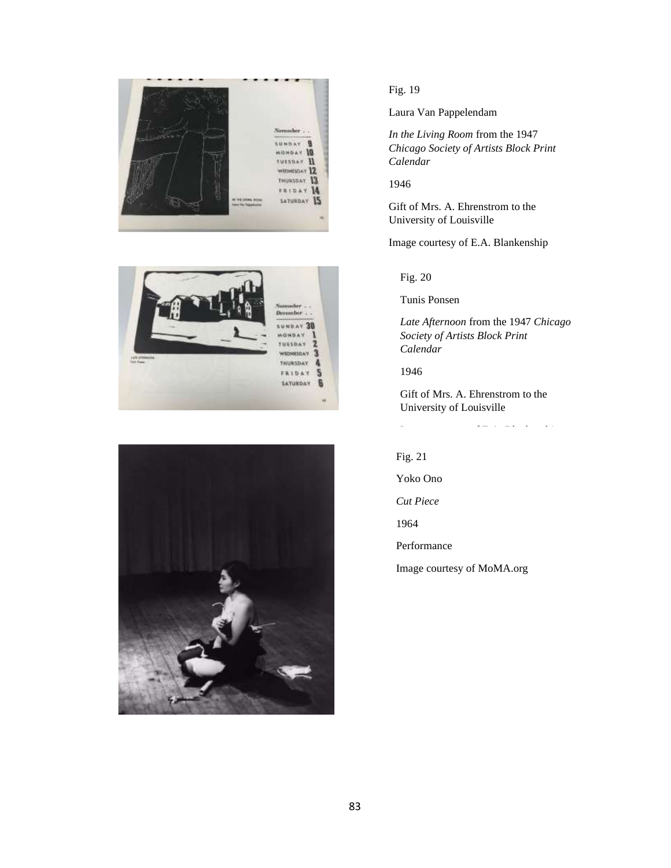





Laura Van Pappelendam

*In the Living Room* from the 1947 *Chicago Society of Artists Block Print Calendar*

1946

Gift of Mrs. A. Ehrenstrom to the University of Louisville

Image courtesy of E.A. Blankenship

Fig. 20

Tunis Ponsen

*Late Afternoon* from the 1947 *Chicago Society of Artists Block Print Calendar*

1946

Gift of Mrs. A. Ehrenstrom to the University of Louisville

Fig. 21

Yoko Ono

*Cut Piece*

1964

Performance

Image courtesy of MoMA.org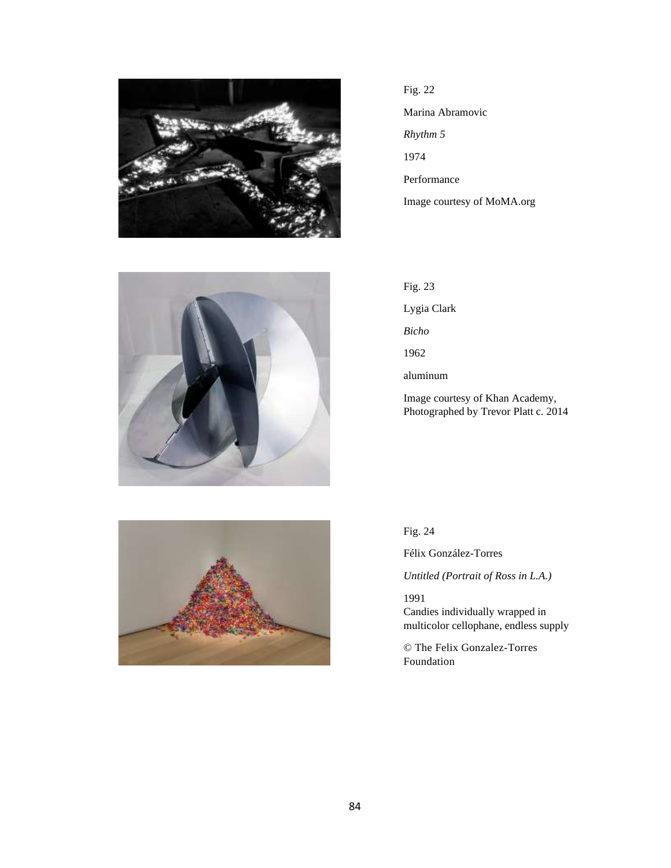

Fig. 22 Marina Abramovic *Rhythm 5* 1974 Performance

Image courtesy of MoMA.org



Fig. 23 Lygia Clark *Bicho* 1962 aluminum Image courtesy of Khan Academy, Photographed by Trevor Platt c. 2014



Fig. 24

Félix González-Torres

*Untitled (Portrait of Ross in L.A.)*

1991 Candies individually wrapped in multicolor cellophane, endless supply

© The Felix Gonzalez-Torres Foundation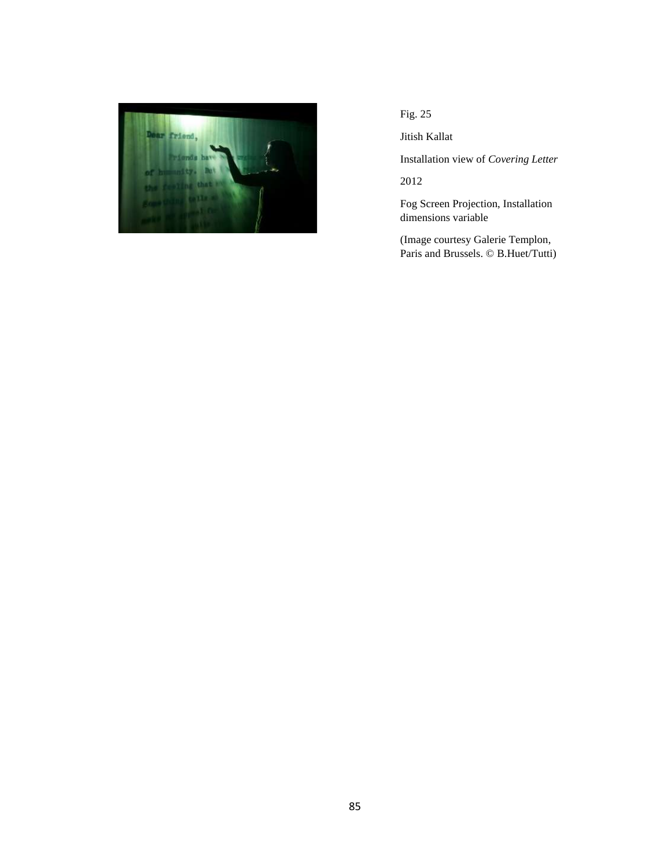

Jitish Kallat

Installation view of *Covering Letter*

2012

Fog Screen Projection, Installation dimensions variable

(Image courtesy Galerie Templon, Paris and Brussels. © B.Huet/Tutti)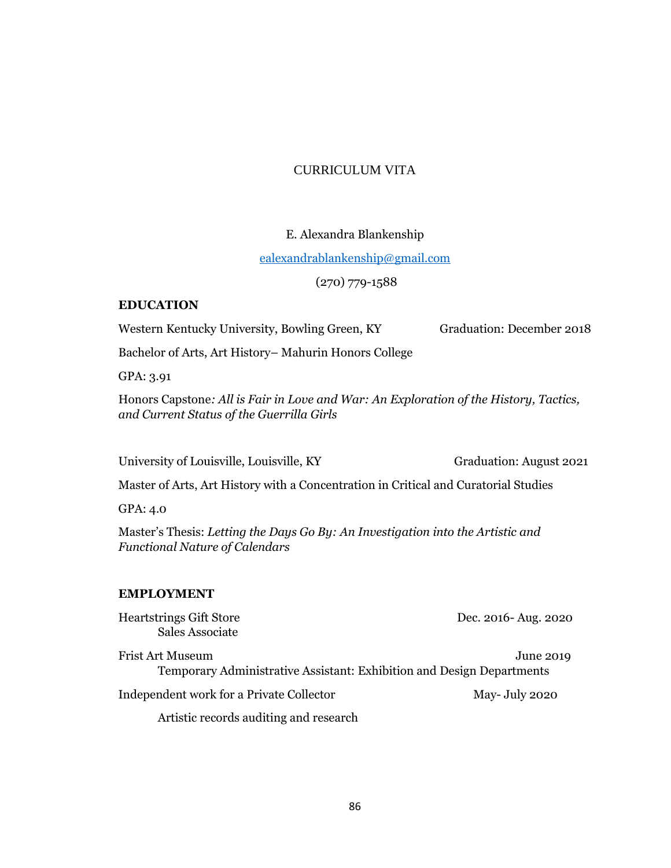# CURRICULUM VITA

# E. Alexandra Blankenship

# [ealexandrablankenship@gmail.com](mailto:ealexandrablankenship@gmail.com)

# (270) 779-1588

# **EDUCATION**

Western Kentucky University, Bowling Green, KY Graduation: December 2018

Bachelor of Arts, Art History– Mahurin Honors College

GPA: 3.91

Honors Capstone*: All is Fair in Love and War: An Exploration of the History, Tactics, and Current Status of the Guerrilla Girls*

University of Louisville, Louisville, KY Graduation: August 2021

Master of Arts, Art History with a Concentration in Critical and Curatorial Studies

GPA: 4.0

Master's Thesis: *Letting the Days Go By: An Investigation into the Artistic and Functional Nature of Calendars*

### **EMPLOYMENT**

| Heartstrings Gift Store<br>Sales Associate                                                | Dec. 2016- Aug. 2020 |
|-------------------------------------------------------------------------------------------|----------------------|
| Frist Art Museum<br>Temporary Administrative Assistant: Exhibition and Design Departments | June 2019            |
| Independent work for a Private Collector                                                  | May-July 2020        |
| Artistic records auditing and research                                                    |                      |